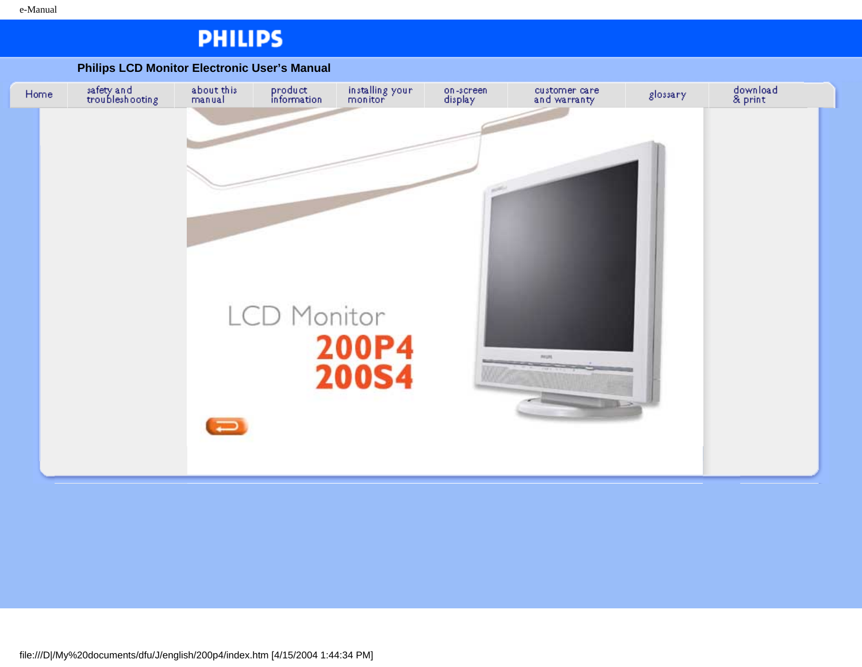## **PHILIPS**

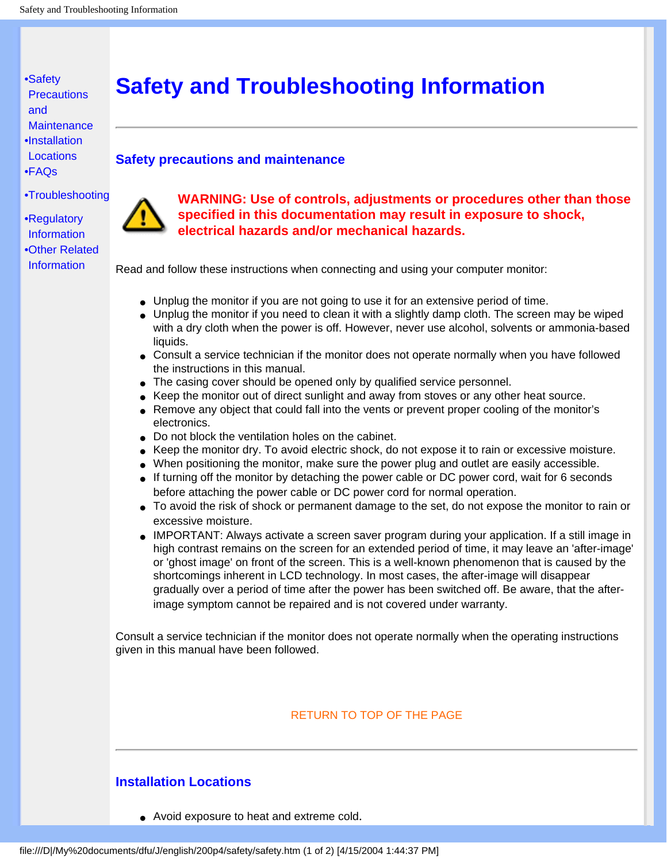## **Safety and Troubleshooting Information**

#### **Safety precautions and maintenance**

[•](#page-1-0) [FAQs](#page-31-0)

<span id="page-1-2"></span><span id="page-1-0"></span>[•Safety](#page-1-0)  **Precautions** 

[and](#page-1-0)

[•](#page-1-0) [Troubleshooting](#page-38-0)

**[Maintenance](#page-1-0)** [•](#page-1-0) [Installation](#page-1-1)  **[Locations](#page-1-1)** 

[•](#page-1-0) [Regulatory](#page-41-0) [Information](#page-41-0) [•](#page-1-0) [Other Related](#page-54-0)  **[Information](#page-54-0)** 



Read and follow these instructions when connecting and using your computer monitor:

- Unplug the monitor if you are not going to use it for an extensive period of time.
- Unplug the monitor if you need to clean it with a slightly damp cloth. The screen may be wiped with a dry cloth when the power is off. However, never use alcohol, solvents or ammonia-based liquids.
- Consult a service technician if the monitor does not operate normally when you have followed the instructions in this manual.
- The casing cover should be opened only by qualified service personnel.
- Keep the monitor out of direct sunlight and away from stoves or any other heat source.
- Remove any object that could fall into the vents or prevent proper cooling of the monitor's electronics.
- Do not block the ventilation holes on the cabinet.
- Keep the monitor dry. To avoid electric shock, do not expose it to rain or excessive moisture.
- When positioning the monitor, make sure the power plug and outlet are easily accessible.
- If turning off the monitor by detaching the power cable or DC power cord, wait for 6 seconds before attaching the power cable or DC power cord for normal operation.
- To avoid the risk of shock or permanent damage to the set, do not expose the monitor to rain or excessive moisture.
- IMPORTANT: Always activate a screen saver program during your application. If a still image in high contrast remains on the screen for an extended period of time, it may leave an 'after-image' or 'ghost image' on front of the screen. This is a well-known phenomenon that is caused by the shortcomings inherent in LCD technology. In most cases, the after-image will disappear gradually over a period of time after the power has been switched off. Be aware, that the afterimage symptom cannot be repaired and is not covered under warranty.

Consult a service technician if the monitor does not operate normally when the operating instructions given in this manual have been followed.

#### [RETURN TO TOP OF THE PAGE](#page-1-2)

### <span id="page-1-1"></span>**Installation Locations**

● Avoid exposure to heat and extreme cold.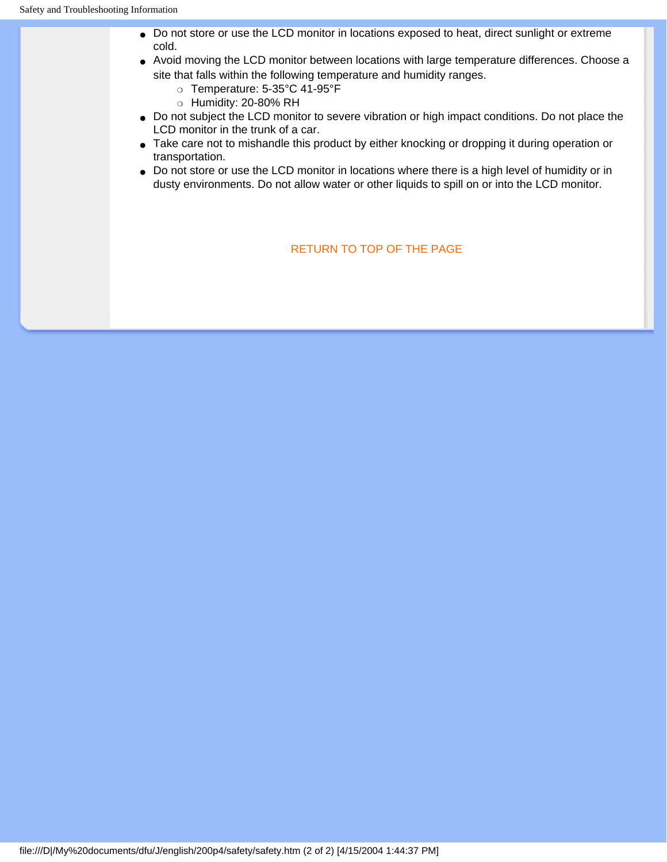- Do not store or use the LCD monitor in locations exposed to heat, direct sunlight or extreme cold.
- Avoid moving the LCD monitor between locations with large temperature differences. Choose a site that falls within the following temperature and humidity ranges.
	- ❍ Temperature: 5-35°C 41-95°F
	- ❍ Humidity: 20-80% RH
- Do not subject the LCD monitor to severe vibration or high impact conditions. Do not place the LCD monitor in the trunk of a car.
- Take care not to mishandle this product by either knocking or dropping it during operation or transportation.
- Do not store or use the LCD monitor in locations where there is a high level of humidity or in dusty environments. Do not allow water or other liquids to spill on or into the LCD monitor.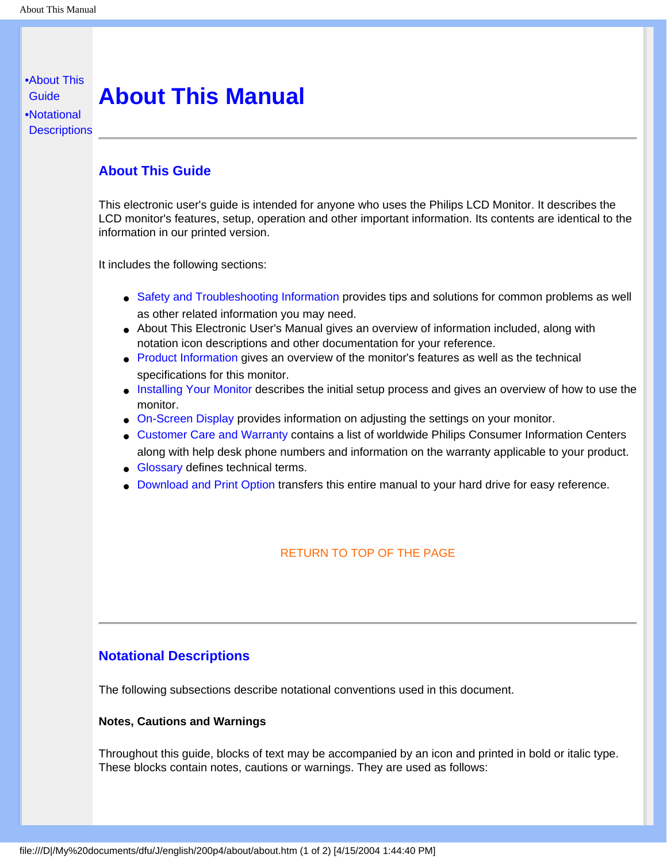## <span id="page-3-0"></span>[•](#page-3-0) [About This](#page-3-1) **About This Manual**

<span id="page-3-3"></span><span id="page-3-1"></span>**[Guide](#page-3-1)** [•](#page-3-0) [Notational](#page-3-2) **[Descriptions](#page-3-2)** 

### **About This Guide**

This electronic user's guide is intended for anyone who uses the Philips LCD Monitor. It describes the LCD monitor's features, setup, operation and other important information. Its contents are identical to the information in our printed version.

It includes the following sections:

- [Safety and Troubleshooting Information](#page-1-0) provides tips and solutions for common problems as well as other related information you may need.
- About This Electronic User's Manual gives an overview of information included, along with notation icon descriptions and other documentation for your reference.
- [Product Information](#page-5-0) gives an overview of the monitor's features as well as the technical specifications for this monitor.
- [Installing Your Monitor](#page-13-0) describes the initial setup process and gives an overview of how to use the monitor.
- [On-Screen Display](#page-16-0) provides information on adjusting the settings on your monitor.
- [Customer Care and Warranty](#page-22-0) contains a list of worldwide Philips Consumer Information Centers along with help desk phone numbers and information on the warranty applicable to your product.
- [Glossary](#page-23-0) defines technical terms.
- [Download and Print Option](#page-28-0) transfers this entire manual to your hard drive for easy reference.

### [RETURN TO TOP OF THE PAGE](#page-3-3)

### <span id="page-3-2"></span>**Notational Descriptions**

The following subsections describe notational conventions used in this document.

#### **Notes, Cautions and Warnings**

Throughout this guide, blocks of text may be accompanied by an icon and printed in bold or italic type. These blocks contain notes, cautions or warnings. They are used as follows: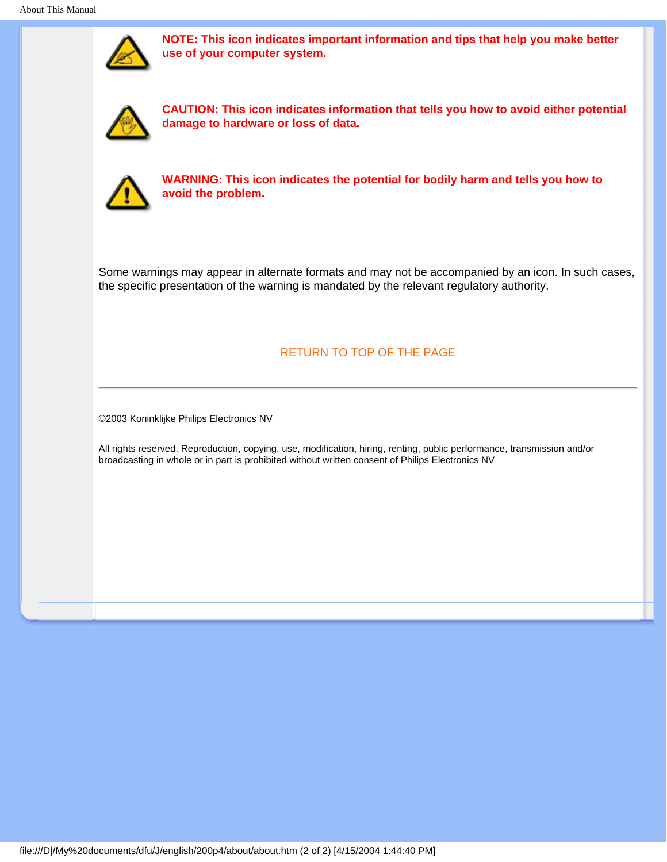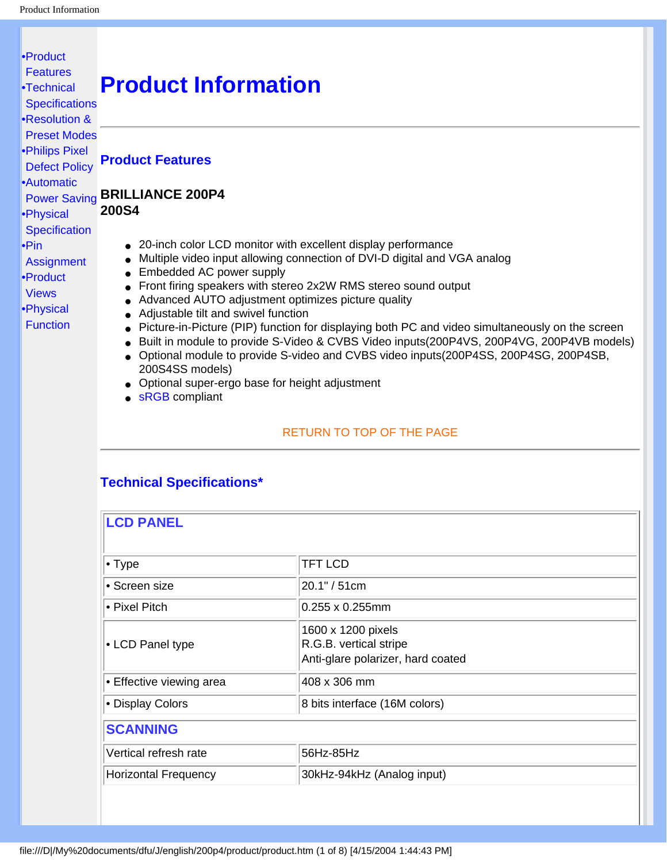#### <span id="page-5-3"></span><span id="page-5-1"></span><span id="page-5-0"></span>[•](#page-5-0) [Product](#page-5-1) **[Features](#page-5-1)** [•](#page-5-0)[Technical](#page-5-2) **[Specifications](#page-5-2)** [•](#page-5-0)[Resolution &](#page-7-0)  [Preset Modes](#page-7-0) [•](#page-5-0)[Philips Pixel](#page-55-0)  [Defect Policy](#page-55-0) [•](#page-5-0)[Automatic](#page-8-0)  [Power Saving](#page-8-0) **BRILLIANCE 200P4** [•](#page-5-0)[Physical](#page-9-0) **[Specification](#page-9-0)** [•Pin](#page-5-0)  **[Assignment](#page-5-0)** [•](#page-5-0)[Product](#page-11-0) [Views](#page-11-0) [•](#page-5-0)[Physical](#page-11-1) [Function](#page-11-1) **Product Information Product Features 200S4** • 20-inch color LCD monitor with excellent display performance • Multiple video input allowing connection of DVI-D digital and VGA analog • Embedded AC power supply ● Front firing speakers with stereo 2x2W RMS stereo sound output • Advanced AUTO adjustment optimizes picture quality ● Adjustable tilt and swivel function ● Picture-in-Picture (PIP) function for displaying both PC and video simultaneously on the screen ● Built in module to provide S-Video & CVBS Video inputs(200P4VS, 200P4VG, 200P4VB models) ● Optional module to provide S-video and CVBS video inputs(200P4SS, 200P4SG, 200P4SB, 200S4SS models) ● Optional super-ergo base for height adjustment • **sRGB** compliant [RETURN TO TOP OF THE PAGE](#page-5-3)

## <span id="page-5-2"></span>**Technical Specifications\***

| <b>LCD PANEL</b>            |                                                                                   |
|-----------------------------|-----------------------------------------------------------------------------------|
| $\cdot$ Type                | <b>TFT LCD</b>                                                                    |
| • Screen size               | 20.1" / 51cm                                                                      |
| • Pixel Pitch               | $0.255 \times 0.255$ mm                                                           |
| • LCD Panel type            | 1600 x 1200 pixels<br>R.G.B. vertical stripe<br>Anti-glare polarizer, hard coated |
| Effective viewing area      | 408 x 306 mm                                                                      |
| • Display Colors            | 8 bits interface (16M colors)                                                     |
| <b>SCANNING</b>             |                                                                                   |
| Vertical refresh rate       | 56Hz-85Hz                                                                         |
| <b>Horizontal Frequency</b> | 30kHz-94kHz (Analog input)                                                        |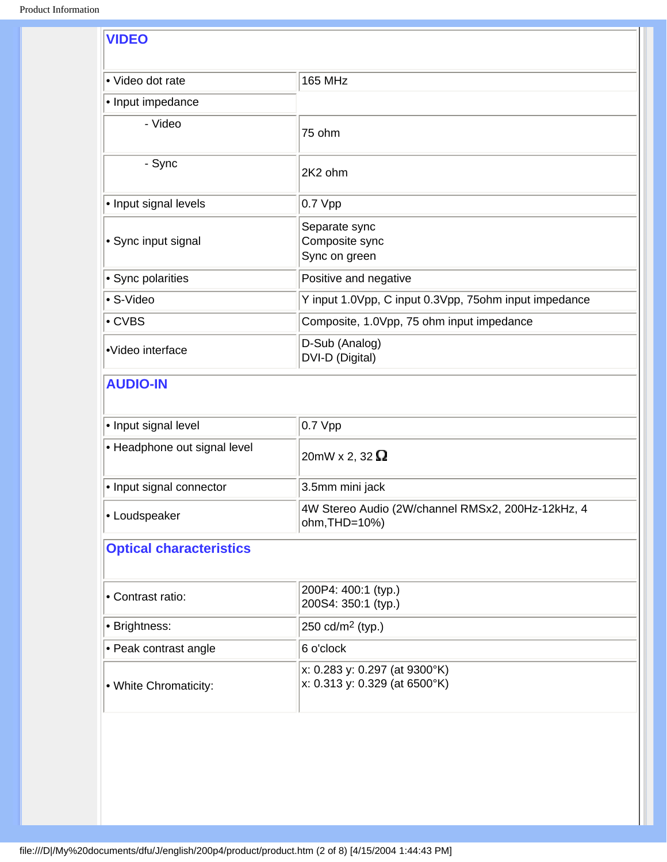| • Video dot rate                                                                                                                                                                                   | <b>165 MHz</b>                                                     |
|----------------------------------------------------------------------------------------------------------------------------------------------------------------------------------------------------|--------------------------------------------------------------------|
| • Input impedance                                                                                                                                                                                  |                                                                    |
| - Video                                                                                                                                                                                            | 75 ohm                                                             |
| - Sync                                                                                                                                                                                             | 2K2 ohm                                                            |
| • Input signal levels                                                                                                                                                                              | 0.7 Vpp                                                            |
| • Sync input signal                                                                                                                                                                                | Separate sync<br>Composite sync<br>Sync on green                   |
| • Sync polarities                                                                                                                                                                                  | Positive and negative                                              |
| • S-Video                                                                                                                                                                                          | Y input 1.0Vpp, C input 0.3Vpp, 75ohm input impedance              |
| • CVBS                                                                                                                                                                                             | Composite, 1.0Vpp, 75 ohm input impedance                          |
| D-Sub (Analog)<br>•Video interface<br>DVI-D (Digital)                                                                                                                                              |                                                                    |
|                                                                                                                                                                                                    |                                                                    |
| <b>AUDIO-IN</b>                                                                                                                                                                                    |                                                                    |
|                                                                                                                                                                                                    | 0.7 Vpp                                                            |
|                                                                                                                                                                                                    | 20mW x 2, 32 $\Omega$                                              |
|                                                                                                                                                                                                    | 3.5mm mini jack                                                    |
|                                                                                                                                                                                                    | 4W Stereo Audio (2W/channel RMSx2, 200Hz-12kHz, 4<br>ohm, THD=10%) |
|                                                                                                                                                                                                    |                                                                    |
|                                                                                                                                                                                                    | 200P4: 400:1 (typ.)<br>200S4: 350:1 (typ.)                         |
|                                                                                                                                                                                                    | 250 cd/m <sup>2</sup> (typ.)                                       |
| • Input signal level<br>• Headphone out signal level<br>• Input signal connector<br>• Loudspeaker<br><b>Optical characteristics</b><br>• Contrast ratio:<br>• Brightness:<br>• Peak contrast angle | 6 o'clock                                                          |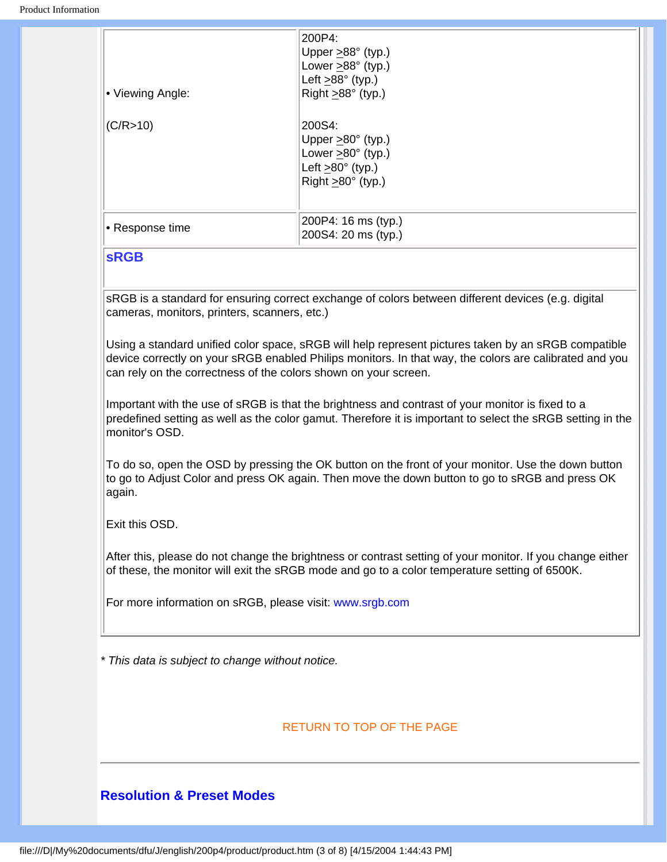| l• Viewing Angle: | 200P4:<br>Upper $\geq$ 88° (typ.)<br>Lower $\geq$ 88° (typ.)<br>Left $\geq$ 88° (typ.)<br>Right $\geq$ 88° (typ.)                 |
|-------------------|-----------------------------------------------------------------------------------------------------------------------------------|
| (C/R > 10)        | 200S4:<br>Upper $\geq 80^\circ$ (typ.)<br>Lower $>80^\circ$ (typ.)<br>Left $\geq 80^\circ$ (typ.)<br>Right $\geq 80^\circ$ (typ.) |
| • Response time   | 200P4: 16 ms (typ.)<br>200S4: 20 ms (typ.)                                                                                        |

#### <span id="page-7-1"></span>**sRGB**

sRGB is a standard for ensuring correct exchange of colors between different devices (e.g. digital cameras, monitors, printers, scanners, etc.)

Using a standard unified color space, sRGB will help represent pictures taken by an sRGB compatible device correctly on your sRGB enabled Philips monitors. In that way, the colors are calibrated and you can rely on the correctness of the colors shown on your screen.

Important with the use of sRGB is that the brightness and contrast of your monitor is fixed to a predefined setting as well as the color gamut. Therefore it is important to select the sRGB setting in the monitor's OSD.

To do so, open the OSD by pressing the OK button on the front of your monitor. Use the down button to go to Adjust Color and press OK again. Then move the down button to go to sRGB and press OK again.

Exit this OSD.

After this, please do not change the brightness or contrast setting of your monitor. If you change either of these, the monitor will exit the sRGB mode and go to a color temperature setting of 6500K.

For more information on sRGB, please visit: [www.srgb.com](http://www.srgb.com/)

*\* This data is subject to change without notice.*

### [RETURN TO TOP OF THE PAGE](#page-5-3)

## <span id="page-7-0"></span>**Resolution & Preset Modes**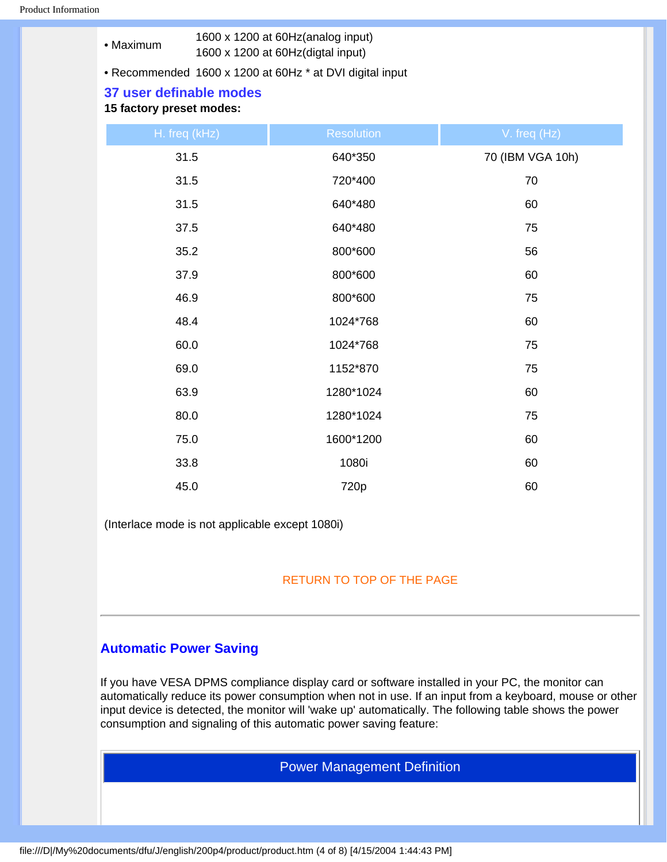|           | 1600 x 1200 at 60Hz (analog input) |
|-----------|------------------------------------|
| • Maximum | 1600 x 1200 at 60Hz(digtal input)  |

• Recommended 1600 x 1200 at 60Hz \* at DVI digital input

#### **37 user definable modes**

#### **15 factory preset modes:**

| H. freq (kHz) | <b>Resolution</b> | V. freq (Hz)     |
|---------------|-------------------|------------------|
| 31.5          | 640*350           | 70 (IBM VGA 10h) |
| 31.5          | 720*400           | 70               |
| 31.5          | 640*480           | 60               |
| 37.5          | 640*480           | 75               |
| 35.2          | 800*600           | 56               |
| 37.9          | 800*600           | 60               |
| 46.9          | 800*600           | 75               |
| 48.4          | 1024*768          | 60               |
| 60.0          | 1024*768          | 75               |
| 69.0          | 1152*870          | 75               |
| 63.9          | 1280*1024         | 60               |
| 80.0          | 1280*1024         | 75               |
| 75.0          | 1600*1200         | 60               |
| 33.8          | 1080i             | 60               |
| 45.0          | 720p              | 60               |

(Interlace mode is not applicable except 1080i)

#### [RETURN TO TOP OF THE PAGE](#page-5-3)

## <span id="page-8-0"></span>**Automatic Power Saving**

If you have VESA DPMS compliance display card or software installed in your PC, the monitor can automatically reduce its power consumption when not in use. If an input from a keyboard, mouse or other input device is detected, the monitor will 'wake up' automatically. The following table shows the power consumption and signaling of this automatic power saving feature:

Power Management Definition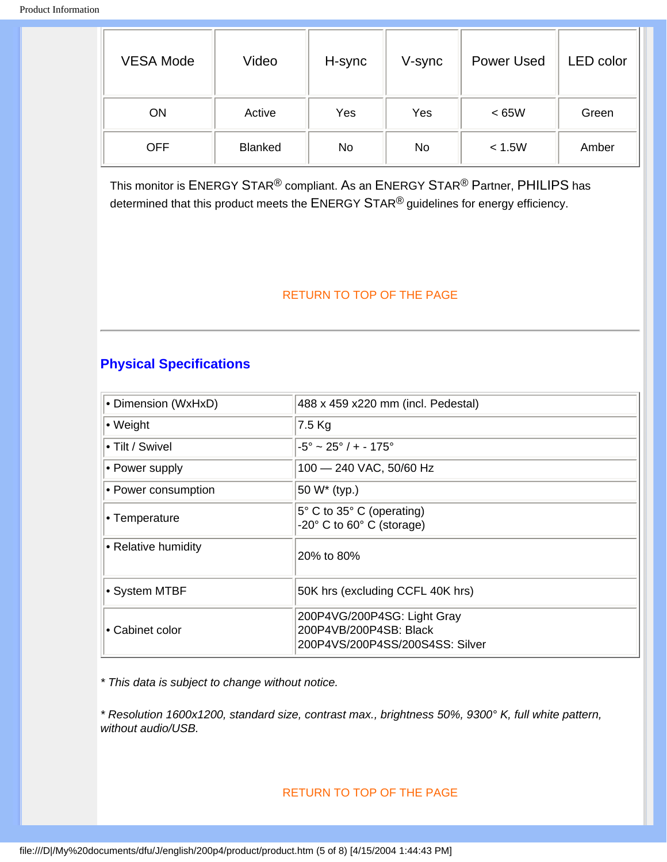| <b>VESA Mode</b> | Video          | H-sync | V-sync | <b>Power Used</b> | <b>LED</b> color |
|------------------|----------------|--------|--------|-------------------|------------------|
| ON               | Active         | Yes    | Yes    | <65W              | Green            |
| <b>OFF</b>       | <b>Blanked</b> | No     | No     | < 1.5W            | Amber            |

This monitor is ENERGY STAR® compliant. As an ENERGY STAR® Partner, PHILIPS has determined that this product meets the ENERGY STAR<sup>®</sup> guidelines for energy efficiency.

#### [RETURN TO TOP OF THE PAGE](#page-5-3)

## <span id="page-9-0"></span>**Physical Specifications**

| • Dimension (WxHxD) | 488 x 459 x220 mm (incl. Pedestal)                                                       |
|---------------------|------------------------------------------------------------------------------------------|
| • Weight            | 7.5 Kg                                                                                   |
| • Tilt / Swivel     | $-5^{\circ} \sim 25^{\circ}/+ -175^{\circ}$                                              |
| • Power supply      | 100 - 240 VAC, 50/60 Hz                                                                  |
| • Power consumption | 50 W* (typ.)                                                                             |
| • Temperature       | 5° C to 35° C (operating)<br>$-20^\circ$ C to 60 $\circ$ C (storage)                     |
| • Relative humidity | 20% to 80%                                                                               |
| • System MTBF       | 50K hrs (excluding CCFL 40K hrs)                                                         |
| • Cabinet color     | 200P4VG/200P4SG: Light Gray<br>200P4VB/200P4SB: Black<br>200P4VS/200P4SS/200S4SS: Silver |

*\* This data is subject to change without notice.*

*\* Resolution 1600x1200, standard size, contrast max., brightness 50%, 9300° K, full white pattern, without audio/USB.*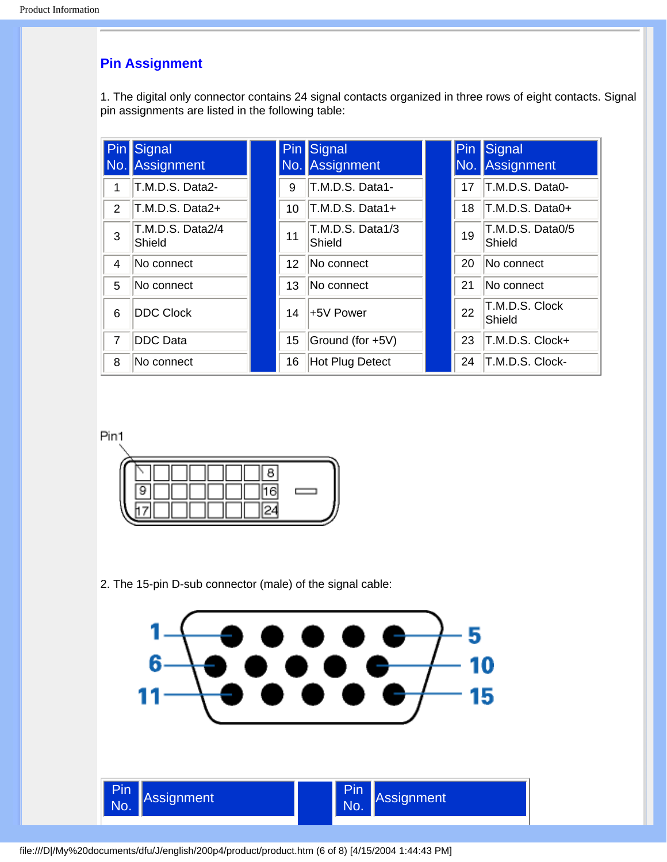## **Pin Assignment**

1. The digital only connector contains 24 signal contacts organized in three rows of eight contacts. Signal pin assignments are listed in the following table:

|                | <b>Pin</b> Signal<br>No. Assignment |    | <b>Pin</b> Signal<br>No. Assignment | Pin <br>No. | Signal<br>Assignment       |
|----------------|-------------------------------------|----|-------------------------------------|-------------|----------------------------|
|                | T.M.D.S. Data2-                     | 9  | T.M.D.S. Data1-                     | 17          | T.M.D.S. Data0-            |
| 2              | T.M.D.S. Data2+                     | 10 | T.M.D.S. Data1+                     | 18          | T.M.D.S. Data0+            |
| 3              | T.M.D.S. Data2/4<br>Shield          | 11 | T.M.D.S. Data1/3<br>Shield          | 19          | T.M.D.S. Data0/5<br>Shield |
| 4              | No connect                          | 12 | No connect                          | 20          | No connect                 |
| 5              | No connect                          | 13 | No connect                          | 21          | No connect                 |
| 6              | <b>DDC Clock</b>                    | 14 | +5V Power                           | 22          | T.M.D.S. Clock<br>Shield   |
| $\overline{7}$ | <b>DDC Data</b>                     | 15 | Ground (for +5V)                    | 23          | T.M.D.S. Clock+            |
| 8              | No connect                          | 16 | Hot Plug Detect                     | 24          | T.M.D.S. Clock-            |

Pin1



2. The 15-pin D-sub connector (male) of the signal cable:



file:///D|/My%20documents/dfu/J/english/200p4/product/product.htm (6 of 8) [4/15/2004 1:44:43 PM]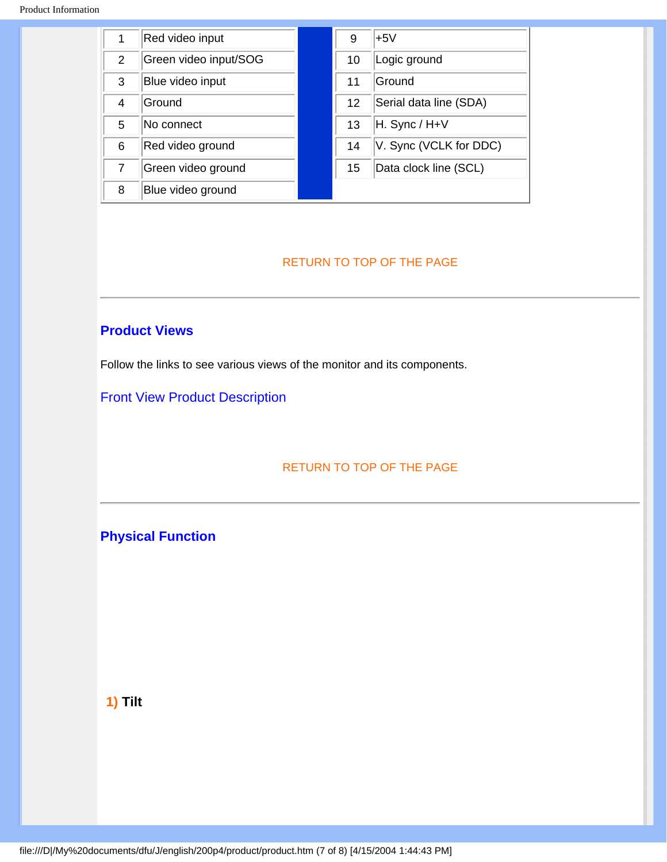| 1              | Red video input       | 9  | $+5V$                  |
|----------------|-----------------------|----|------------------------|
| $\overline{2}$ | Green video input/SOG | 10 | Logic ground           |
| 3              | Blue video input      | 11 | Ground                 |
| 4              | Ground                | 12 | Serial data line (SDA) |
| 5              | No connect            | 13 | H. Sync / H+V          |
| 6              | Red video ground      | 14 | V. Sync (VCLK for DDC) |
| 7              | Green video ground    | 15 | Data clock line (SCL)  |
| 8              | Blue video ground     |    |                        |

## <span id="page-11-0"></span>**Product Views**

Follow the links to see various views of the monitor and its components.

[Front View Product Description](#page-13-1)

[RETURN TO TOP OF THE PAGE](#page-5-3)

<span id="page-11-1"></span>**Physical Function**

**1) Tilt**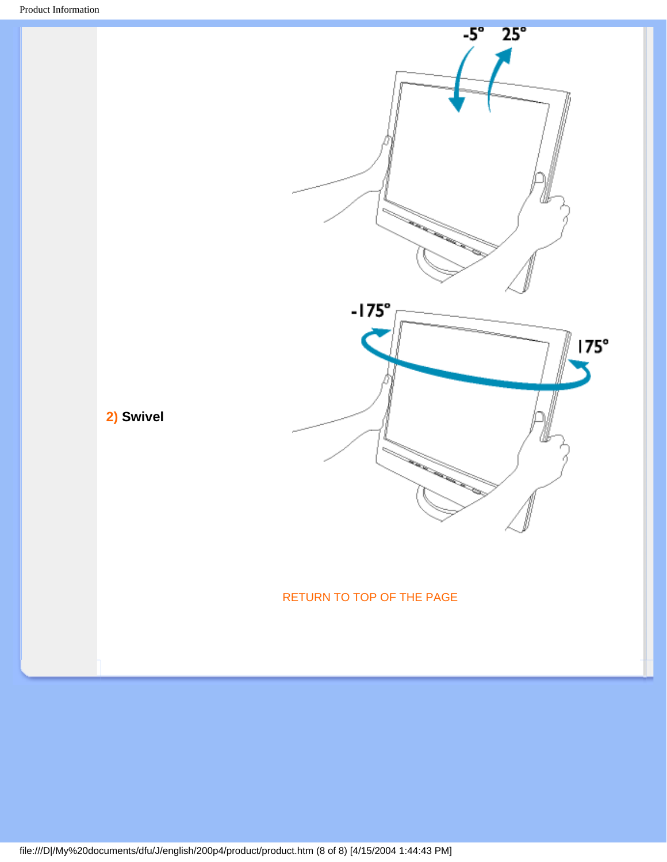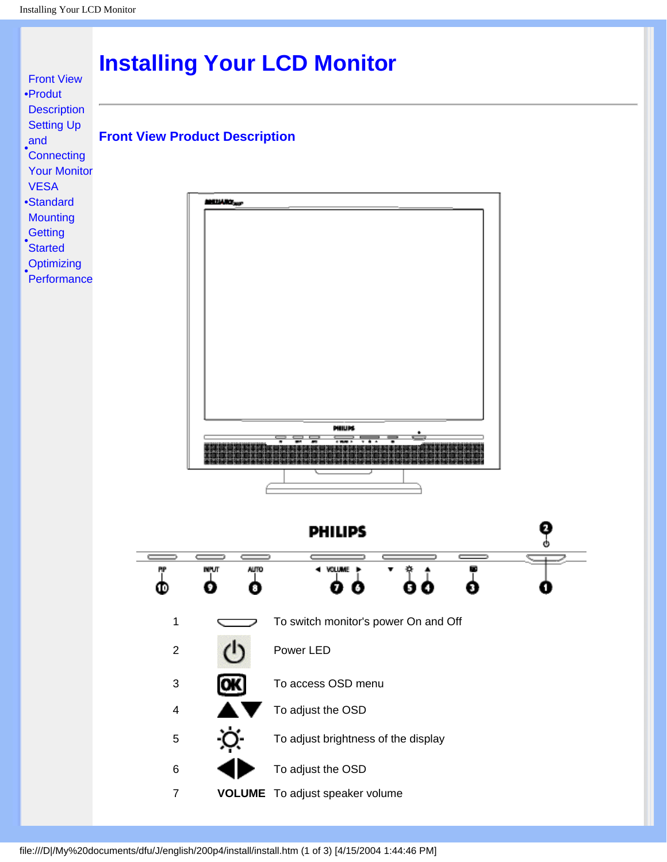<span id="page-13-2"></span><span id="page-13-1"></span><span id="page-13-0"></span>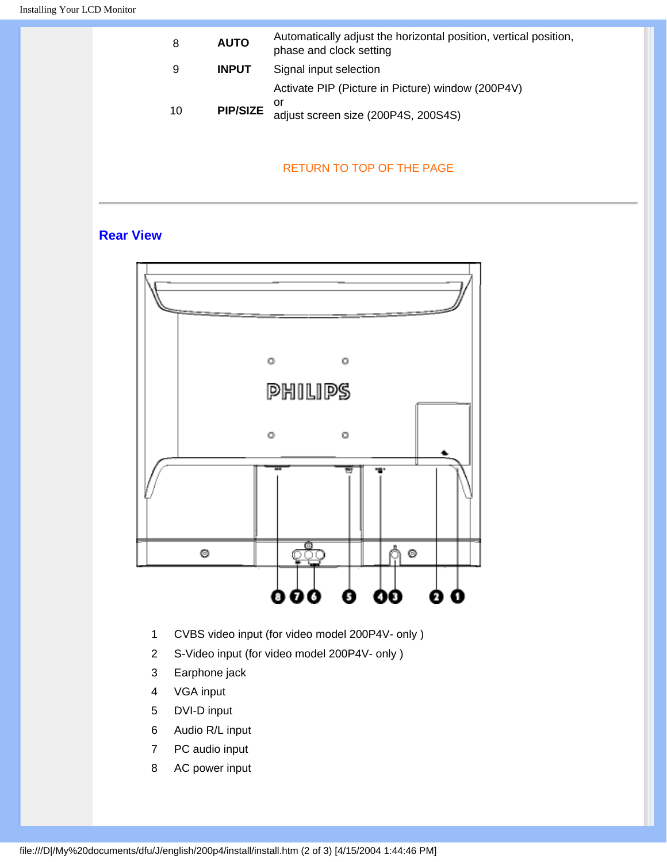| 8  | <b>AUTO</b>     | Automatically adjust the horizontal position, vertical position,<br>phase and clock setting |
|----|-----------------|---------------------------------------------------------------------------------------------|
| 9  | <b>INPUT</b>    | Signal input selection                                                                      |
|    |                 | Activate PIP (Picture in Picture) window (200P4V)                                           |
| 10 | <b>PIP/SIZE</b> | or<br>adjust screen size (200P4S, 200S4S)                                                   |

## **Rear View**



- 1 CVBS video input (for video model 200P4V- only )
- 2 S-Video input (for video model 200P4V- only )
- 3 Earphone jack
- 4 VGA input
- 5 DVI-D input
- 6 Audio R/L input
- 7 PC audio input
- 8 AC power input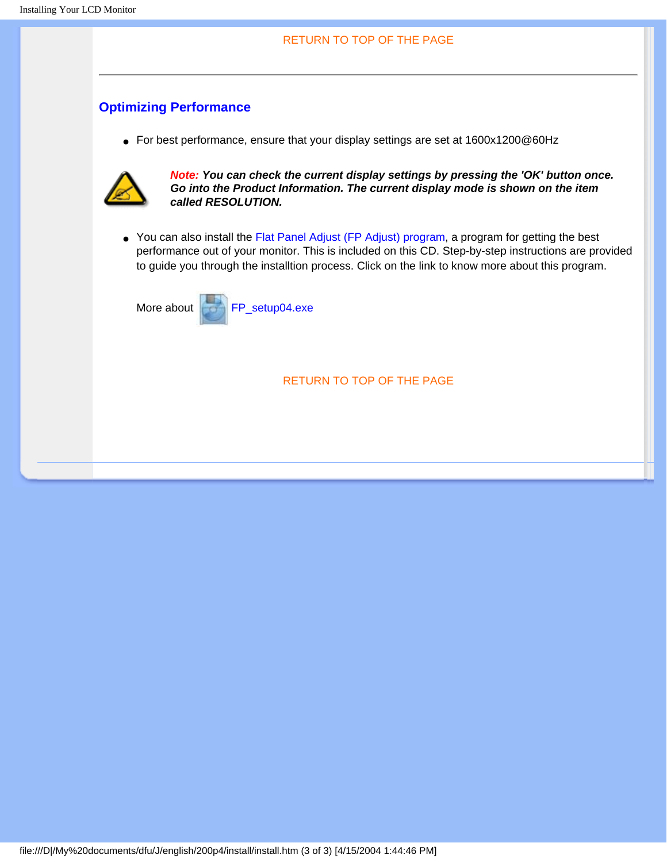## <span id="page-15-0"></span>**Optimizing Performance**

● For best performance, ensure that your display settings are set at 1600x1200@60Hz



*Note: You can check the current display settings by pressing the 'OK' button once. Go into the Product Information. The current display mode is shown on the item called RESOLUTION.*

● You can also install the Flat Panel Adjust (FP Adjust) program, a program for getting the best performance out of your monitor. This is included on this CD. Step-by-step instructions are provided to guide you through the installtion process. Click on the link to know more about this program.

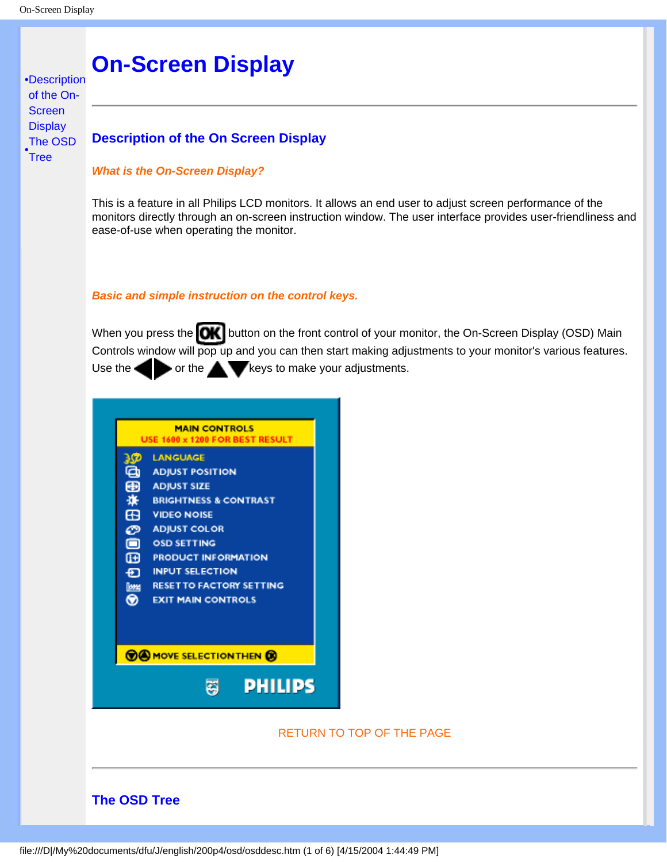<span id="page-16-3"></span><span id="page-16-0"></span>[•](#page-16-0)[Description](#page-16-1)  [of the On-](#page-16-1)**Screen [Display](#page-16-1)** 

[Tree](#page-16-2)

# **On-Screen Display**

## <span id="page-16-1"></span>The OSD<br>[•](#page-16-0)Trac **Description of the On Screen Display**

*What is the On-Screen Display?*

This is a feature in all Philips LCD monitors. It allows an end user to adjust screen performance of the monitors directly through an on-screen instruction window. The user interface provides user-friendliness and ease-of-use when operating the monitor.

*Basic and simple instruction on the control keys.*

When you press the **CK** button on the front control of your monitor, the On-Screen Display (OSD) Main Controls window will pop up and you can then start making adjustments to your monitor's various features. Use the  $\blacktriangleright$  or the  $\blacktriangleright$  keys to make your adjustments.



## <span id="page-16-2"></span>**The OSD Tree**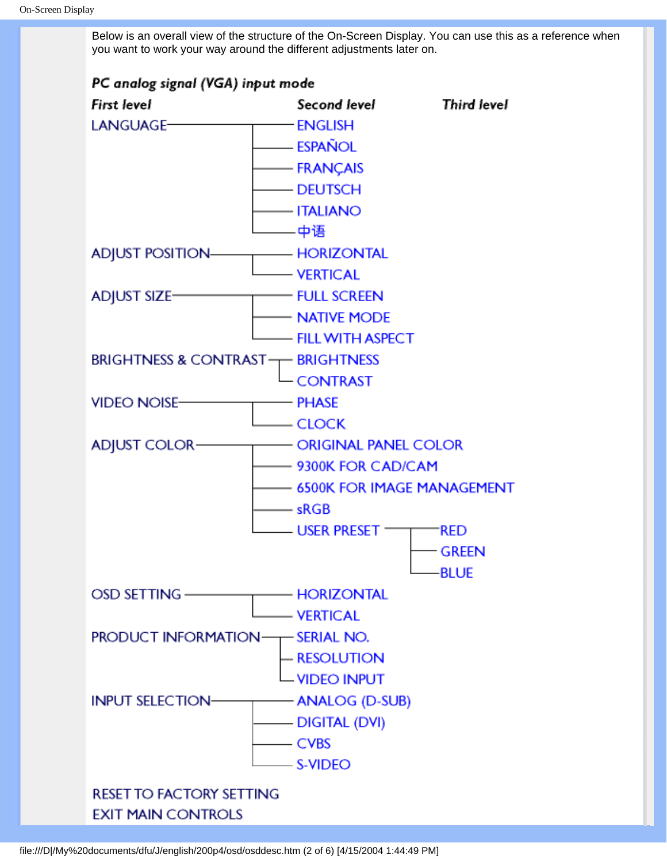Below is an overall view of the structure of the On-Screen Display. You can use this as a reference when you want to work your way around the different adjustments later on.

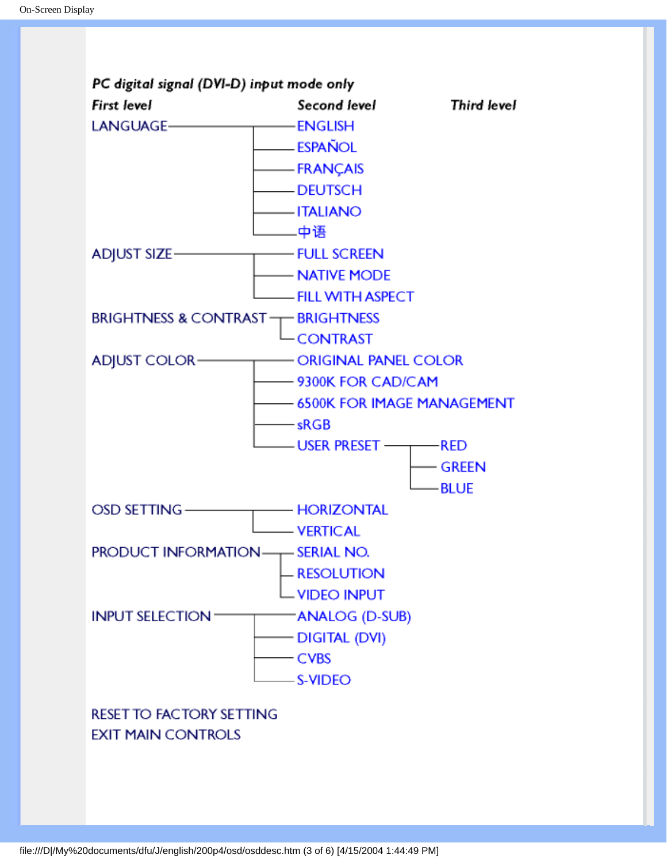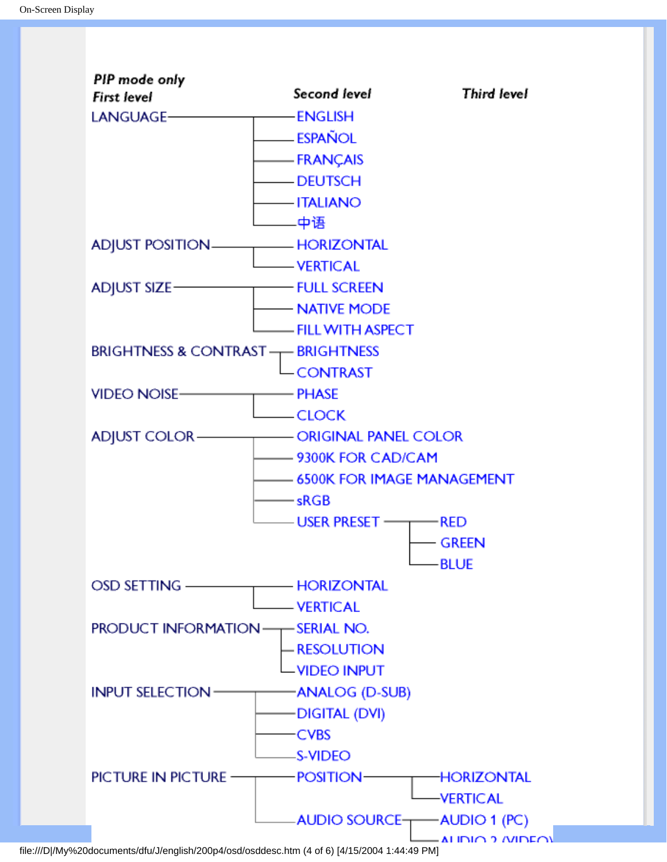

file:///D|/My%20documents/dfu/J/english/200p4/osd/osddesc.htm (4 of 6) [4/15/2004 1:44:49 PM]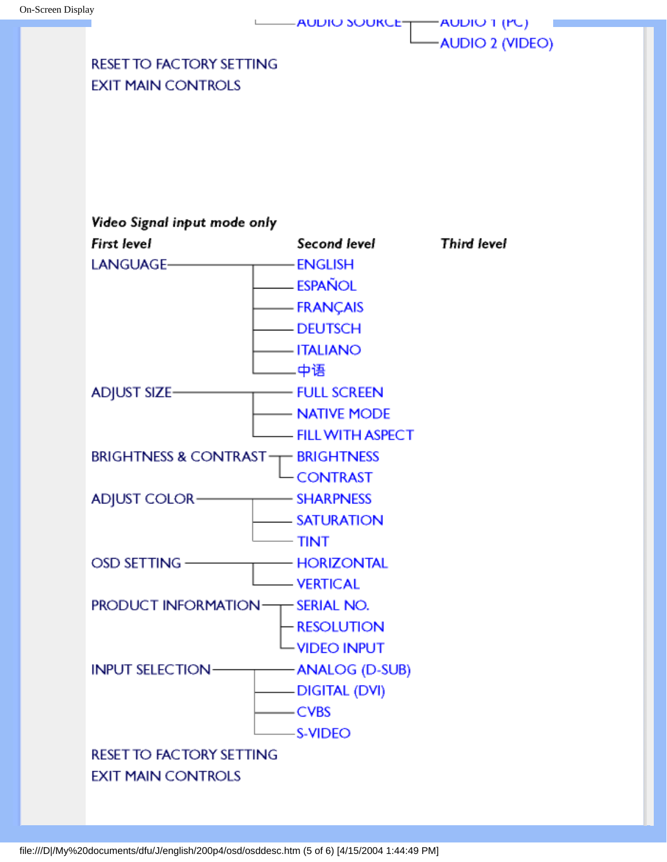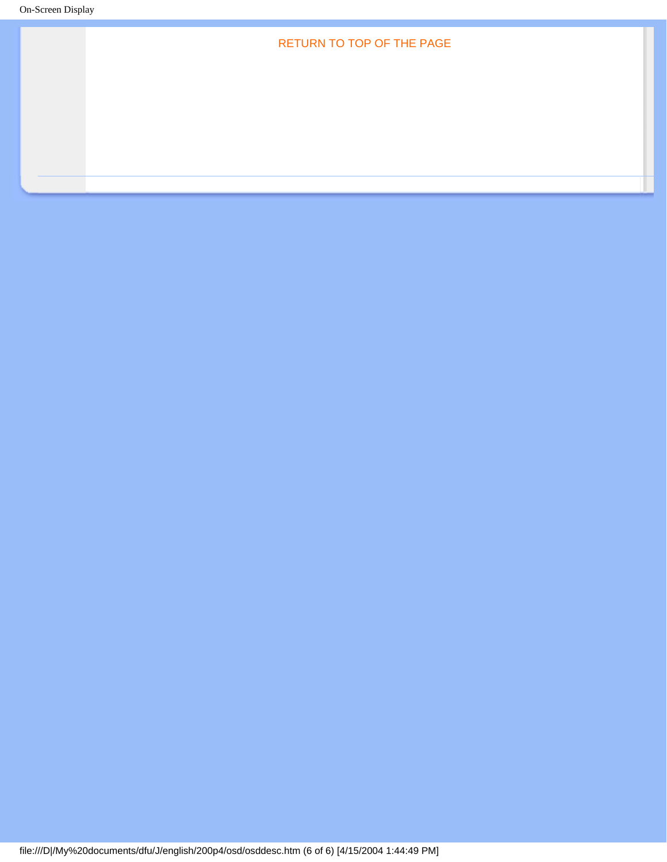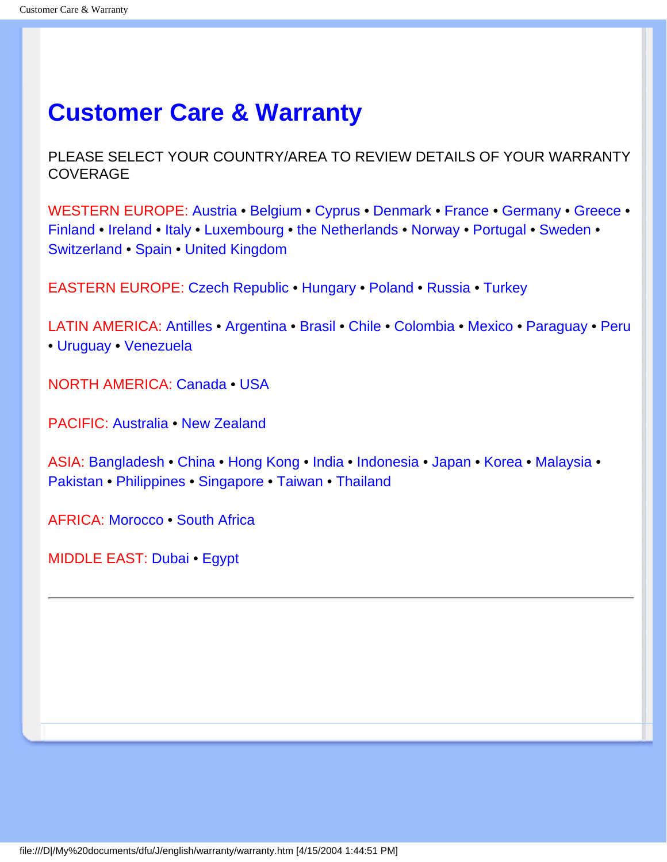## <span id="page-22-0"></span>**Customer Care & Warranty**

PLEASE SELECT YOUR COUNTRY/AREA TO REVIEW DETAILS OF YOUR WARRANTY **COVERAGE** 

WESTERN EUROPE: [Austria](#page-67-0) • [Belgium](#page-67-0) • [Cyprus](#page-67-0) • [Denmark](#page-67-0) • [France](#page-67-0) • [Germany](#page-67-0) • [Greece](#page-67-0) • [Finland](#page-67-0) • [Ireland](#page-67-0) • [Italy](#page-67-0) • [Luxembourg](#page-67-0) • [the Netherlands](#page-67-0) • [Norway](#page-67-0) • [Portugal](#page-67-0) • [Sweden](#page-67-0) • [Switzerland](#page-67-0) • [Spain](#page-67-0) • [United Kingdom](#page-67-0)

EASTERN EUROPE: [Czech Republic](#page-69-0) • [Hungary](#page-69-0) • [Poland](#page-69-0) • [Russia](#page-69-0) • [Turkey](#page-69-0)

LATIN AMERICA: [Antilles](#page-69-0) • [Argentina](#page-69-0) • [Brasil](#page-69-0) • [Chile](#page-69-0) • [Colombia](#page-69-0) • [Mexico](#page-69-0) • [Paraguay](#page-69-0) • [Peru](#page-69-0) • [Uruguay](#page-69-0) • [Venezuela](#page-69-0)

NORTH AMERICA: [Canada](#page-71-0) • [USA](#page-71-0)

PACIFIC: [Australia](#page-69-0) • [New Zealand](#page-69-0)

ASIA: [Bangladesh](#page-69-0) • [China](#page-69-0) • [Hong Kong](#page-69-0) • [India](#page-69-0) • [Indonesia](#page-69-0) • [Japan](#page-69-0) • [Korea](#page-69-0) • [Malaysia](#page-69-0) • [Pakistan](#page-69-0) • [Philippines](#page-69-0) • [Singapore](#page-69-0) • [Taiwan](#page-69-0) • [Thailand](#page-69-0)

AFRICA: [Morocco](#page-69-0) • [South Africa](#page-69-0)

MIDDLE EAST: [Dubai](#page-69-0) • [Egypt](#page-69-0)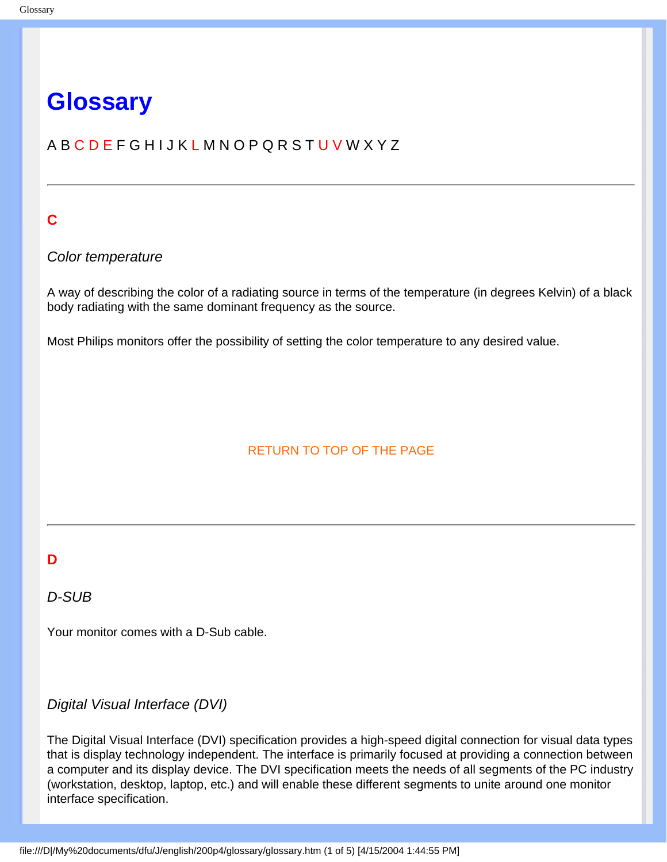## <span id="page-23-0"></span>**Glossary**

## A B C D E F G H I J K L M N O P Q R S T U V W X Y Z

## **C**

## *Color temperature*

A way of describing the color of a radiating source in terms of the temperature (in degrees Kelvin) of a black body radiating with the same dominant frequency as the source.

Most Philips monitors offer the possibility of setting the color temperature to any desired value.

## RETURN TO TOP OF THE PAGE

## **D**

## *D-SUB*

Your monitor comes with a D-Sub cable.

## *Digital Visual Interface (DVI)*

The Digital Visual Interface (DVI) specification provides a high-speed digital connection for visual data types that is display technology independent. The interface is primarily focused at providing a connection between a computer and its display device. The DVI specification meets the needs of all segments of the PC industry (workstation, desktop, laptop, etc.) and will enable these different segments to unite around one monitor interface specification.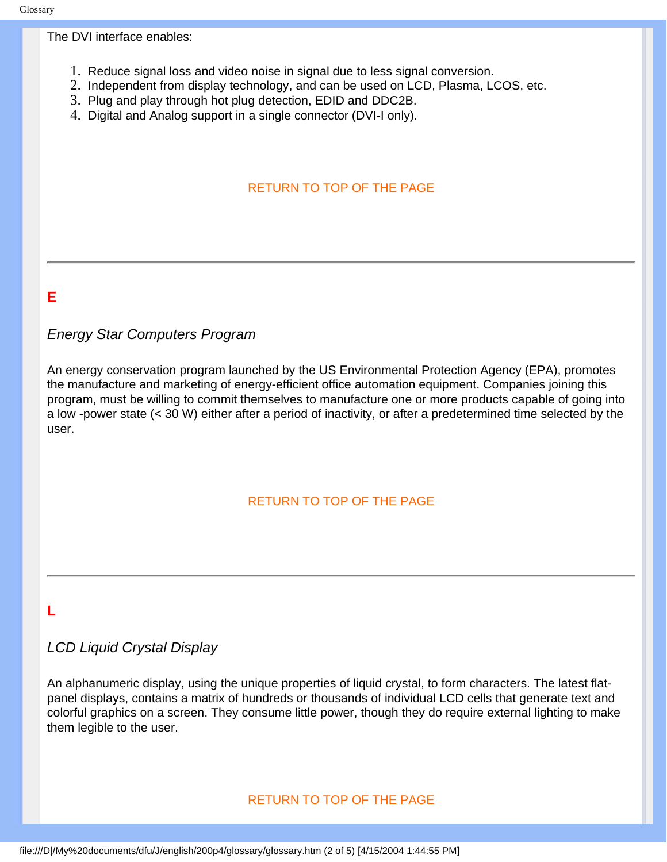## The DVI interface enables:

- 1. Reduce signal loss and video noise in signal due to less signal conversion.
- 2. Independent from display technology, and can be used on LCD, Plasma, LCOS, etc.
- 3. Plug and play through hot plug detection, EDID and DDC2B.
- 4. Digital and Analog support in a single connector (DVI-I only).

## RETURN TO TOP OF THE PAGE

### **E**

## *Energy Star Computers Program*

An energy conservation program launched by the US Environmental Protection Agency (EPA), promotes the manufacture and marketing of energy-efficient office automation equipment. Companies joining this program, must be willing to commit themselves to manufacture one or more products capable of going into a low -power state (< 30 W) either after a period of inactivity, or after a predetermined time selected by the user.

## RETURN TO TOP OF THE PAGE

## **L**

## *LCD Liquid Crystal Display*

An alphanumeric display, using the unique properties of liquid crystal, to form characters. The latest flatpanel displays, contains a matrix of hundreds or thousands of individual LCD cells that generate text and colorful graphics on a screen. They consume little power, though they do require external lighting to make them legible to the user.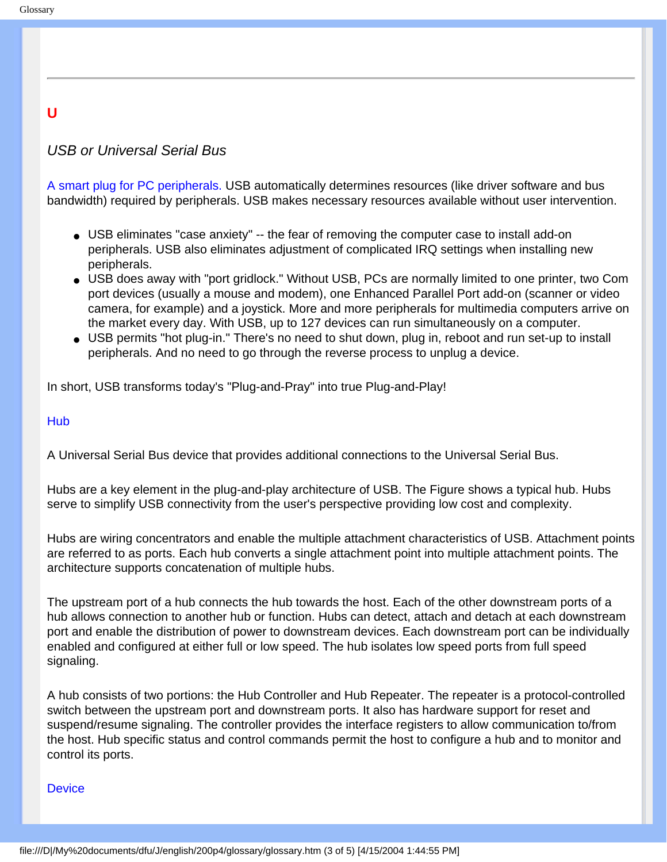## **U**

## *USB or Universal Serial Bus*

A smart plug for PC peripherals. USB automatically determines resources (like driver software and bus bandwidth) required by peripherals. USB makes necessary resources available without user intervention.

- USB eliminates "case anxiety" -- the fear of removing the computer case to install add-on peripherals. USB also eliminates adjustment of complicated IRQ settings when installing new peripherals.
- USB does away with "port gridlock." Without USB, PCs are normally limited to one printer, two Com port devices (usually a mouse and modem), one Enhanced Parallel Port add-on (scanner or video camera, for example) and a joystick. More and more peripherals for multimedia computers arrive on the market every day. With USB, up to 127 devices can run simultaneously on a computer.
- USB permits "hot plug-in." There's no need to shut down, plug in, reboot and run set-up to install peripherals. And no need to go through the reverse process to unplug a device.

In short, USB transforms today's "Plug-and-Pray" into true Plug-and-Play!

#### **Hub**

A Universal Serial Bus device that provides additional connections to the Universal Serial Bus.

Hubs are a key element in the plug-and-play architecture of USB. The Figure shows a typical hub. Hubs serve to simplify USB connectivity from the user's perspective providing low cost and complexity.

Hubs are wiring concentrators and enable the multiple attachment characteristics of USB. Attachment points are referred to as ports. Each hub converts a single attachment point into multiple attachment points. The architecture supports concatenation of multiple hubs.

The upstream port of a hub connects the hub towards the host. Each of the other downstream ports of a hub allows connection to another hub or function. Hubs can detect, attach and detach at each downstream port and enable the distribution of power to downstream devices. Each downstream port can be individually enabled and configured at either full or low speed. The hub isolates low speed ports from full speed signaling.

A hub consists of two portions: the Hub Controller and Hub Repeater. The repeater is a protocol-controlled switch between the upstream port and downstream ports. It also has hardware support for reset and suspend/resume signaling. The controller provides the interface registers to allow communication to/from the host. Hub specific status and control commands permit the host to configure a hub and to monitor and control its ports.

#### **Device**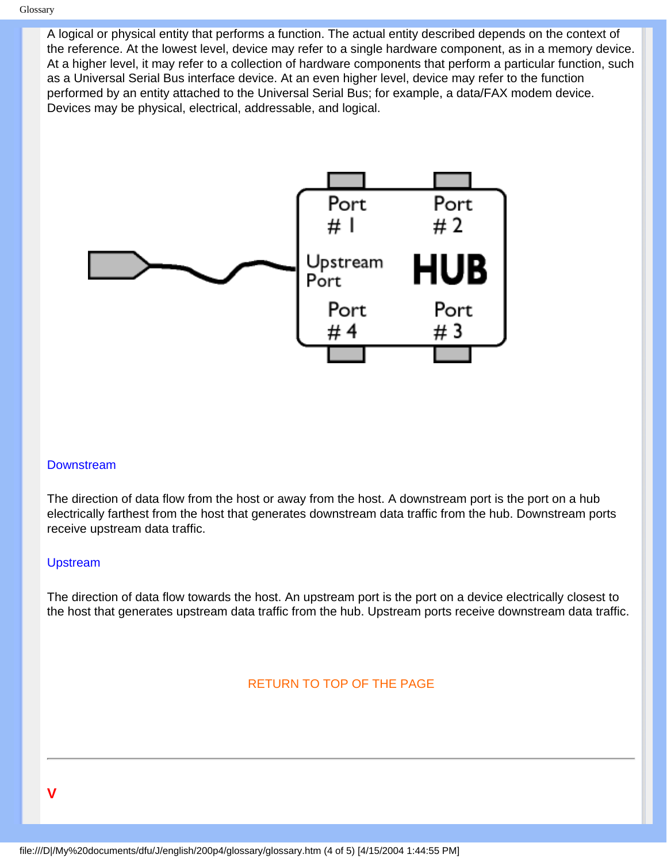A logical or physical entity that performs a function. The actual entity described depends on the context of the reference. At the lowest level, device may refer to a single hardware component, as in a memory device. At a higher level, it may refer to a collection of hardware components that perform a particular function, such as a Universal Serial Bus interface device. At an even higher level, device may refer to the function performed by an entity attached to the Universal Serial Bus; for example, a data/FAX modem device. Devices may be physical, electrical, addressable, and logical.



#### **Downstream**

The direction of data flow from the host or away from the host. A downstream port is the port on a hub electrically farthest from the host that generates downstream data traffic from the hub. Downstream ports receive upstream data traffic.

#### Upstream

The direction of data flow towards the host. An upstream port is the port on a device electrically closest to the host that generates upstream data traffic from the hub. Upstream ports receive downstream data traffic.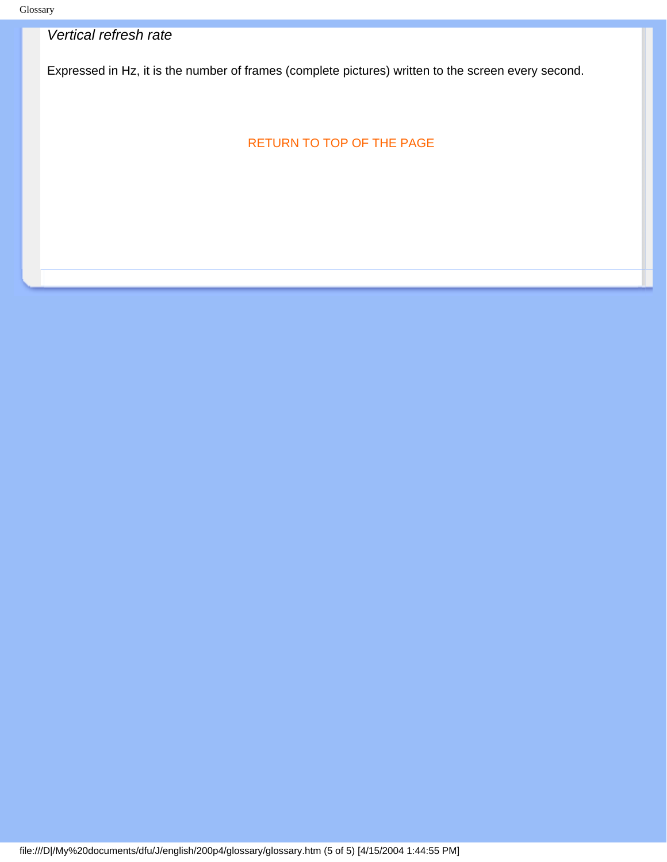## *Vertical refresh rate*

Expressed in Hz, it is the number of frames (complete pictures) written to the screen every second.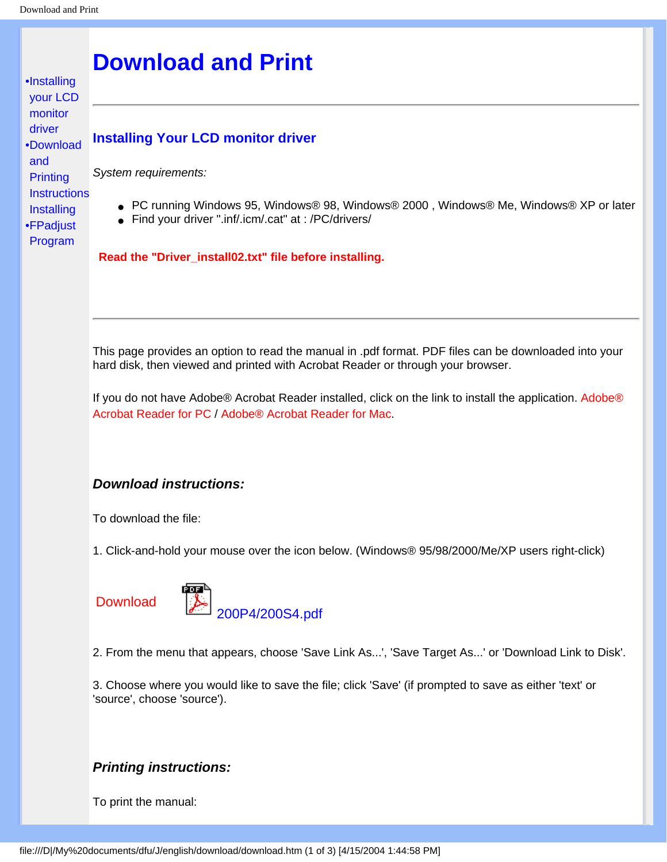<span id="page-28-3"></span><span id="page-28-1"></span><span id="page-28-0"></span>[•](#page-28-0)[Installing](#page-28-1)  [your LCD](#page-28-1)  [monitor](#page-28-1)  [driver](#page-28-1) [•](#page-28-0)[Download](#page-28-2)  [and](#page-28-2) **Printing [Instructions](#page-28-2)** 

[•](#page-28-0) [FPadjust](#page-29-0)  **Installing** 

[Program](#page-29-0)

## **Download and Print**

### **Installing Your LCD monitor driver**

*System requirements:* 

- PC running Windows 95, Windows® 98, Windows® 2000, Windows® Me, Windows® XP or later
- Find your driver ".inf/.icm/.cat" at : /PC/drivers/

**Read the "Driver\_install02.txt" file before installing.** 

<span id="page-28-2"></span>This page provides an option to read the manual in .pdf format. PDF files can be downloaded into your hard disk, then viewed and printed with Acrobat Reader or through your browser.

If you do not have Adobe® Acrobat Reader installed, click on the link to install the application. [Adobe®](file:///D|/My%20documents/dfu/pc/acrobat/ar405eng.exe) [Acrobat Reader for PC](file:///D|/My%20documents/dfu/pc/acrobat/ar405eng.exe) / [Adobe® Acrobat Reader for Mac](file:///D|/My%20documents/dfu/mac/acrobat/Reader%204.05%20Installer).

#### *Download instructions:*

To download the file:

1. Click-and-hold your mouse over the icon below. (Windows® 95/98/2000/Me/XP users right-click)

**Download** 



2. From the menu that appears, choose 'Save Link As...', 'Save Target As...' or 'Download Link to Disk'.

3. Choose where you would like to save the file; click 'Save' (if prompted to save as either 'text' or 'source', choose 'source').

### *Printing instructions:*

To print the manual: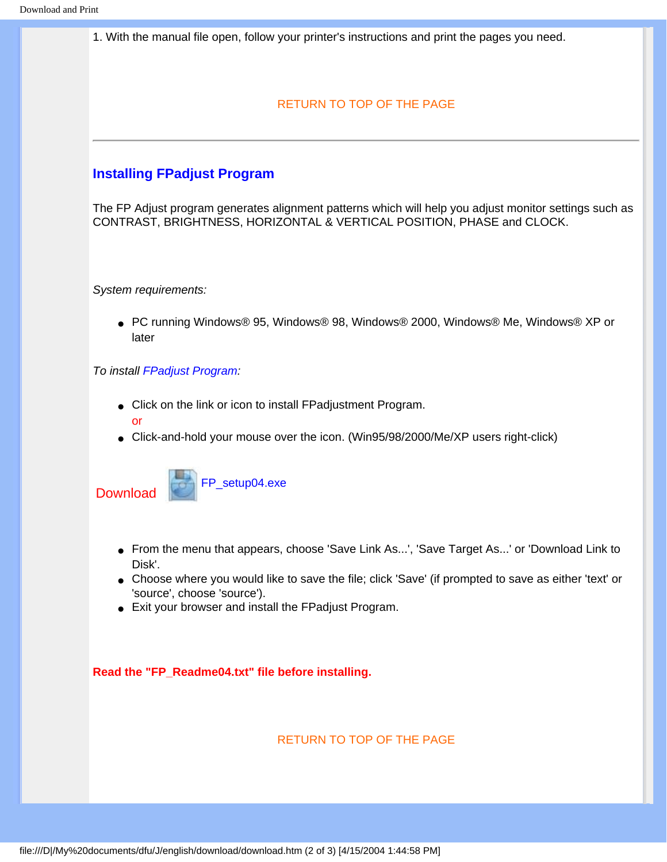1. With the manual file open, follow your printer's instructions and print the pages you need.

#### [RETURN TO TOP OF THE PAGE](#page-28-3)

### <span id="page-29-0"></span>**Installing FPadjust Program**

The FP Adjust program generates alignment patterns which will help you adjust monitor settings such as CONTRAST, BRIGHTNESS, HORIZONTAL & VERTICAL POSITION, PHASE and CLOCK.

*System requirements:* 

● PC running Windows® 95, Windows® 98, Windows® 2000, Windows® Me, Windows® XP or later

#### *To install FPadjust Program:*

- Click on the link or icon to install FPadjustment Program. or
- Click-and-hold your mouse over the icon. (Win95/98/2000/Me/XP users right-click)





- From the menu that appears, choose 'Save Link As...', 'Save Target As...' or 'Download Link to Disk'.
- Choose where you would like to save the file; click 'Save' (if prompted to save as either 'text' or 'source', choose 'source').
- Exit your browser and install the FPadjust Program.

**Read the "FP\_Readme04.txt" file before installing.**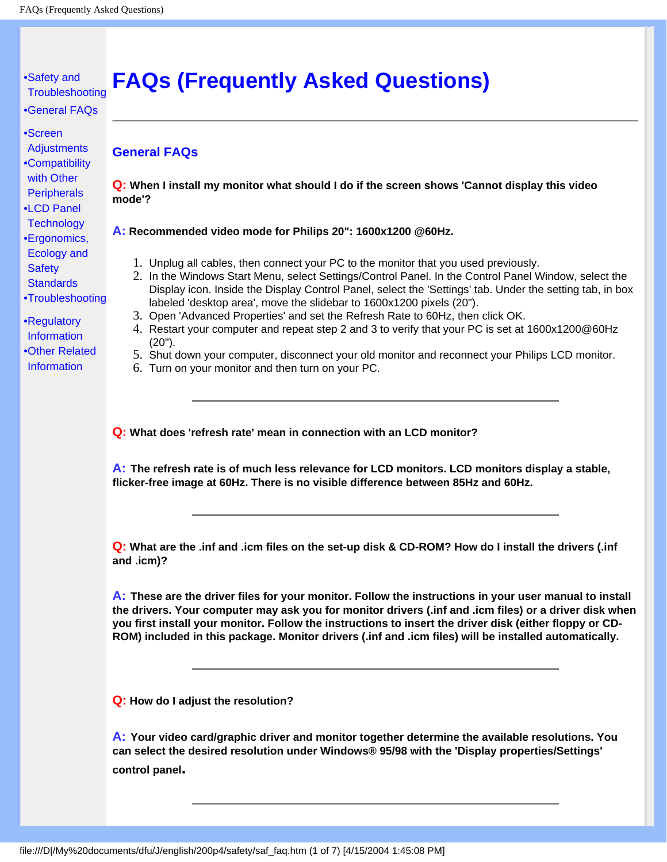#### <span id="page-31-2"></span><span id="page-31-0"></span>[•](#page-31-0) [Safety and](#page-1-0)  **[Troubleshooting](#page-1-0) FAQs (Frequently Asked Questions)**

- [•](#page-31-0) [General FAQs](#page-31-1)
- [•](#page-31-0) [Screen](#page-33-0) **[Adjustments](#page-33-0)**
- <span id="page-31-1"></span>[•](#page-31-0) [Compatibility](#page-34-0) [with Other](#page-34-0)
- **[Peripherals](#page-34-0)** [•](#page-31-0) [LCD Panel](#page-35-0)
- **[Technology](#page-35-0)** [•](#page-31-0) [Ergonomics,](#page-37-0)  [Ecology and](#page-37-0)  **[Safety](#page-37-0)**
- **[Standards](#page-37-0)**
- [•](#page-31-0) [Troubleshooting](#page-38-0)
- [•](#page-31-0) [Regulatory](#page-41-0) [Information](#page-41-0) [•](#page-31-0) [Other Related](#page-54-0) [Information](#page-54-0)

**General FAQs** 

**Q: When I install my monitor what should I do if the screen shows 'Cannot display this video mode'?**

### **A: Recommended video mode for Philips 20": 1600x1200 @60Hz.**

- 1. Unplug all cables, then connect your PC to the monitor that you used previously.
- 2. In the Windows Start Menu, select Settings/Control Panel. In the Control Panel Window, select the Display icon. Inside the Display Control Panel, select the 'Settings' tab. Under the setting tab, in box labeled 'desktop area', move the slidebar to 1600x1200 pixels (20").
- 3. Open 'Advanced Properties' and set the Refresh Rate to 60Hz, then click OK.
- 4. Restart your computer and repeat step 2 and 3 to verify that your PC is set at 1600x1200@60Hz (20").
- 5. Shut down your computer, disconnect your old monitor and reconnect your Philips LCD monitor.
- 6. Turn on your monitor and then turn on your PC.

**Q: What does 'refresh rate' mean in connection with an LCD monitor?**

**A: The refresh rate is of much less relevance for LCD monitors. LCD monitors display a stable, flicker-free image at 60Hz. There is no visible difference between 85Hz and 60Hz.**

**Q: What are the .inf and .icm files on the set-up disk & CD-ROM? How do I install the drivers (.inf and .icm)?**

**A: These are the driver files for your monitor. Follow the instructions in your user manual to install the drivers. Your computer may ask you for monitor drivers (.inf and .icm files) or a driver disk when you first install your monitor. Follow the instructions to insert the driver disk (either floppy or CD-ROM) included in this package. Monitor drivers (.inf and .icm files) will be installed automatically.**

**Q: How do I adjust the resolution?**

**A: Your video card/graphic driver and monitor together determine the available resolutions. You can select the desired resolution under Windows® 95/98 with the 'Display properties/Settings' control panel.**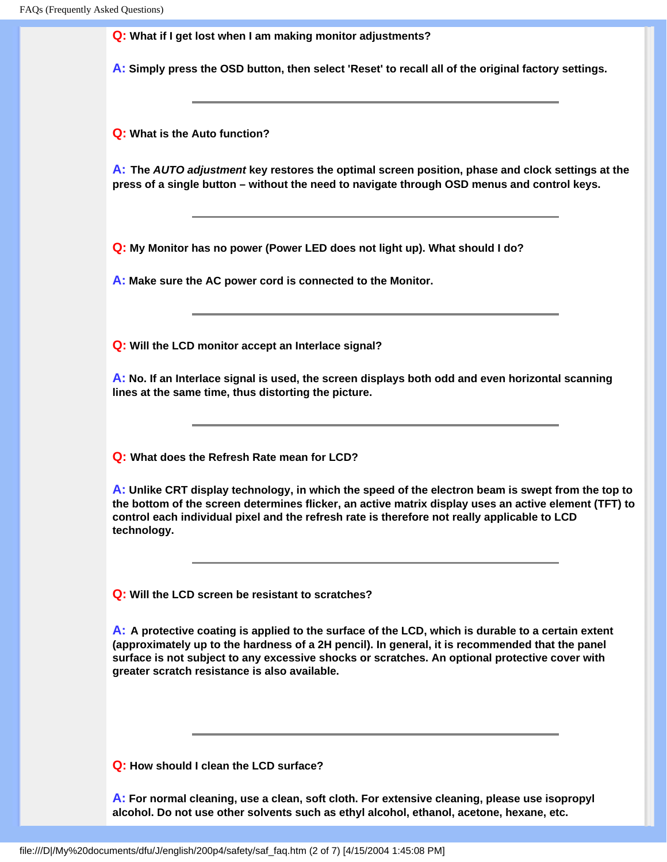**Q: What if I get lost when I am making monitor adjustments?**

**A: Simply press the OSD button, then select 'Reset' to recall all of the original factory settings.**

**Q: What is the Auto function?**

**A: The** *AUTO adjustment* **key restores the optimal screen position, phase and clock settings at the press of a single button – without the need to navigate through OSD menus and control keys.**

**Q: My Monitor has no power (Power LED does not light up). What should I do?**

**A: Make sure the AC power cord is connected to the Monitor.**

**Q: Will the LCD monitor accept an Interlace signal?**

**A: No. If an Interlace signal is used, the screen displays both odd and even horizontal scanning lines at the same time, thus distorting the picture.**

**Q: What does the Refresh Rate mean for LCD?**

**A: Unlike CRT display technology, in which the speed of the electron beam is swept from the top to the bottom of the screen determines flicker, an active matrix display uses an active element (TFT) to control each individual pixel and the refresh rate is therefore not really applicable to LCD technology.** 

**Q: Will the LCD screen be resistant to scratches?**

**A: A protective coating is applied to the surface of the LCD, which is durable to a certain extent (approximately up to the hardness of a 2H pencil). In general, it is recommended that the panel surface is not subject to any excessive shocks or scratches. An optional protective cover with greater scratch resistance is also available.**

**Q: How should I clean the LCD surface?**

**A: For normal cleaning, use a clean, soft cloth. For extensive cleaning, please use isopropyl alcohol. Do not use other solvents such as ethyl alcohol, ethanol, acetone, hexane, etc.**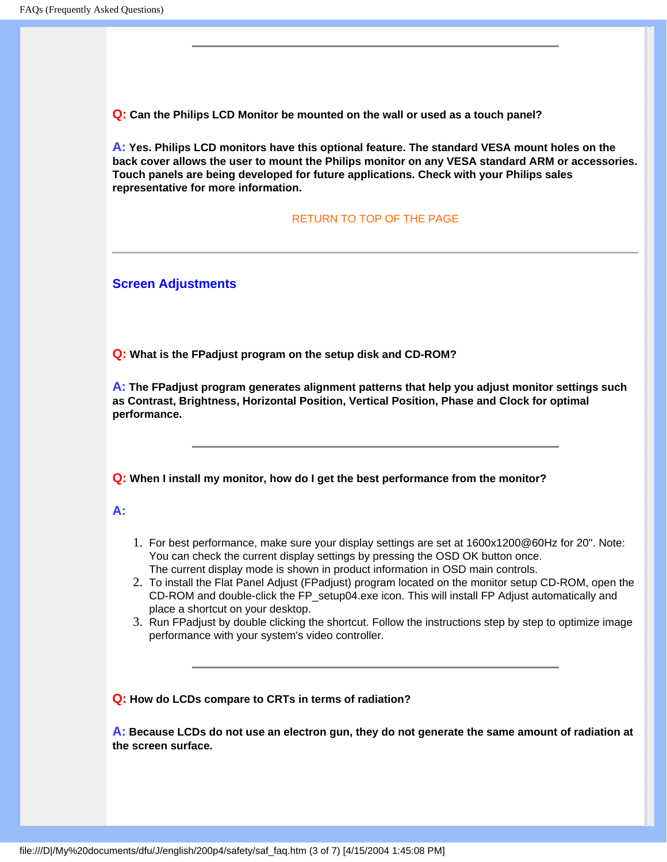**Q: Can the Philips LCD Monitor be mounted on the wall or used as a touch panel?**

**A: Yes. Philips LCD monitors have this optional feature. The standard VESA mount holes on the back cover allows the user to mount the Philips monitor on any VESA standard ARM or accessories. Touch panels are being developed for future applications. Check with your Philips sales representative for more information.**

#### [RETURN TO TOP OF THE PAGE](#page-31-2)

<span id="page-33-0"></span>**Screen Adjustments** 

**Q: What is the FPadjust program on the setup disk and CD-ROM?**

**A: The FPadjust program generates alignment patterns that help you adjust monitor settings such as Contrast, Brightness, Horizontal Position, Vertical Position, Phase and Clock for optimal performance.**

**Q: When I install my monitor, how do I get the best performance from the monitor?**

#### **A:**

- 1. For best performance, make sure your display settings are set at 1600x1200@60Hz for 20". Note: You can check the current display settings by pressing the OSD OK button once. The current display mode is shown in product information in OSD main controls.
- 2. To install the Flat Panel Adjust (FPadjust) program located on the monitor setup CD-ROM, open the CD-ROM and double-click the FP\_setup04.exe icon. This will install FP Adjust automatically and place a shortcut on your desktop.
- 3. Run FPadjust by double clicking the shortcut. Follow the instructions step by step to optimize image performance with your system's video controller.

**Q: How do LCDs compare to CRTs in terms of radiation?**

**A: Because LCDs do not use an electron gun, they do not generate the same amount of radiation at the screen surface.**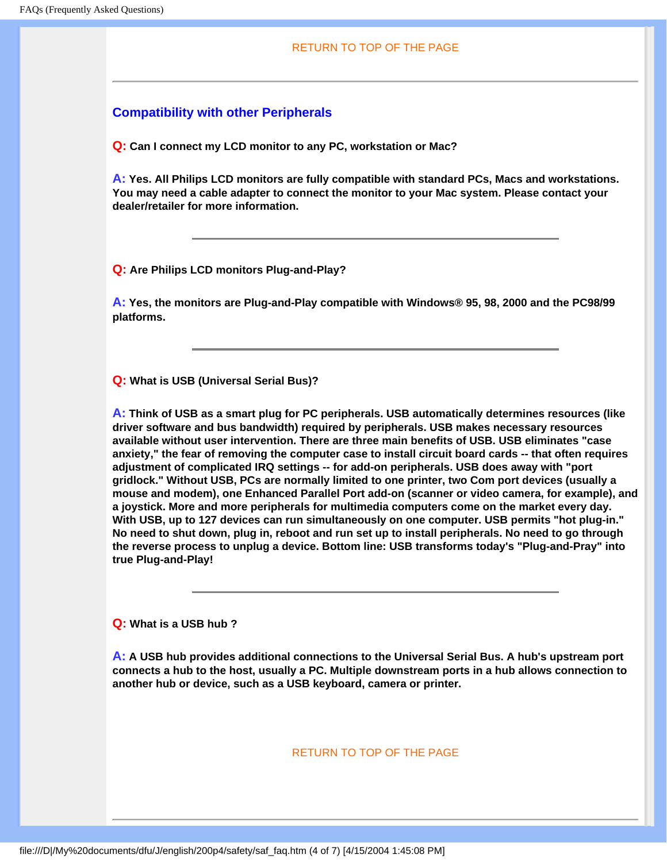#### <span id="page-34-0"></span>**Compatibility with other Peripherals**

**Q: Can I connect my LCD monitor to any PC, workstation or Mac?**

**A: Yes. All Philips LCD monitors are fully compatible with standard PCs, Macs and workstations. You may need a cable adapter to connect the monitor to your Mac system. Please contact your dealer/retailer for more information.**

**Q: Are Philips LCD monitors Plug-and-Play?**

**A: Yes, the monitors are Plug-and-Play compatible with Windows® 95, 98, 2000 and the PC98/99 platforms.**

**Q: What is USB (Universal Serial Bus)?**

**A: Think of USB as a smart plug for PC peripherals. USB automatically determines resources (like driver software and bus bandwidth) required by peripherals. USB makes necessary resources available without user intervention. There are three main benefits of USB. USB eliminates "case anxiety," the fear of removing the computer case to install circuit board cards -- that often requires adjustment of complicated IRQ settings -- for add-on peripherals. USB does away with "port gridlock." Without USB, PCs are normally limited to one printer, two Com port devices (usually a mouse and modem), one Enhanced Parallel Port add-on (scanner or video camera, for example), and a joystick. More and more peripherals for multimedia computers come on the market every day. With USB, up to 127 devices can run simultaneously on one computer. USB permits "hot plug-in." No need to shut down, plug in, reboot and run set up to install peripherals. No need to go through the reverse process to unplug a device. Bottom line: USB transforms today's "Plug-and-Pray" into true Plug-and-Play!**

**Q: What is a USB hub ?** 

**A: A USB hub provides additional connections to the Universal Serial Bus. A hub's upstream port connects a hub to the host, usually a PC. Multiple downstream ports in a hub allows connection to another hub or device, such as a USB keyboard, camera or printer.**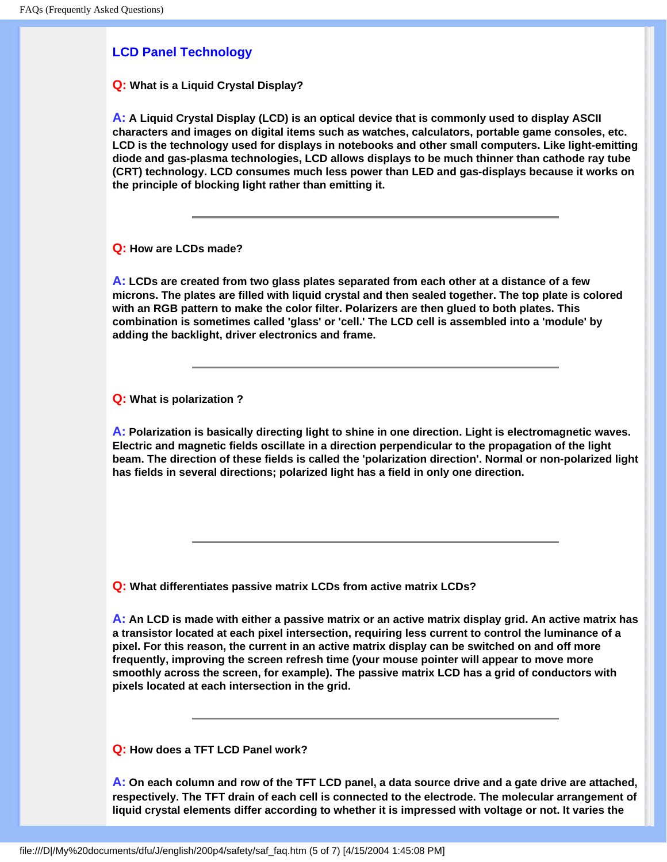## <span id="page-35-0"></span>**LCD Panel Technology**

**Q: What is a Liquid Crystal Display?**

**A: A Liquid Crystal Display (LCD) is an optical device that is commonly used to display ASCII characters and images on digital items such as watches, calculators, portable game consoles, etc. LCD is the technology used for displays in notebooks and other small computers. Like light-emitting diode and gas-plasma technologies, LCD allows displays to be much thinner than cathode ray tube (CRT) technology. LCD consumes much less power than LED and gas-displays because it works on the principle of blocking light rather than emitting it.**

**Q: How are LCDs made?**

**A: LCDs are created from two glass plates separated from each other at a distance of a few microns. The plates are filled with liquid crystal and then sealed together. The top plate is colored with an RGB pattern to make the color filter. Polarizers are then glued to both plates. This combination is sometimes called 'glass' or 'cell.' The LCD cell is assembled into a 'module' by adding the backlight, driver electronics and frame.**

**Q: What is polarization ?**

**A: Polarization is basically directing light to shine in one direction. Light is electromagnetic waves. Electric and magnetic fields oscillate in a direction perpendicular to the propagation of the light beam. The direction of these fields is called the 'polarization direction'. Normal or non-polarized light has fields in several directions; polarized light has a field in only one direction.**

**Q: What differentiates passive matrix LCDs from active matrix LCDs?**

**A: An LCD is made with either a passive matrix or an active matrix display grid. An active matrix has a transistor located at each pixel intersection, requiring less current to control the luminance of a pixel. For this reason, the current in an active matrix display can be switched on and off more frequently, improving the screen refresh time (your mouse pointer will appear to move more smoothly across the screen, for example). The passive matrix LCD has a grid of conductors with pixels located at each intersection in the grid.**

**Q: How does a TFT LCD Panel work?**

**A: On each column and row of the TFT LCD panel, a data source drive and a gate drive are attached, respectively. The TFT drain of each cell is connected to the electrode. The molecular arrangement of liquid crystal elements differ according to whether it is impressed with voltage or not. It varies the**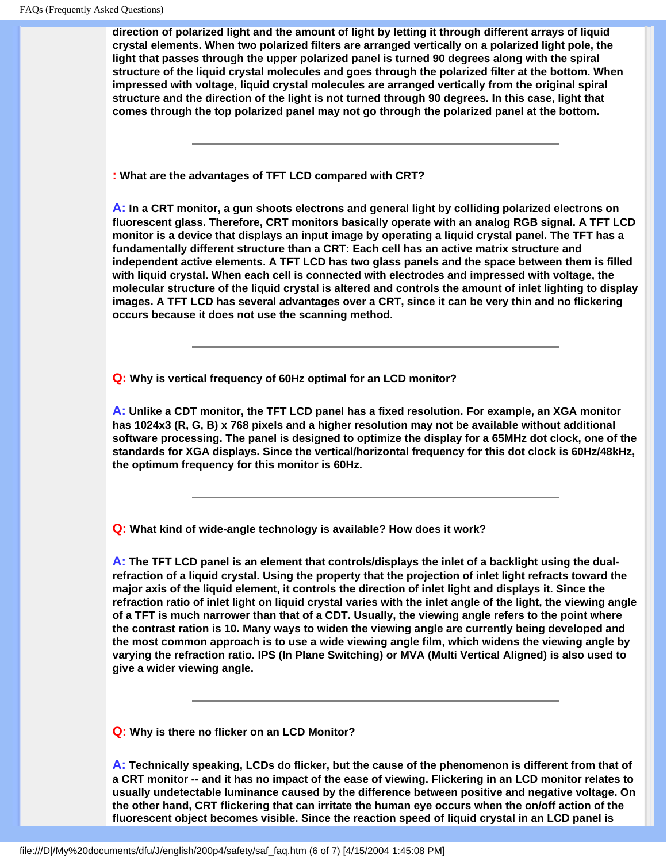**direction of polarized light and the amount of light by letting it through different arrays of liquid crystal elements. When two polarized filters are arranged vertically on a polarized light pole, the light that passes through the upper polarized panel is turned 90 degrees along with the spiral structure of the liquid crystal molecules and goes through the polarized filter at the bottom. When impressed with voltage, liquid crystal molecules are arranged vertically from the original spiral structure and the direction of the light is not turned through 90 degrees. In this case, light that comes through the top polarized panel may not go through the polarized panel at the bottom.**

**: What are the advantages of TFT LCD compared with CRT?**

**A: In a CRT monitor, a gun shoots electrons and general light by colliding polarized electrons on fluorescent glass. Therefore, CRT monitors basically operate with an analog RGB signal. A TFT LCD monitor is a device that displays an input image by operating a liquid crystal panel. The TFT has a fundamentally different structure than a CRT: Each cell has an active matrix structure and independent active elements. A TFT LCD has two glass panels and the space between them is filled with liquid crystal. When each cell is connected with electrodes and impressed with voltage, the molecular structure of the liquid crystal is altered and controls the amount of inlet lighting to display images. A TFT LCD has several advantages over a CRT, since it can be very thin and no flickering occurs because it does not use the scanning method.**

**Q: Why is vertical frequency of 60Hz optimal for an LCD monitor?**

**A: Unlike a CDT monitor, the TFT LCD panel has a fixed resolution. For example, an XGA monitor has 1024x3 (R, G, B) x 768 pixels and a higher resolution may not be available without additional software processing. The panel is designed to optimize the display for a 65MHz dot clock, one of the standards for XGA displays. Since the vertical/horizontal frequency for this dot clock is 60Hz/48kHz, the optimum frequency for this monitor is 60Hz.**

**Q: What kind of wide-angle technology is available? How does it work?**

**A: The TFT LCD panel is an element that controls/displays the inlet of a backlight using the dualrefraction of a liquid crystal. Using the property that the projection of inlet light refracts toward the major axis of the liquid element, it controls the direction of inlet light and displays it. Since the refraction ratio of inlet light on liquid crystal varies with the inlet angle of the light, the viewing angle of a TFT is much narrower than that of a CDT. Usually, the viewing angle refers to the point where the contrast ration is 10. Many ways to widen the viewing angle are currently being developed and the most common approach is to use a wide viewing angle film, which widens the viewing angle by varying the refraction ratio. IPS (In Plane Switching) or MVA (Multi Vertical Aligned) is also used to give a wider viewing angle.** 

**Q: Why is there no flicker on an LCD Monitor?**

**A: Technically speaking, LCDs do flicker, but the cause of the phenomenon is different from that of a CRT monitor -- and it has no impact of the ease of viewing. Flickering in an LCD monitor relates to usually undetectable luminance caused by the difference between positive and negative voltage. On the other hand, CRT flickering that can irritate the human eye occurs when the on/off action of the fluorescent object becomes visible. Since the reaction speed of liquid crystal in an LCD panel is**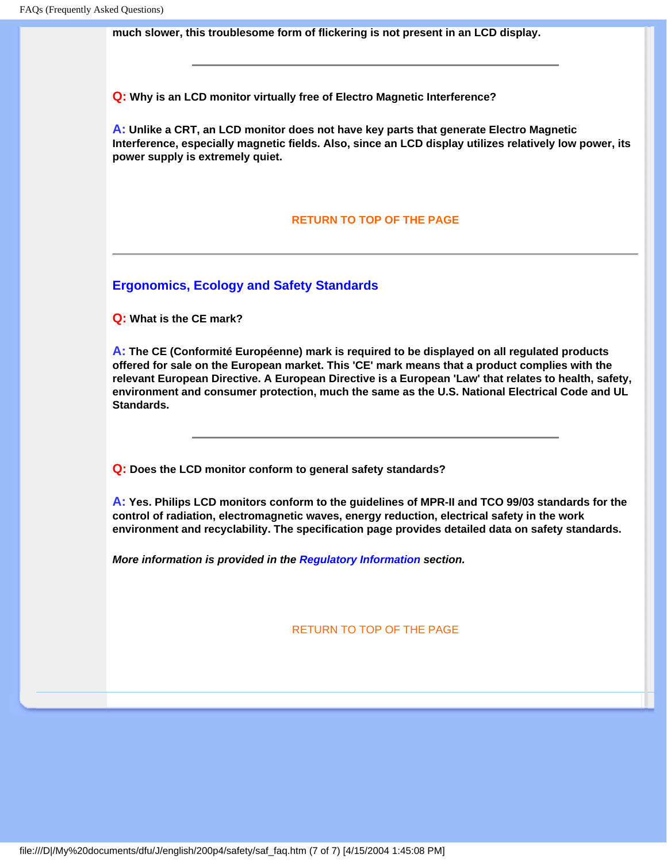**much slower, this troublesome form of flickering is not present in an LCD display.**

**Q: Why is an LCD monitor virtually free of Electro Magnetic Interference?**

**A: Unlike a CRT, an LCD monitor does not have key parts that generate Electro Magnetic Interference, especially magnetic fields. Also, since an LCD display utilizes relatively low power, its power supply is extremely quiet.**

#### **[RETURN TO TOP OF THE PAGE](#page-31-0)**

**Ergonomics, Ecology and Safety Standards**

**Q: What is the CE mark?**

**A: The CE (Conformité Européenne) mark is required to be displayed on all regulated products offered for sale on the European market. This 'CE' mark means that a product complies with the relevant European Directive. A European Directive is a European 'Law' that relates to health, safety, environment and consumer protection, much the same as the U.S. National Electrical Code and UL Standards.**

**Q: Does the LCD monitor conform to general safety standards?**

**A: Yes. Philips LCD monitors conform to the guidelines of MPR-II and TCO 99/03 standards for the control of radiation, electromagnetic waves, energy reduction, electrical safety in the work environment and recyclability. The specification page provides detailed data on safety standards.**

*More information is provided in the [Regulatory Information](#page-41-0) section.*

[RETURN TO TOP OF THE PAGE](#page-31-0)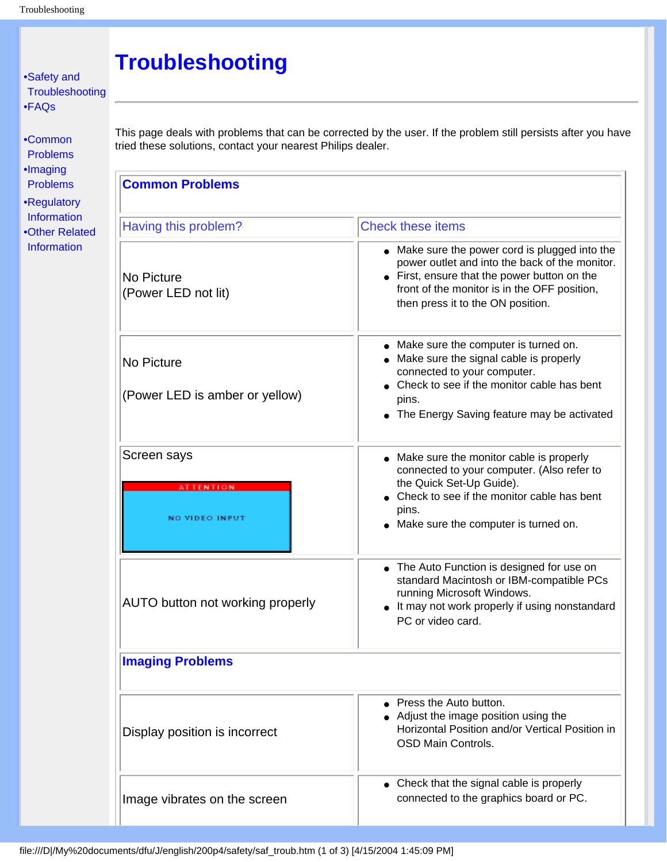#### <span id="page-38-3"></span><span id="page-38-2"></span><span id="page-38-1"></span><span id="page-38-0"></span>**Troubleshooting** [•](#page-38-0) [Safety and](#page-1-0) **[Troubleshooting](#page-1-0)** [•](#page-38-0) [FAQs](#page-31-1) This page deals with problems that can be corrected by the user. If the problem still persists after you have [•](#page-38-0) [Common](#page-38-1) tried these solutions, contact your nearest Philips dealer. [Problems](#page-38-1) [•](#page-38-0) [Imaging](#page-38-2) **Common Problems** [Problems](#page-38-2) [•](#page-38-0) [Regulatory](#page-41-0)  [Information](#page-41-0) Having this problem? Check these items [•](#page-38-0)Other Related [Information](#page-54-0) ● Make sure the power cord is plugged into the power outlet and into the back of the monitor. ● First, ensure that the power button on the No Picture front of the monitor is in the OFF position, (Power LED not lit) then press it to the ON position. • Make sure the computer is turned on. ● Make sure the signal cable is properly No Picture connected to your computer. • Check to see if the monitor cable has bent (Power LED is amber or yellow) pins. • The Energy Saving feature may be activated Screen says **be a matter of the monitor of the monitor** cable is properly connected to your computer. (Also refer to the Quick Set-Up Guide). *FENTION* • Check to see if the monitor cable has bent pins. NO VIDEO INPUT ● Make sure the computer is turned on. • The Auto Function is designed for use on standard Macintosh or IBM-compatible PCs running Microsoft Windows. AUTO button not working properly • It may not work properly if using nonstandard PC or video card. **Imaging Problems** • Press the Auto button. ● Adjust the image position using the Horizontal Position and/or Vertical Position in Display position is incorrect OSD Main Controls. • Check that the signal cable is properly connected to the graphics board or PC. Image vibrates on the screen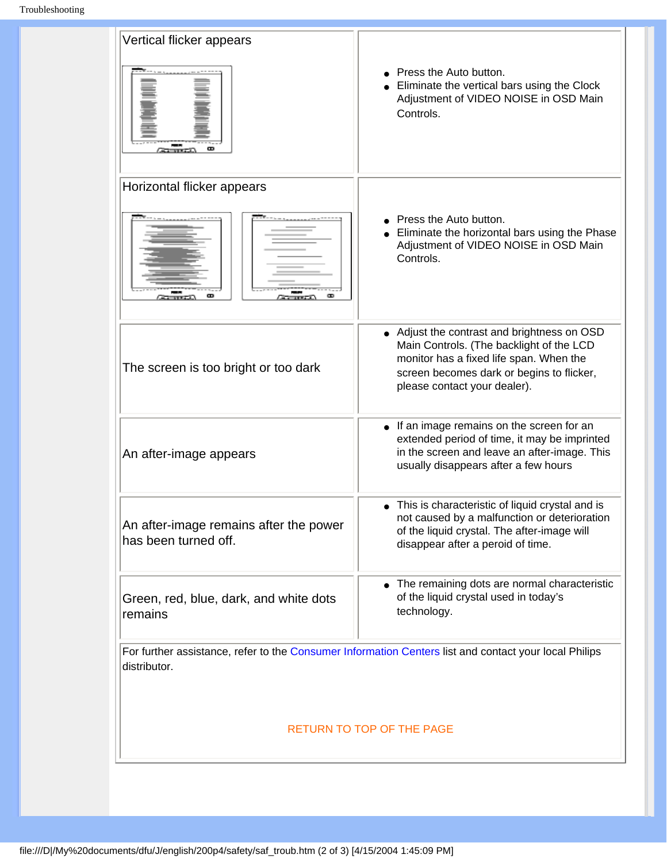| Vertical flicker appears                                       |                                                                                                                                                                                                                 |
|----------------------------------------------------------------|-----------------------------------------------------------------------------------------------------------------------------------------------------------------------------------------------------------------|
|                                                                | Press the Auto button.<br>Eliminate the vertical bars using the Clock<br>Adjustment of VIDEO NOISE in OSD Main<br>Controls.                                                                                     |
| Horizontal flicker appears                                     |                                                                                                                                                                                                                 |
|                                                                | Press the Auto button.<br>Eliminate the horizontal bars using the Phase<br>Adjustment of VIDEO NOISE in OSD Main<br>Controls.                                                                                   |
| The screen is too bright or too dark                           | • Adjust the contrast and brightness on OSD<br>Main Controls. (The backlight of the LCD<br>monitor has a fixed life span. When the<br>screen becomes dark or begins to flicker,<br>please contact your dealer). |
| An after-image appears                                         | • If an image remains on the screen for an<br>extended period of time, it may be imprinted<br>in the screen and leave an after-image. This<br>usually disappears after a few hours                              |
| An after-image remains after the power<br>has been turned off. | This is characteristic of liquid crystal and is<br>not caused by a malfunction or deterioration<br>of the liquid crystal. The after-image will<br>disappear after a peroid of time.                             |
| Green, red, blue, dark, and white dots<br>remains              | • The remaining dots are normal characteristic<br>of the liquid crystal used in today's<br>technology.                                                                                                          |
| distributor.                                                   | For further assistance, refer to the Consumer Information Centers list and contact your local Philips                                                                                                           |
|                                                                | RETURN TO TOP OF THE PAGE                                                                                                                                                                                       |
|                                                                |                                                                                                                                                                                                                 |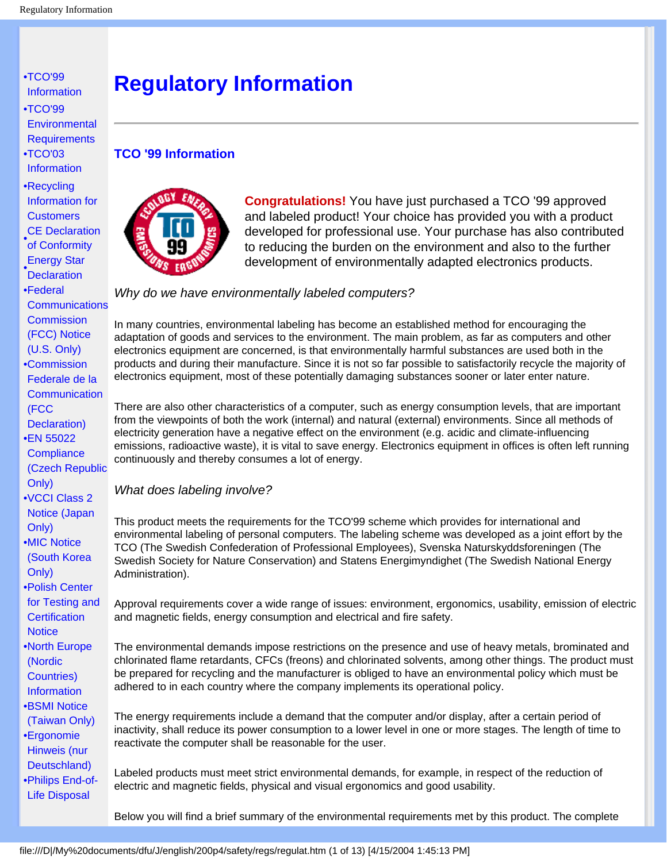- <span id="page-41-0"></span>[•](#page-41-0) TCO'99 Information
- [•](#page-41-0)TCO'99 **Environmental Requirements**
- [•](#page-41-0)TCO'03 Information

[•](#page-41-0)Recycling Information for **Customers** CE Declaration

- of Conformity
- **Declaration** Energy Star
- [•](#page-41-0)Federal **Communications Commission** (FCC) Notice

(U.S. Only)

- [•](#page-41-0)Commission Federale de la **Communication** (FCC Declaration)
- [•](#page-41-0)EN 55022 **Compliance** (Czech Republic Only)
- [•](#page-41-0)VCCI Class 2 Notice (Japan Only)
- [•](#page-41-0)MIC Notice (South Korea Only)
- [•](#page-41-0)Polish Center for Testing and **Certification Notice**
- [•](#page-41-0)North Europe (Nordic Countries) **Information**
- [•](#page-41-0)BSMI Notice (Taiwan Only)
- [•](#page-41-0)Ergonomie Hinweis (nur
- Deutschland) [•](#page-41-0)Philips End-of-Life Disposal

## **Regulatory Information**

#### **TCO '99 Information**



**Congratulations!** You have just purchased a TCO '99 approved and labeled product! Your choice has provided you with a product developed for professional use. Your purchase has also contributed to reducing the burden on the environment and also to the further development of environmentally adapted electronics products.

#### *Why do we have environmentally labeled computers?*

In many countries, environmental labeling has become an established method for encouraging the adaptation of goods and services to the environment. The main problem, as far as computers and other electronics equipment are concerned, is that environmentally harmful substances are used both in the products and during their manufacture. Since it is not so far possible to satisfactorily recycle the majority of electronics equipment, most of these potentially damaging substances sooner or later enter nature.

There are also other characteristics of a computer, such as energy consumption levels, that are important from the viewpoints of both the work (internal) and natural (external) environments. Since all methods of electricity generation have a negative effect on the environment (e.g. acidic and climate-influencing emissions, radioactive waste), it is vital to save energy. Electronics equipment in offices is often left running continuously and thereby consumes a lot of energy.

#### *What does labeling involve?*

This product meets the requirements for the TCO'99 scheme which provides for international and environmental labeling of personal computers. The labeling scheme was developed as a joint effort by the TCO (The Swedish Confederation of Professional Employees), Svenska Naturskyddsforeningen (The Swedish Society for Nature Conservation) and Statens Energimyndighet (The Swedish National Energy Administration).

Approval requirements cover a wide range of issues: environment, ergonomics, usability, emission of electric and magnetic fields, energy consumption and electrical and fire safety.

The environmental demands impose restrictions on the presence and use of heavy metals, brominated and chlorinated flame retardants, CFCs (freons) and chlorinated solvents, among other things. The product must be prepared for recycling and the manufacturer is obliged to have an environmental policy which must be adhered to in each country where the company implements its operational policy.

The energy requirements include a demand that the computer and/or display, after a certain period of inactivity, shall reduce its power consumption to a lower level in one or more stages. The length of time to reactivate the computer shall be reasonable for the user.

Labeled products must meet strict environmental demands, for example, in respect of the reduction of electric and magnetic fields, physical and visual ergonomics and good usability.

Below you will find a brief summary of the environmental requirements met by this product. The complete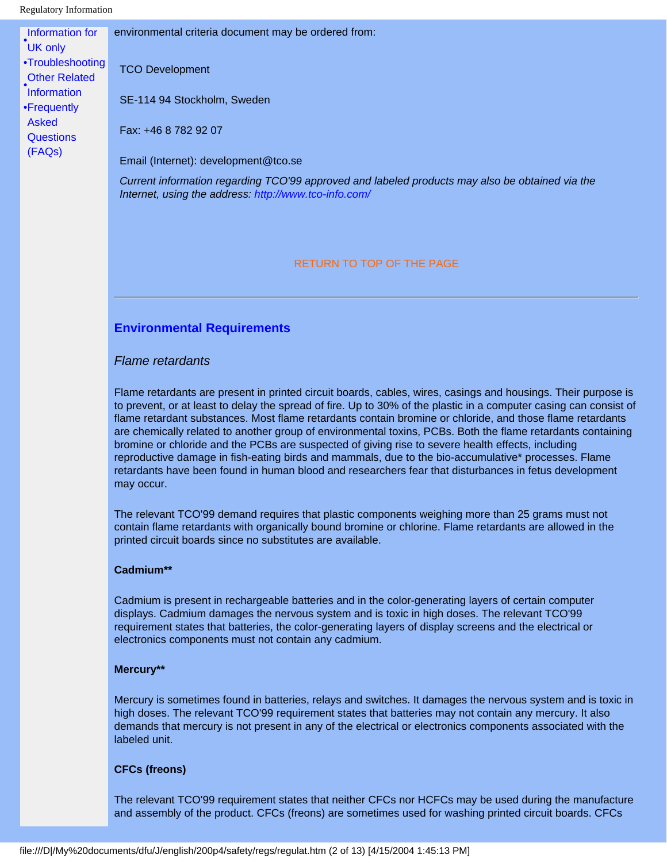#### Regulatory Information

| Information for      | environmental criteria document may be ordered from:                                            |
|----------------------|-------------------------------------------------------------------------------------------------|
| UK only              |                                                                                                 |
| •Troubleshooting     | <b>TCO Development</b>                                                                          |
| <b>Other Related</b> |                                                                                                 |
| <b>Information</b>   |                                                                                                 |
| •Frequently          | SE-114 94 Stockholm, Sweden                                                                     |
| Asked                |                                                                                                 |
| <b>Questions</b>     | Fax: +46 8 782 92 07                                                                            |
| (FAQs)               |                                                                                                 |
|                      | Email (Internet): development@tco.se                                                            |
|                      | Current information regarding TCO'99 approved and labeled products may also be obtained via the |
|                      | Internet, using the address: http://www.tco-info.com/                                           |

#### RETURN TO TOP OF THE PAGE

#### **Environmental Requirements**

#### *Flame retardants*

Flame retardants are present in printed circuit boards, cables, wires, casings and housings. Their purpose is to prevent, or at least to delay the spread of fire. Up to 30% of the plastic in a computer casing can consist of flame retardant substances. Most flame retardants contain bromine or chloride, and those flame retardants are chemically related to another group of environmental toxins, PCBs. Both the flame retardants containing bromine or chloride and the PCBs are suspected of giving rise to severe health effects, including reproductive damage in fish-eating birds and mammals, due to the bio-accumulative\* processes. Flame retardants have been found in human blood and researchers fear that disturbances in fetus development may occur.

The relevant TCO'99 demand requires that plastic components weighing more than 25 grams must not contain flame retardants with organically bound bromine or chlorine. Flame retardants are allowed in the printed circuit boards since no substitutes are available.

#### **Cadmium\*\***

Cadmium is present in rechargeable batteries and in the color-generating layers of certain computer displays. Cadmium damages the nervous system and is toxic in high doses. The relevant TCO'99 requirement states that batteries, the color-generating layers of display screens and the electrical or electronics components must not contain any cadmium.

#### **Mercury\*\***

Mercury is sometimes found in batteries, relays and switches. It damages the nervous system and is toxic in high doses. The relevant TCO'99 requirement states that batteries may not contain any mercury. It also demands that mercury is not present in any of the electrical or electronics components associated with the labeled unit.

#### **CFCs (freons)**

The relevant TCO'99 requirement states that neither CFCs nor HCFCs may be used during the manufacture and assembly of the product. CFCs (freons) are sometimes used for washing printed circuit boards. CFCs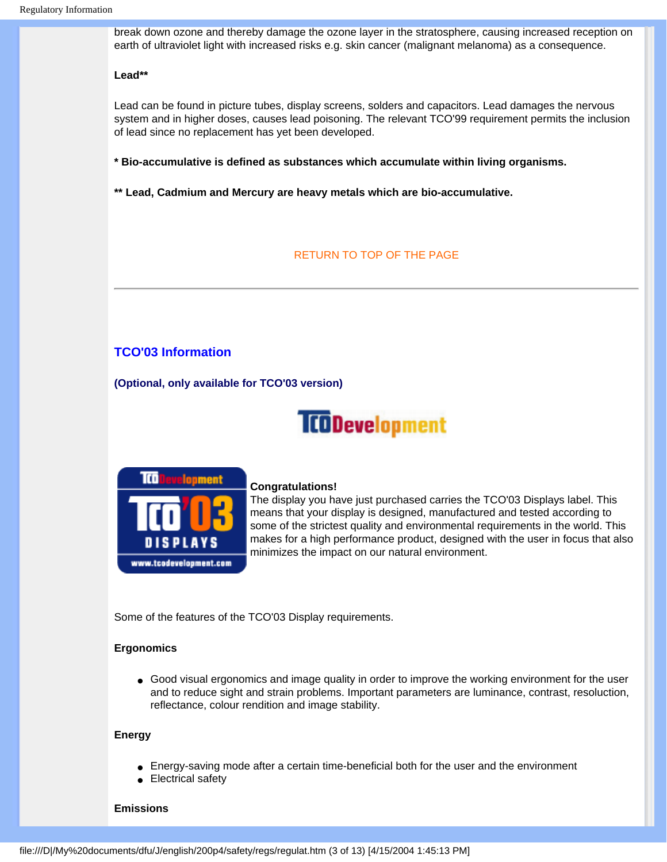break down ozone and thereby damage the ozone layer in the stratosphere, causing increased reception on earth of ultraviolet light with increased risks e.g. skin cancer (malignant melanoma) as a consequence.

#### **Lead\*\***

Lead can be found in picture tubes, display screens, solders and capacitors. Lead damages the nervous system and in higher doses, causes lead poisoning. The relevant TCO'99 requirement permits the inclusion of lead since no replacement has yet been developed.

**\* Bio-accumulative is defined as substances which accumulate within living organisms.** 

**\*\* Lead, Cadmium and Mercury are heavy metals which are bio-accumulative.**

#### RETURN TO TOP OF THE PAGE

#### **TCO'03 Information**

**(Optional, only available for TCO'03 version)**

## **TCODevelopment**



#### **Congratulations!**

The display you have just purchased carries the TCO'03 Displays label. This means that your display is designed, manufactured and tested according to some of the strictest quality and environmental requirements in the world. This makes for a high performance product, designed with the user in focus that also minimizes the impact on our natural environment.

Some of the features of the TCO'03 Display requirements.

#### **Ergonomics**

• Good visual ergonomics and image quality in order to improve the working environment for the user and to reduce sight and strain problems. Important parameters are luminance, contrast, resoluction, reflectance, colour rendition and image stability.

#### **Energy**

- Energy-saving mode after a certain time-beneficial both for the user and the environment
- Electrical safety

#### **Emissions**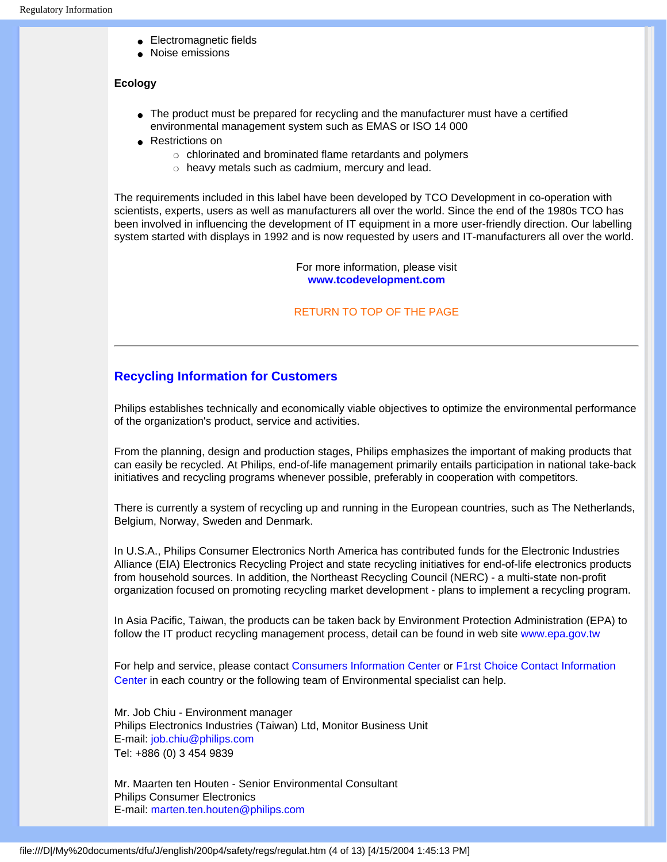- Electromagnetic fields
- Noise emissions

#### **Ecology**

- The product must be prepared for recycling and the manufacturer must have a certified environmental management system such as EMAS or ISO 14 000
- Restrictions on
	- ❍ chlorinated and brominated flame retardants and polymers
	- o heavy metals such as cadmium, mercury and lead.

The requirements included in this label have been developed by TCO Development in co-operation with scientists, experts, users as well as manufacturers all over the world. Since the end of the 1980s TCO has been involved in influencing the development of IT equipment in a more user-friendly direction. Our labelling system started with displays in 1992 and is now requested by users and IT-manufacturers all over the world.

> For more information, please visit **[www.tcodevelopment.com](http://www.tcodevelopment.com/)**

#### RETURN TO TOP OF THE PAGE

#### **Recycling Information for Customers**

Philips establishes technically and economically viable objectives to optimize the environmental performance of the organization's product, service and activities.

From the planning, design and production stages, Philips emphasizes the important of making products that can easily be recycled. At Philips, end-of-life management primarily entails participation in national take-back initiatives and recycling programs whenever possible, preferably in cooperation with competitors.

There is currently a system of recycling up and running in the European countries, such as The Netherlands, Belgium, Norway, Sweden and Denmark.

In U.S.A., Philips Consumer Electronics North America has contributed funds for the Electronic Industries Alliance (EIA) Electronics Recycling Project and state recycling initiatives for end-of-life electronics products from household sources. In addition, the Northeast Recycling Council (NERC) - a multi-state non-profit organization focused on promoting recycling market development - plans to implement a recycling program.

In Asia Pacific, Taiwan, the products can be taken back by Environment Protection Administration (EPA) to follow the IT product recycling management process, detail can be found in web site [www.epa.gov.tw](http://www.epa.gov.tw/)

For help and service, please contact [Consumers Information Center](#page-75-0) or [F1rst Choice Contact Information](#page-74-0) [Center](#page-74-0) in each country or the following team of Environmental specialist can help.

Mr. Job Chiu - Environment manager Philips Electronics Industries (Taiwan) Ltd, Monitor Business Unit E-mail: [job.chiu@philips.com](mailto:job.chiu@philips.com) Tel: +886 (0) 3 454 9839

Mr. Maarten ten Houten - Senior Environmental Consultant Philips Consumer Electronics E-mail: [marten.ten.houten@philips.com](mailto:marten.ten.houten@philips.com)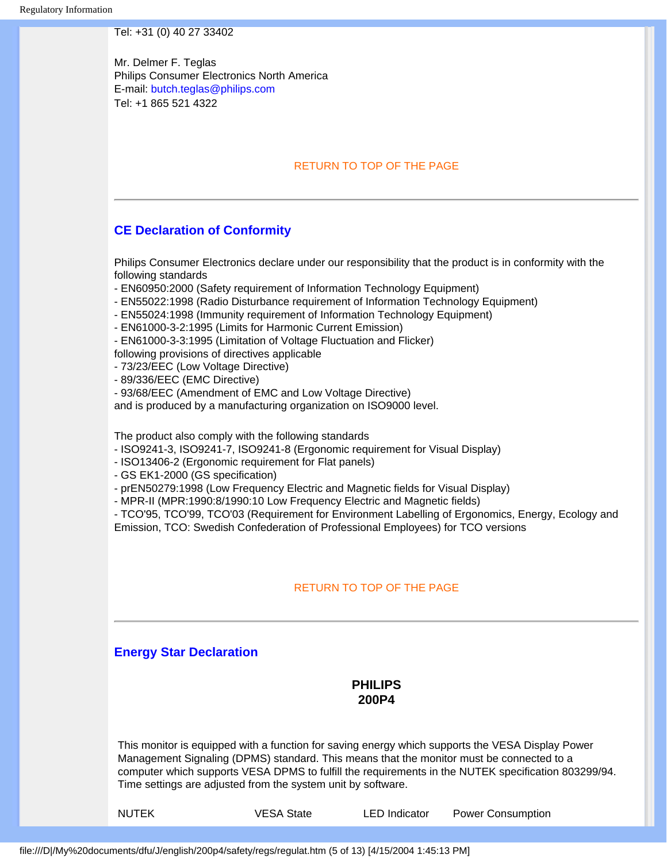#### Tel: +31 (0) 40 27 33402

Mr. Delmer F. Teglas Philips Consumer Electronics North America E-mail: [butch.teglas@philips.com](mailto:butch.teglas@philips.com) Tel: +1 865 521 4322

#### RETURN TO TOP OF THE PAGE

#### **CE Declaration of Conformity**

Philips Consumer Electronics declare under our responsibility that the product is in conformity with the following standards

- EN60950:2000 (Safety requirement of Information Technology Equipment)
- EN55022:1998 (Radio Disturbance requirement of Information Technology Equipment)
- EN55024:1998 (Immunity requirement of Information Technology Equipment)
- EN61000-3-2:1995 (Limits for Harmonic Current Emission)
- EN61000-3-3:1995 (Limitation of Voltage Fluctuation and Flicker)
- following provisions of directives applicable
- 73/23/EEC (Low Voltage Directive)
- 89/336/EEC (EMC Directive)
- 93/68/EEC (Amendment of EMC and Low Voltage Directive)

and is produced by a manufacturing organization on ISO9000 level.

The product also comply with the following standards

- ISO9241-3, ISO9241-7, ISO9241-8 (Ergonomic requirement for Visual Display)
- ISO13406-2 (Ergonomic requirement for Flat panels)
- GS EK1-2000 (GS specification)
- prEN50279:1998 (Low Frequency Electric and Magnetic fields for Visual Display)
- MPR-II (MPR:1990:8/1990:10 Low Frequency Electric and Magnetic fields)

- TCO'95, TCO'99, TCO'03 (Requirement for Environment Labelling of Ergonomics, Energy, Ecology and Emission, TCO: Swedish Confederation of Professional Employees) for TCO versions

#### RETURN TO TOP OF THE PAGE

#### **Energy Star Declaration**

#### **PHILIPS 200P4**

This monitor is equipped with a function for saving energy which supports the VESA Display Power Management Signaling (DPMS) standard. This means that the monitor must be connected to a computer which supports VESA DPMS to fulfill the requirements in the NUTEK specification 803299/94. Time settings are adjusted from the system unit by software.

NUTEK VESA State LED Indicator Power Consumption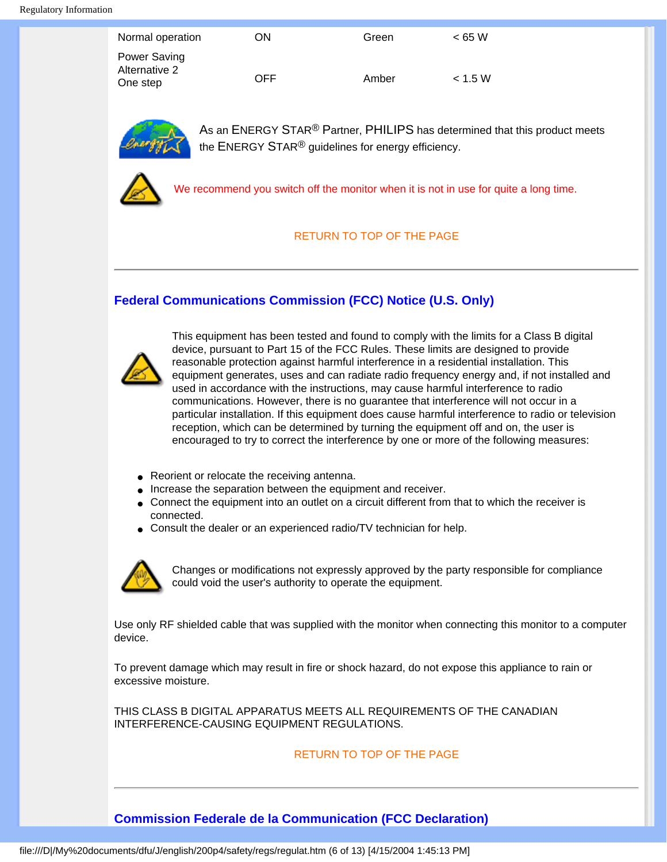| Normal operation                          | ON   | Green | < 65 W  |
|-------------------------------------------|------|-------|---------|
| Power Saving<br>Alternative 2<br>One step | OFF. | Amber | < 1.5 W |



As an ENERGY STAR<sup>®</sup> Partner, PHILIPS has determined that this product meets the ENERGY STAR<sup>®</sup> guidelines for energy efficiency.



We recommend you switch off the monitor when it is not in use for quite a long time.

#### RETURN TO TOP OF THE PAGE

### **Federal Communications Commission (FCC) Notice (U.S. Only)**



This equipment has been tested and found to comply with the limits for a Class B digital device, pursuant to Part 15 of the FCC Rules. These limits are designed to provide reasonable protection against harmful interference in a residential installation. This equipment generates, uses and can radiate radio frequency energy and, if not installed and used in accordance with the instructions, may cause harmful interference to radio communications. However, there is no guarantee that interference will not occur in a particular installation. If this equipment does cause harmful interference to radio or television reception, which can be determined by turning the equipment off and on, the user is encouraged to try to correct the interference by one or more of the following measures:

- Reorient or relocate the receiving antenna.
- Increase the separation between the equipment and receiver.
- Connect the equipment into an outlet on a circuit different from that to which the receiver is connected.
- Consult the dealer or an experienced radio/TV technician for help.



Changes or modifications not expressly approved by the party responsible for compliance could void the user's authority to operate the equipment.

Use only RF shielded cable that was supplied with the monitor when connecting this monitor to a computer device.

To prevent damage which may result in fire or shock hazard, do not expose this appliance to rain or excessive moisture.

THIS CLASS B DIGITAL APPARATUS MEETS ALL REQUIREMENTS OF THE CANADIAN INTERFERENCE-CAUSING EQUIPMENT REGULATIONS.

#### RETURN TO TOP OF THE PAGE

#### **Commission Federale de la Communication (FCC Declaration)**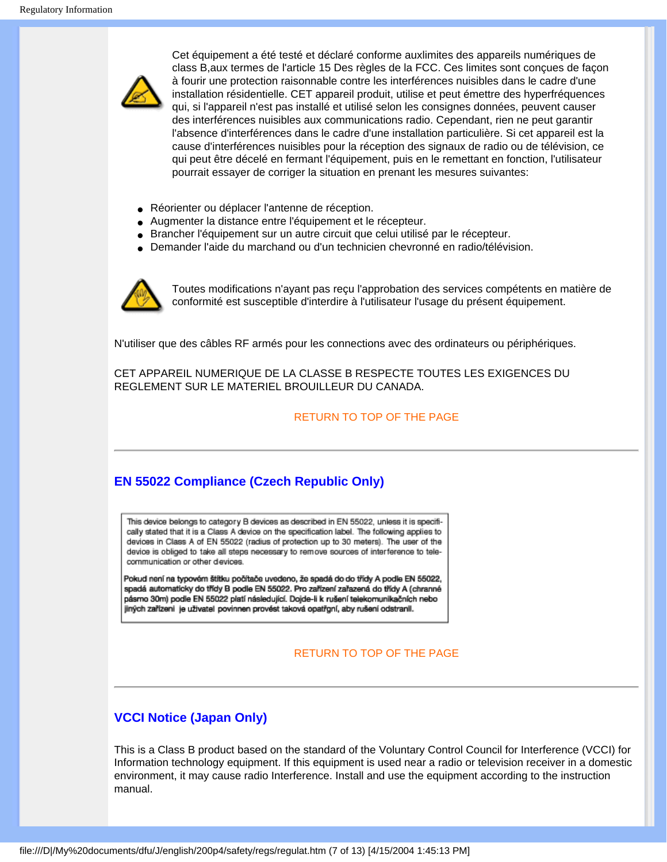

Cet équipement a été testé et déclaré conforme auxlimites des appareils numériques de class B,aux termes de l'article 15 Des règles de la FCC. Ces limites sont conçues de façon à fourir une protection raisonnable contre les interférences nuisibles dans le cadre d'une installation résidentielle. CET appareil produit, utilise et peut émettre des hyperfréquences qui, si l'appareil n'est pas installé et utilisé selon les consignes données, peuvent causer des interférences nuisibles aux communications radio. Cependant, rien ne peut garantir l'absence d'interférences dans le cadre d'une installation particulière. Si cet appareil est la cause d'interférences nuisibles pour la réception des signaux de radio ou de télévision, ce qui peut être décelé en fermant l'équipement, puis en le remettant en fonction, l'utilisateur pourrait essayer de corriger la situation en prenant les mesures suivantes:

- Réorienter ou déplacer l'antenne de réception.
- Augmenter la distance entre l'équipement et le récepteur.
- Brancher l'équipement sur un autre circuit que celui utilisé par le récepteur.
- Demander l'aide du marchand ou d'un technicien chevronné en radio/télévision.



Toutes modifications n'ayant pas reçu l'approbation des services compétents en matière de conformité est susceptible d'interdire à l'utilisateur l'usage du présent équipement.

N'utiliser que des câbles RF armés pour les connections avec des ordinateurs ou périphériques.

CET APPAREIL NUMERIQUE DE LA CLASSE B RESPECTE TOUTES LES EXIGENCES DU REGLEMENT SUR LE MATERIEL BROUILLEUR DU CANADA.

#### RETURN TO TOP OF THE PAGE

#### **EN 55022 Compliance (Czech Republic Only)**

This device belongs to category B devices as described in EN 55022, unless it is specifically stated that it is a Class A device on the specification label. The following applies to devices in Class A of EN 55022 (radius of protection up to 30 meters). The user of the device is obliged to take all steps necessary to remove sources of interference to telecommunication or other devices.

Pokud není na typovém štítku počítače uvedeno, že spadá do do třídy A podle EN 55022, spadá automaticky do třídy B podle EN 55022. Pro zařízení zařazená do třídy A (chranné pásmo 30m) podle EN 55022 platí následující. Dojde-li k rušení telekomunikačních nebo jiných zařízení je uživatel povinnen provést taková opatřgní, aby rušení odstranil.

#### RETURN TO TOP OF THE PAGE

#### **VCCI Notice (Japan Only)**

This is a Class B product based on the standard of the Voluntary Control Council for Interference (VCCI) for Information technology equipment. If this equipment is used near a radio or television receiver in a domestic environment, it may cause radio Interference. Install and use the equipment according to the instruction manual.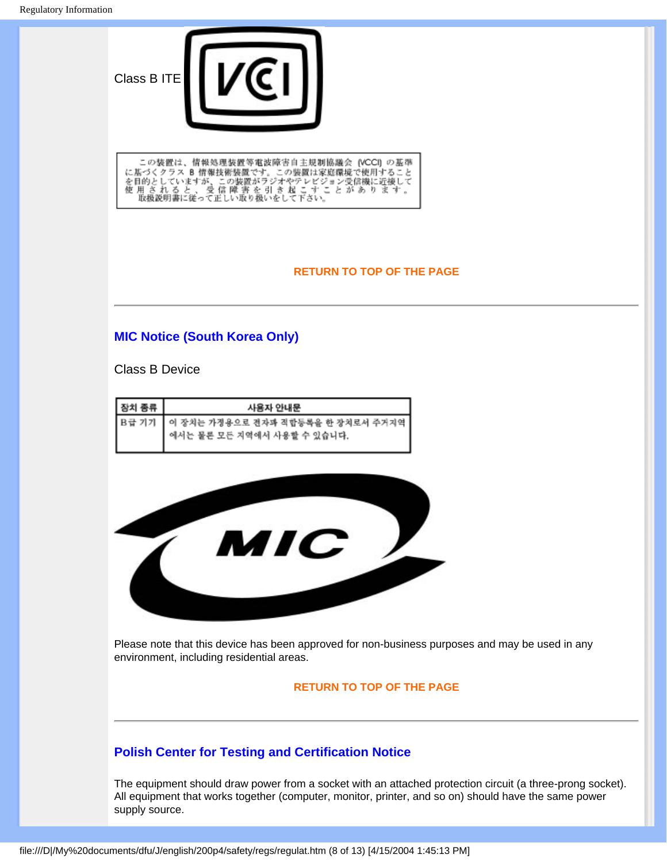

この装置は、情報処理装置等電波障害自主規制協議会 (VCCI) の基準<br>に基づくクラス 8 情報技術装置です。この装置は家庭環境で使用すること<br>を目的としていますが、この装置がラジオやテレビジョン受信機に近接して<br>使 用 さ れ る と 、 受 信 障 害 を 引 き 起 こ す こ と が あ り ま す 。<br>取扱説明書に従って正しい取り扱いをして下さい。

#### **RETURN TO TOP OF THE PAGE**

#### **MIC Notice (South Korea Only)**

Class B Device

| 장치 종류 | 사용자 안내문                                                               |
|-------|-----------------------------------------------------------------------|
|       | B급 기기 이 장치는 가정용으로 전자파 적합등록을 한 장치로서 주거지역<br>에서는 물론 모든 지역에서 사용할 수 있습니다. |
|       |                                                                       |



Please note that this device has been approved for non-business purposes and may be used in any environment, including residential areas.

#### **RETURN TO TOP OF THE PAGE**

#### **Polish Center for Testing and Certification Notice**

The equipment should draw power from a socket with an attached protection circuit (a three-prong socket). All equipment that works together (computer, monitor, printer, and so on) should have the same power supply source.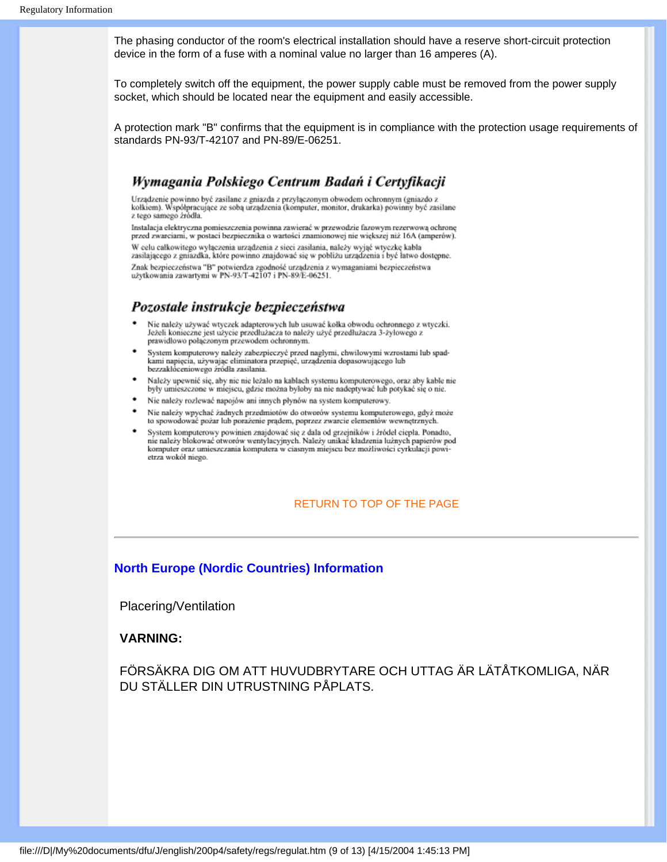The phasing conductor of the room's electrical installation should have a reserve short-circuit protection device in the form of a fuse with a nominal value no larger than 16 amperes (A).

To completely switch off the equipment, the power supply cable must be removed from the power supply socket, which should be located near the equipment and easily accessible.

A protection mark "B" confirms that the equipment is in compliance with the protection usage requirements of standards PN-93/T-42107 and PN-89/E-06251.

#### Wymagania Polskiego Centrum Badań i Certyfikacji

Urządzenie powinno być zasilane z gniazda z przyłączonym obwodem ochronnym (gniazdo z kołkiem). Współpracujące ze sobą urządzenia (komputer, monitor, drukarka) powinny być zasilane z tego samego zródła.

Instalacja elektryczna pomieszczenia powinna zawierać w przewodzie fazowym rezerwową ochronę przed zwarciami, w postaci bezpiecznika o wartości znamionowej nie większej niż 16A (amperów). W celu całkowitego wyłączenia urządzenia z sieci zasilania, należy wyjąć wtyczkę kabla zasilającego z gniazdka, które powinno znajdować się w pobliżu urządzenia i być łatwo dostępne.

Znak bezpieczeństwa "B" potwierdza zgodność urządzenia z wymaganiami bezpieczeństwa użytkowania zawartymi w PN-93/T-42107 i PN-89/E-06251.

#### Pozostałe instrukcje bezpieczeństwa

- Nie należy używać wtyczek adapterowych lub usuwać kołka obwodu ochronnego z wtyczki. Ježeli konieczne jest użycie przedłużacza to należy użyć przedłużacza 3-żyłowego z prawidłowo połączonym przewodem ochronnym.
- System komputerowy należy zabezpieczyć przed nagłymi, chwilowymi wzrostami lub spadkami napięcia, używając eliminatora przepięć, urządzenia dopasowującego lub bezzakłóceniowego źródła zasilania.
- Należy upewnić się, aby nic nie leżało na kablach systemu komputerowego, oraz aby kable nie były umieszczone w miejscu, gdzie można byłoby na nie nadeptywać lub potykać się o nie.
- Nie należy rozlewać napojów ani innych płynów na system komputerowy.
- Nie należy wpychać żadnych przedmiotów do otworów systemu komputerowego, gdyż może to spowodować pożar lub porażenie prądem, poprzez zwarcie elementów wewnętrznych.
- System komputerowy powinien znajdować się z dala od grzejników i źródeł ciepła. Ponadto, nie należy blokować otworów wentylacyjnych. Należy unikać kładzenia lużnych papierów pod komputer oraz umieszczania komputera w ciasnym miejscu bez możliwości cyrkulacji powietrza wokół niego.

#### RETURN TO TOP OF THE PAGE

#### **North Europe (Nordic Countries) Information**

Placering/Ventilation

#### **VARNING:**

FÖRSÄKRA DIG OM ATT HUVUDBRYTARE OCH UTTAG ÄR LÄTÅTKOMLIGA, NÄR DU STÄLLER DIN UTRUSTNING PÅPLATS.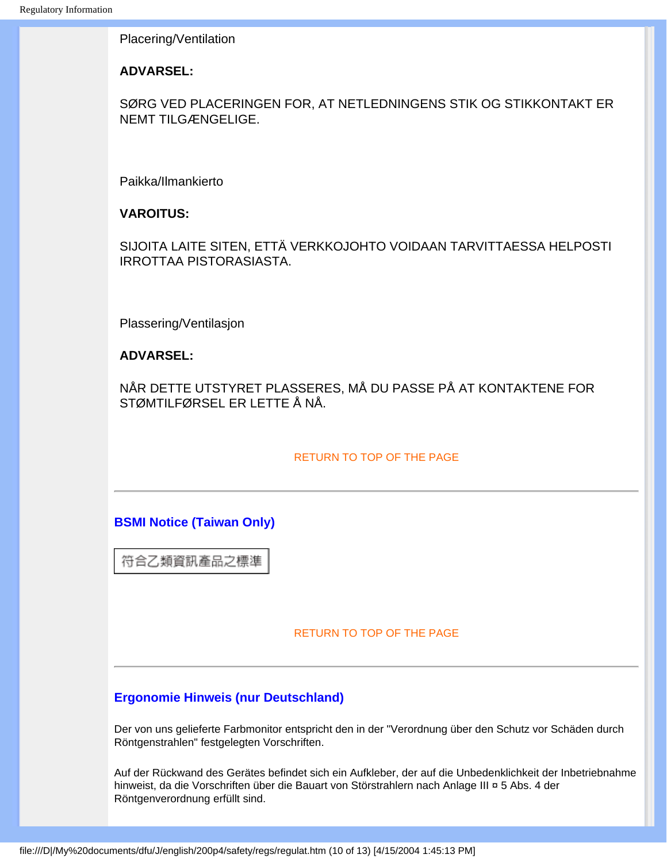Placering/Ventilation

#### **ADVARSEL:**

SØRG VED PLACERINGEN FOR, AT NETLEDNINGENS STIK OG STIKKONTAKT ER NEMT TILGÆNGELIGE.

Paikka/Ilmankierto

**VAROITUS:** 

SIJOITA LAITE SITEN, ETTÄ VERKKOJOHTO VOIDAAN TARVITTAESSA HELPOSTI IRROTTAA PISTORASIASTA.

Plassering/Ventilasjon

#### **ADVARSEL:**

NÅR DETTE UTSTYRET PLASSERES, MÅ DU PASSE PÅ AT KONTAKTENE FOR STØMTILFØRSEL ER LETTE Å NÅ.

#### RETURN TO TOP OF THE PAGE

#### **BSMI Notice (Taiwan Only)**

符合乙類資訊產品之標準

#### RETURN TO TOP OF THE PAGE

#### **Ergonomie Hinweis (nur Deutschland)**

Der von uns gelieferte Farbmonitor entspricht den in der "Verordnung über den Schutz vor Schäden durch Röntgenstrahlen" festgelegten Vorschriften.

Auf der Rückwand des Gerätes befindet sich ein Aufkleber, der auf die Unbedenklichkeit der Inbetriebnahme hinweist, da die Vorschriften über die Bauart von Störstrahlern nach Anlage III ¤ 5 Abs. 4 der Röntgenverordnung erfüllt sind.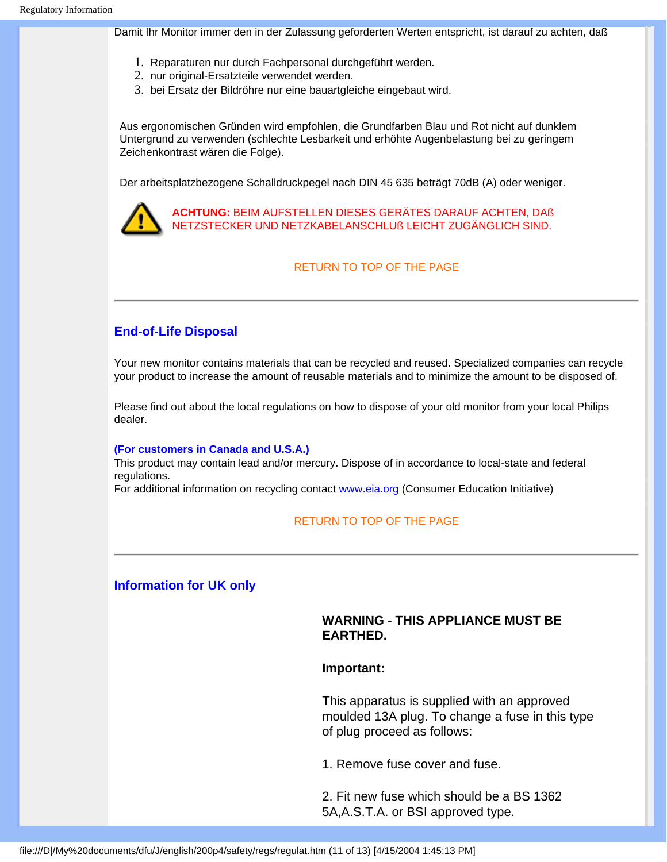Damit Ihr Monitor immer den in der Zulassung geforderten Werten entspricht, ist darauf zu achten, daß

- 1. Reparaturen nur durch Fachpersonal durchgeführt werden.
- 2. nur original-Ersatzteile verwendet werden.
- 3. bei Ersatz der Bildröhre nur eine bauartgleiche eingebaut wird.

Aus ergonomischen Gründen wird empfohlen, die Grundfarben Blau und Rot nicht auf dunklem Untergrund zu verwenden (schlechte Lesbarkeit und erhöhte Augenbelastung bei zu geringem Zeichenkontrast wären die Folge).

Der arbeitsplatzbezogene Schalldruckpegel nach DIN 45 635 beträgt 70dB (A) oder weniger.



**ACHTUNG:** BEIM AUFSTELLEN DIESES GERÄTES DARAUF ACHTEN, DAß NETZSTECKER UND NETZKABELANSCHLUß LEICHT ZUGÄNGLICH SIND.

#### RETURN TO TOP OF THE PAGE

#### **End-of-Life Disposal**

Your new monitor contains materials that can be recycled and reused. Specialized companies can recycle your product to increase the amount of reusable materials and to minimize the amount to be disposed of.

Please find out about the local regulations on how to dispose of your old monitor from your local Philips dealer.

#### **(For customers in Canada and U.S.A.)**

This product may contain lead and/or mercury. Dispose of in accordance to local-state and federal regulations.

For additional information on recycling contact [www.eia.org](http://www.eia.org/) (Consumer Education Initiative)

#### RETURN TO TOP OF THE PAGE

#### **Information for UK only**

#### **WARNING - THIS APPLIANCE MUST BE EARTHED.**

#### **Important:**

This apparatus is supplied with an approved moulded 13A plug. To change a fuse in this type of plug proceed as follows:

1. Remove fuse cover and fuse.

2. Fit new fuse which should be a BS 1362 5A,A.S.T.A. or BSI approved type.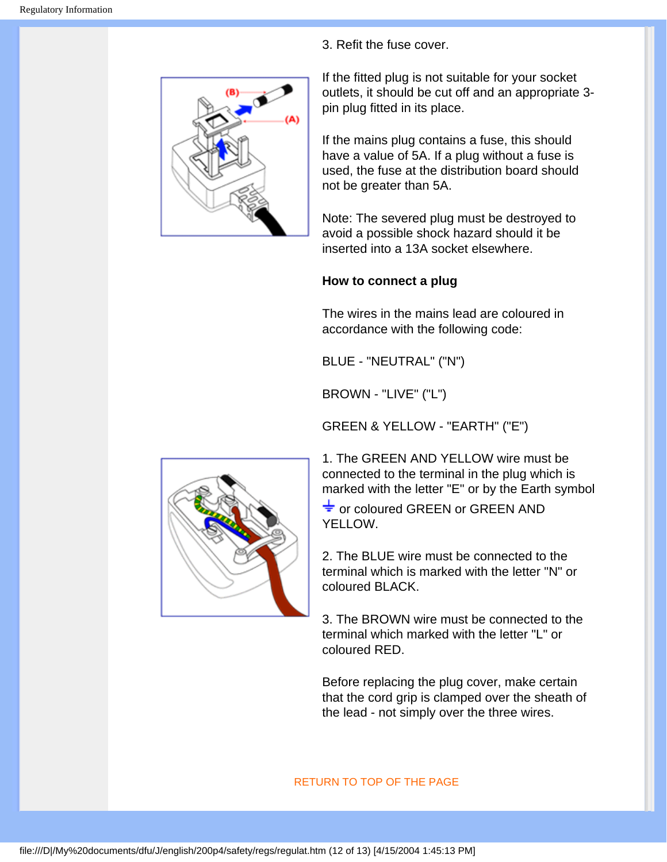

3. Refit the fuse cover.

If the fitted plug is not suitable for your socket outlets, it should be cut off and an appropriate 3 pin plug fitted in its place.

If the mains plug contains a fuse, this should have a value of 5A. If a plug without a fuse is used, the fuse at the distribution board should not be greater than 5A.

Note: The severed plug must be destroyed to avoid a possible shock hazard should it be inserted into a 13A socket elsewhere.

### **How to connect a plug**

The wires in the mains lead are coloured in accordance with the following code:

BLUE - "NEUTRAL" ("N")

BROWN - "LIVE" ("L")

GREEN & YELLOW - "EARTH" ("E")

1. The GREEN AND YELLOW wire must be connected to the terminal in the plug which is marked with the letter "E" or by the Earth symbol

 $\frac{1}{\sqrt{2}}$  or coloured GREEN or GREEN AND YELLOW.

2. The BLUE wire must be connected to the terminal which is marked with the letter "N" or coloured BLACK.

3. The BROWN wire must be connected to the terminal which marked with the letter "L" or coloured RED.

Before replacing the plug cover, make certain that the cord grip is clamped over the sheath of the lead - not simply over the three wires.

#### RETURN TO TOP OF THE PAGE

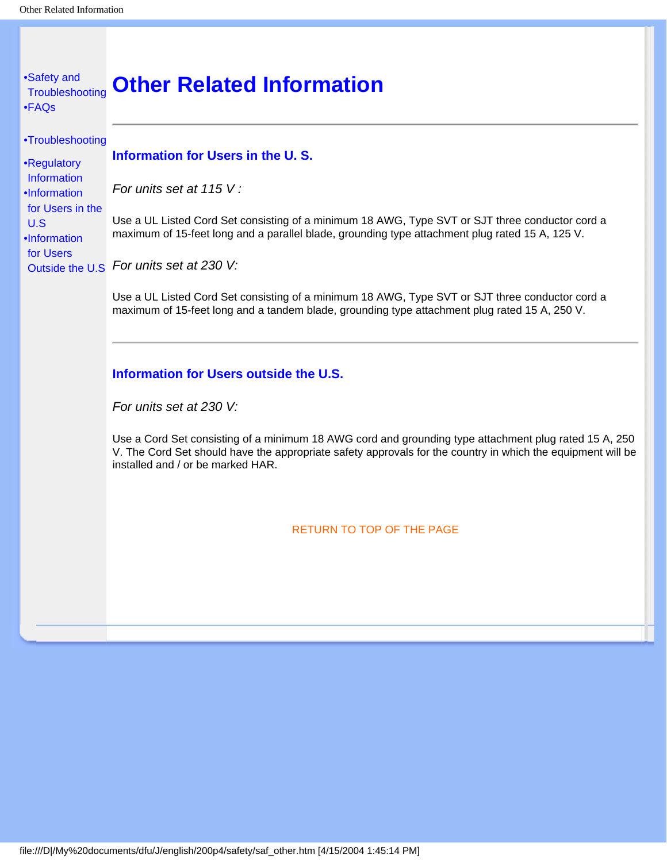## <span id="page-54-3"></span><span id="page-54-2"></span><span id="page-54-1"></span><span id="page-54-0"></span>[•](#page-54-0) [Safety and](#page-1-0)  **[Troubleshooting](#page-1-0)** [•](#page-54-0) [FAQs](#page-31-1) [•](#page-54-0) [Troubleshooting](#page-38-0) [•](#page-54-0) [Regulatory](#page-41-0) **[Information](#page-41-0)** [•](#page-54-0)[Information](#page-54-1)  [for Users in the](#page-54-1)  [U.S](#page-54-1) [•](#page-54-0)[Information](#page-54-2)  [for Users](#page-54-2) [Outside the U.S](#page-54-2) *For units set at 230 V:*  **Other Related Information Information for Users in the U. S.** *For units set at 115 V :*  Use a UL Listed Cord Set consisting of a minimum 18 AWG, Type SVT or SJT three conductor cord a maximum of 15-feet long and a parallel blade, grounding type attachment plug rated 15 A, 125 V. Use a UL Listed Cord Set consisting of a minimum 18 AWG, Type SVT or SJT three conductor cord a maximum of 15-feet long and a tandem blade, grounding type attachment plug rated 15 A, 250 V. **Information for Users outside the U.S.** *For units set at 230 V:* Use a Cord Set consisting of a minimum 18 AWG cord and grounding type attachment plug rated 15 A, 250 V. The Cord Set should have the appropriate safety approvals for the country in which the equipment will be installed and / or be marked HAR. [RETURN TO TOP OF THE PAGE](#page-54-3)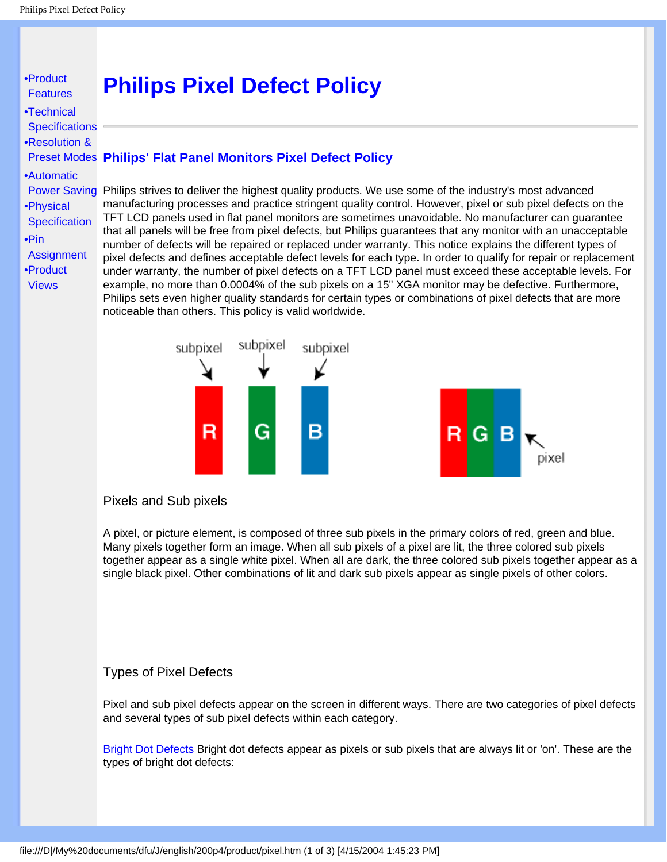#### <span id="page-55-1"></span><span id="page-55-0"></span>[•](#page-55-0) [Product](#page-5-0) **[Features](#page-5-0)** [•](#page-55-0)[Technical](#page-5-1)  **[Specifications](#page-5-1)** [•](#page-55-0)[Resolution &](#page-7-0) [Preset Modes](#page-7-0) **Philips' Flat Panel Monitors Pixel Defect Policy** [•](#page-55-0)[Automatic](#page-8-0) [Power Saving](#page-8-0) Philips strives to deliver the highest quality products. We use some of the industry's most advanced [•](#page-55-0)[Physical](#page-9-0) **[Specification](#page-9-0)** [•](#page-55-0)[Pin](#page-10-0)  **[Assignment](#page-10-0)** [•](#page-55-0)[Product](#page-11-0) **[Views](#page-11-0) Philips Pixel Defect Policy** manufacturing processes and practice stringent quality control. However, pixel or sub pixel defects on the TFT LCD panels used in flat panel monitors are sometimes unavoidable. No manufacturer can guarantee that all panels will be free from pixel defects, but Philips guarantees that any monitor with an unacceptable number of defects will be repaired or replaced under warranty. This notice explains the different types of pixel defects and defines acceptable defect levels for each type. In order to qualify for repair or replacement under warranty, the number of pixel defects on a TFT LCD panel must exceed these acceptable levels. For example, no more than 0.0004% of the sub pixels on a 15" XGA monitor may be defective. Furthermore, Philips sets even higher quality standards for certain types or combinations of pixel defects that are more noticeable than others. This policy is valid worldwide.



#### Pixels and Sub pixels

A pixel, or picture element, is composed of three sub pixels in the primary colors of red, green and blue. Many pixels together form an image. When all sub pixels of a pixel are lit, the three colored sub pixels together appear as a single white pixel. When all are dark, the three colored sub pixels together appear as a single black pixel. Other combinations of lit and dark sub pixels appear as single pixels of other colors.

#### Types of Pixel Defects

Pixel and sub pixel defects appear on the screen in different ways. There are two categories of pixel defects and several types of sub pixel defects within each category.

Bright Dot Defects Bright dot defects appear as pixels or sub pixels that are always lit or 'on'. These are the types of bright dot defects: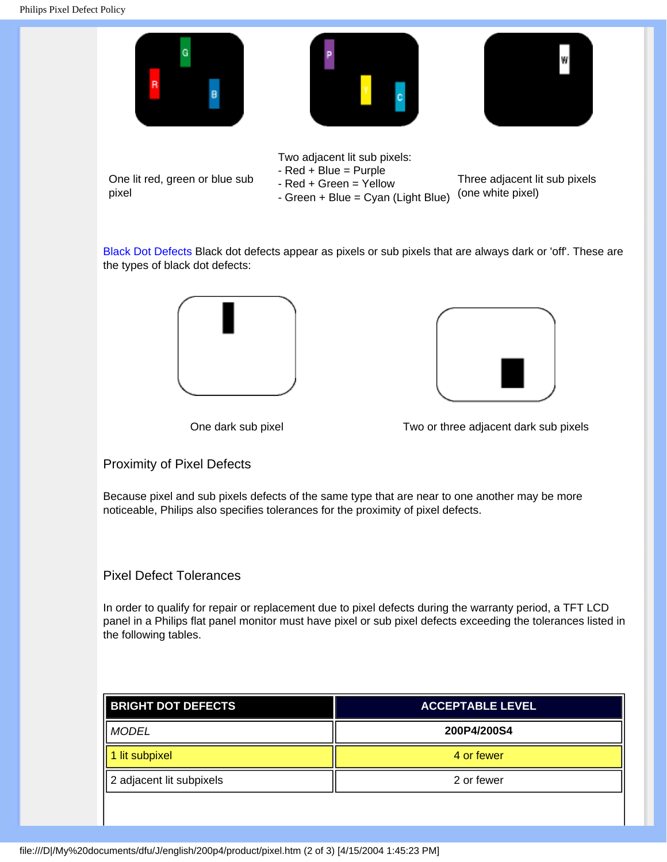

Black Dot Defects Black dot defects appear as pixels or sub pixels that are always dark or 'off'. These are the types of black dot defects:





One dark sub pixel Two or three adjacent dark sub pixels

#### Proximity of Pixel Defects

Because pixel and sub pixels defects of the same type that are near to one another may be more noticeable, Philips also specifies tolerances for the proximity of pixel defects.

#### Pixel Defect Tolerances

In order to qualify for repair or replacement due to pixel defects during the warranty period, a TFT LCD panel in a Philips flat panel monitor must have pixel or sub pixel defects exceeding the tolerances listed in the following tables.

| <b>BRIGHT DOT DEFECTS</b> | <b>ACCEPTABLE LEVEL</b> |
|---------------------------|-------------------------|
| MODEL                     | 200P4/200S4             |
| 1 lit subpixel            | 4 or fewer              |
| 2 adjacent lit subpixels  | 2 or fewer              |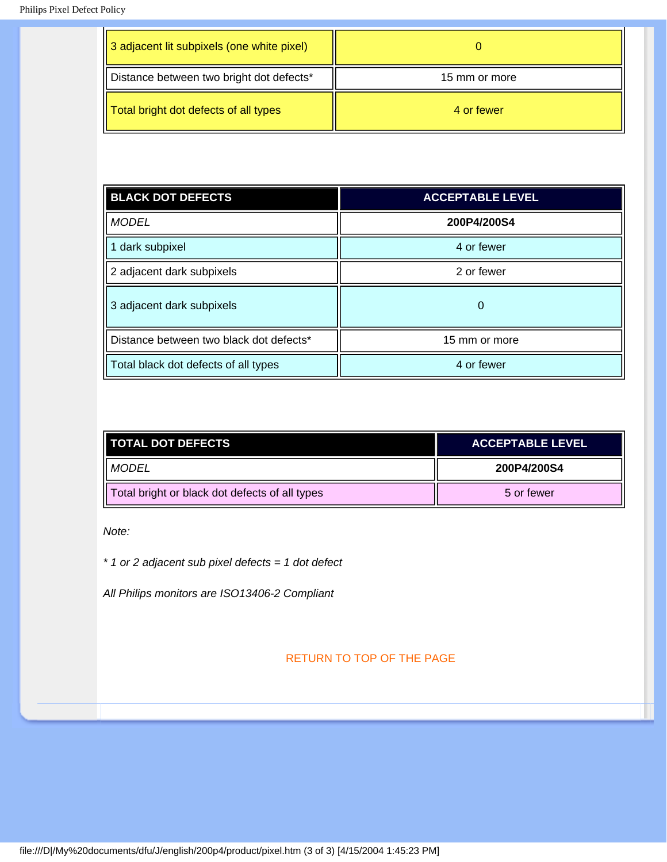| 3 adjacent lit subpixels (one white pixel) |               |
|--------------------------------------------|---------------|
| Distance between two bright dot defects*   | 15 mm or more |
| Total bright dot defects of all types      | 4 or fewer    |

| <b>BLACK DOT DEFECTS</b>                | <b>ACCEPTABLE LEVEL</b> |
|-----------------------------------------|-------------------------|
| <b>MODEL</b>                            | 200P4/200S4             |
| 1 dark subpixel                         | 4 or fewer              |
| 2 adjacent dark subpixels               | 2 or fewer              |
| 3 adjacent dark subpixels               | 0                       |
| Distance between two black dot defects* | 15 mm or more           |
| Total black dot defects of all types    | 4 or fewer              |

| <b>TOTAL DOT DEFECTS</b>                       | <b>ACCEPTABLE LEVEL</b> |
|------------------------------------------------|-------------------------|
| II MODEL                                       | 200P4/200S4             |
| Total bright or black dot defects of all types | 5 or fewer              |

*Note:* 

*\* 1 or 2 adjacent sub pixel defects = 1 dot defect*

*All Philips monitors are ISO13406-2 Compliant*

[RETURN TO TOP OF THE PAGE](#page-55-1)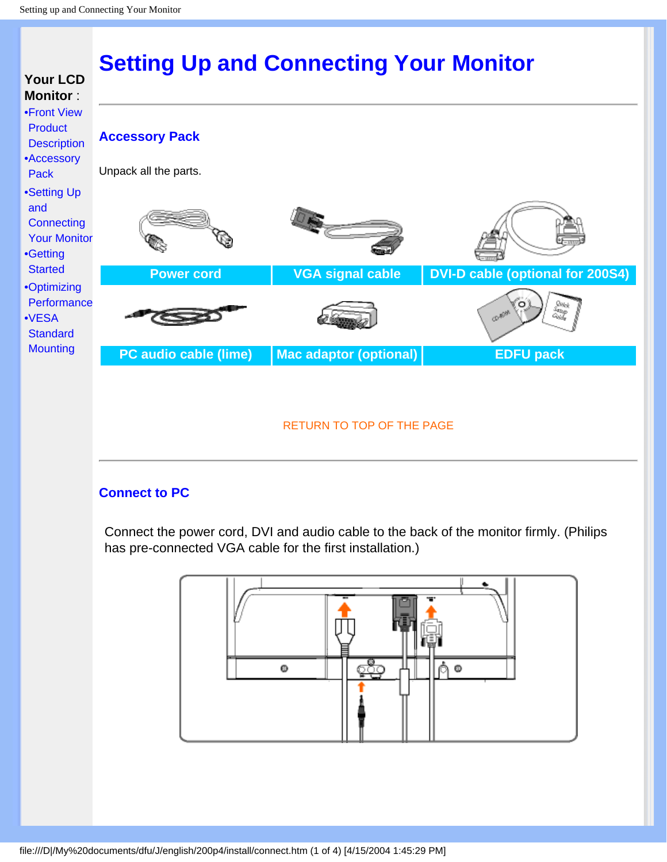<span id="page-58-0"></span>

### **Connect to PC**

Connect the power cord, DVI and audio cable to the back of the monitor firmly. (Philips has pre-connected VGA cable for the first installation.)



file:///D|/My%20documents/dfu/J/english/200p4/install/connect.htm (1 of 4) [4/15/2004 1:45:29 PM]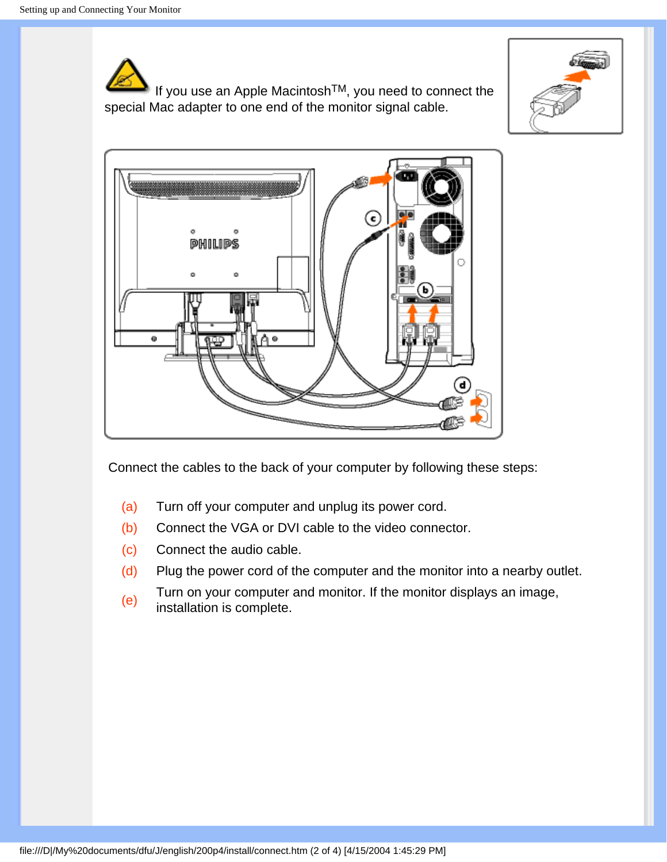If you use an Apple MacintoshTM, you need to connect the special Mac adapter to one end of the monitor signal cable.





Connect the cables to the back of your computer by following these steps:

- (a) Turn off your computer and unplug its power cord.
- (b) Connect the VGA or DVI cable to the video connector.
- (c) Connect the audio cable.
- (d) Plug the power cord of the computer and the monitor into a nearby outlet.
- (e) Turn on your computer and monitor. If the monitor displays an image, installation is complete.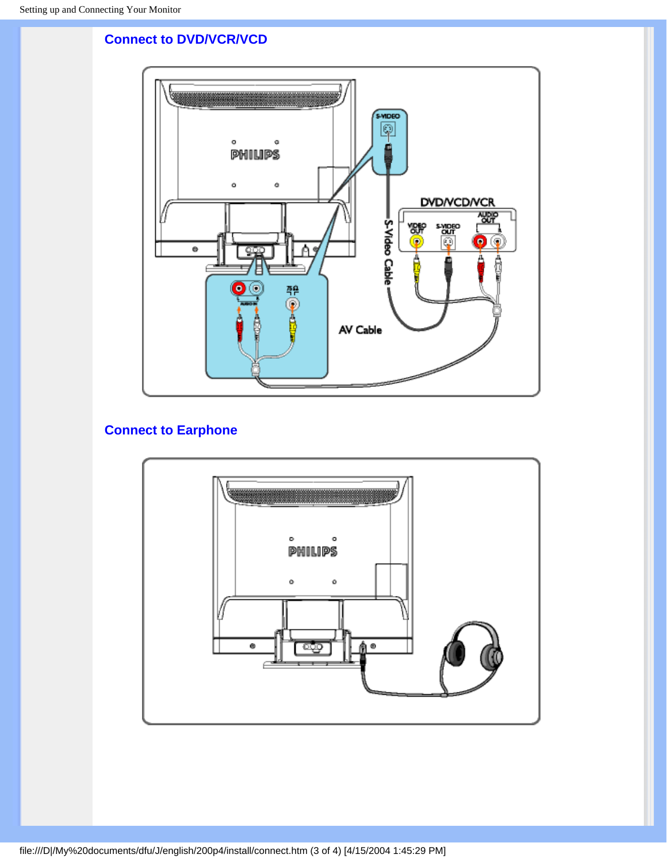### **Connect to DVD/VCR/VCD**



### **Connect to Earphone**

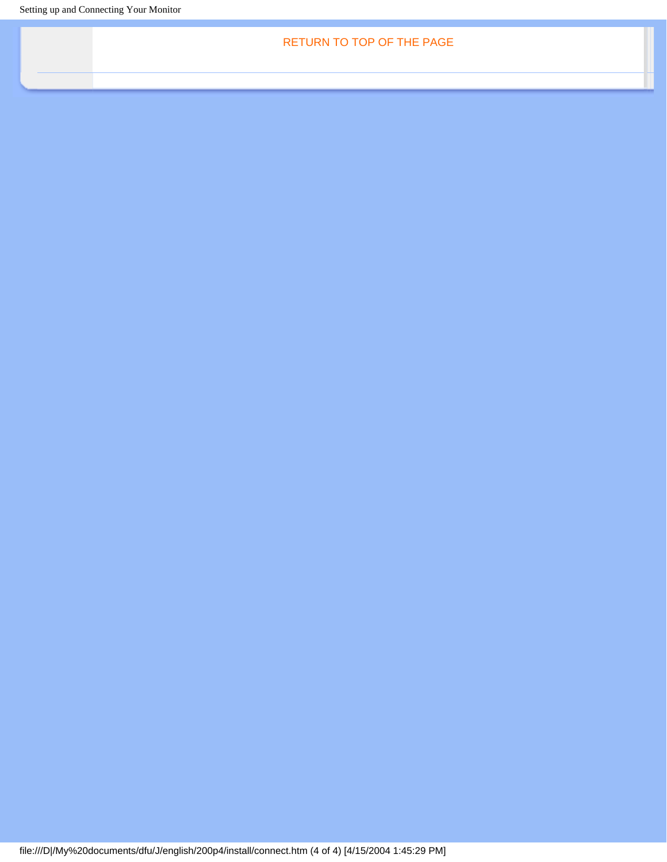Setting up and Connecting Your Monitor

RETURN TO TOP OF THE PAGE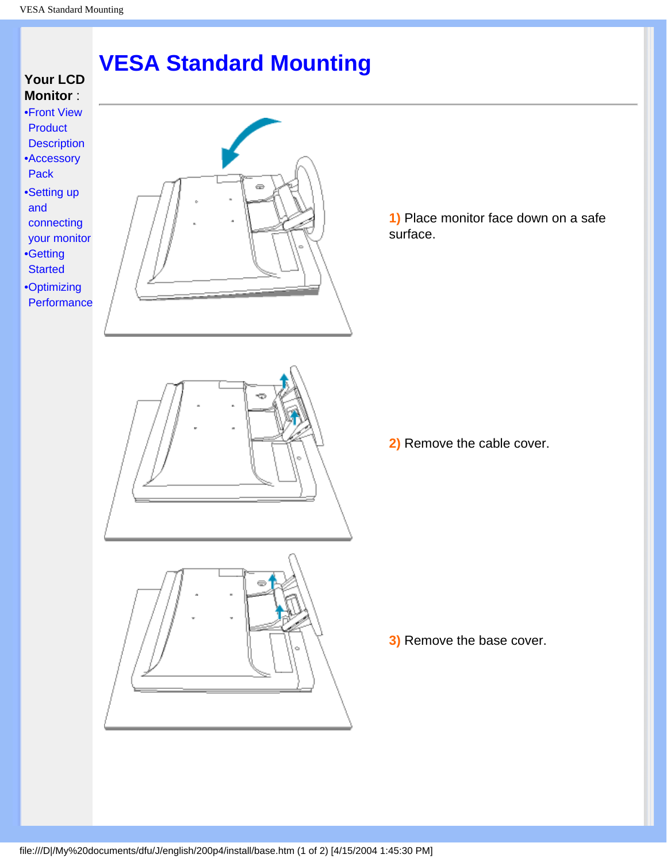## **VESA Standard Mounting**

### <span id="page-62-0"></span>**Your LCD Monitor** :

- [•](#page-62-0)[Front View](#page-13-0) [Product](#page-13-0)  **[Description](#page-13-0)** [•](#page-62-0) Accessory
- Pack
- [•](#page-62-0) Setting up and connecting your monitor
- [•](#page-62-0) [Getting](#page-64-0) **[Started](#page-64-0)**
- [•](#page-62-0) [Optimizing](#page-15-0)  **[Performance](#page-15-0)**

**1)** Place monitor face down on a safe surface.



**3)** Remove the base cover.



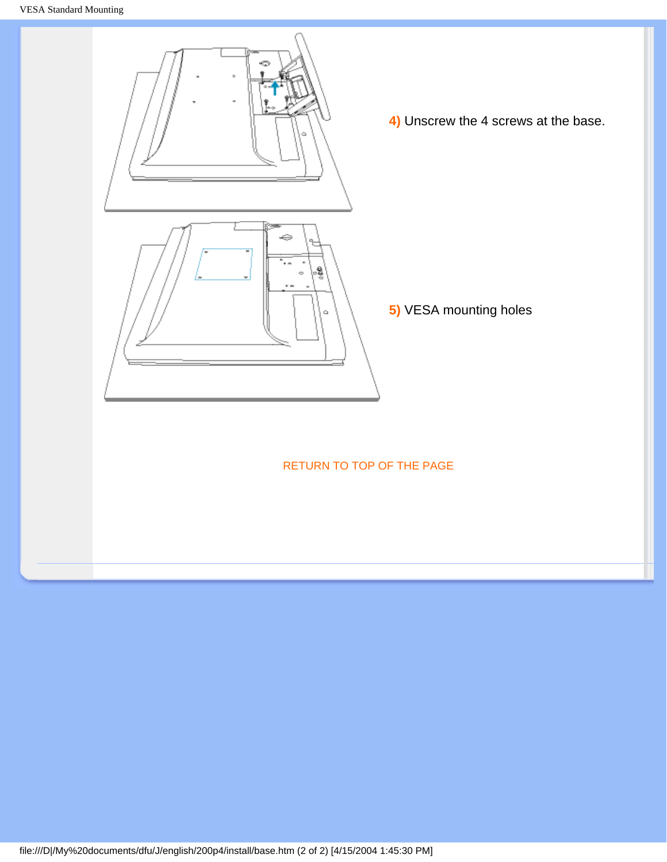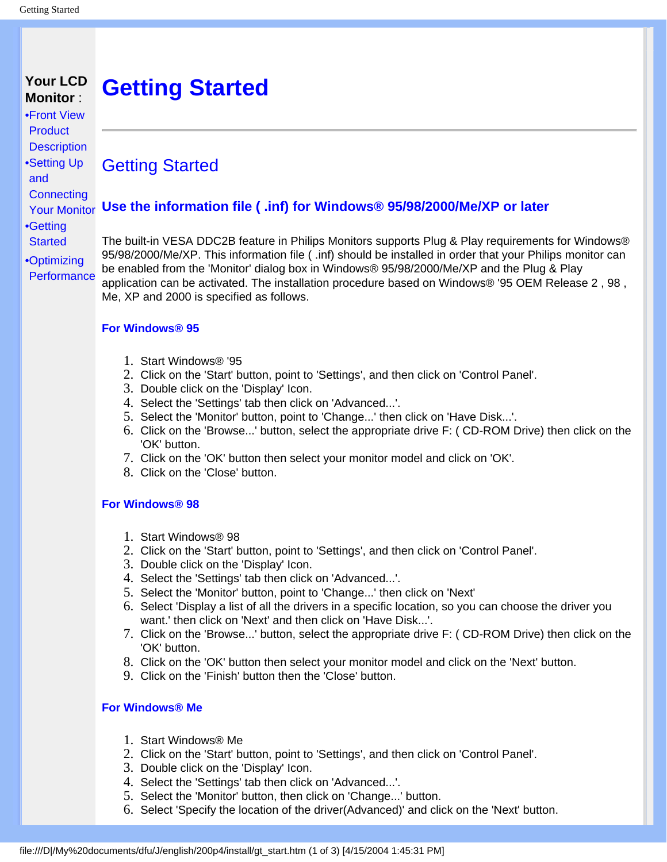#### <span id="page-64-0"></span>**Your LCD Monitor** : **Getting Started**

Getting Started

[•](#page-64-0)[Front View](#page-13-0)  **[Product](#page-13-0) [Description](#page-13-0)** [•](#page-64-0) Setting Up and **Connecting** Your Monitor **Use the information file ( .inf) for Windows® 95/98/2000/Me/XP or later**

[•](#page-64-0) Getting **Started** 

[•](#page-64-0) [Optimizing](#page-15-0)

**[Performance](#page-15-0)** 

The built-in VESA DDC2B feature in Philips Monitors supports Plug & Play requirements for Windows® 95/98/2000/Me/XP. This information file ( .inf) should be installed in order that your Philips monitor can be enabled from the 'Monitor' dialog box in Windows® 95/98/2000/Me/XP and the Plug & Play application can be activated. The installation procedure based on Windows® '95 OEM Release 2 , 98 , Me, XP and 2000 is specified as follows.

**For Windows® 95**

- 1. Start Windows® '95
- 2. Click on the 'Start' button, point to 'Settings', and then click on 'Control Panel'.
- 3. Double click on the 'Display' Icon.
- 4. Select the 'Settings' tab then click on 'Advanced...'.
- 5. Select the 'Monitor' button, point to 'Change...' then click on 'Have Disk...'.
- 6. Click on the 'Browse...' button, select the appropriate drive F: ( CD-ROM Drive) then click on the 'OK' button.
- 7. Click on the 'OK' button then select your monitor model and click on 'OK'.
- 8. Click on the 'Close' button.

#### **For Windows® 98**

- 1. Start Windows® 98
- 2. Click on the 'Start' button, point to 'Settings', and then click on 'Control Panel'.
- 3. Double click on the 'Display' Icon.
- 4. Select the 'Settings' tab then click on 'Advanced...'.
- 5. Select the 'Monitor' button, point to 'Change...' then click on 'Next'
- 6. Select 'Display a list of all the drivers in a specific location, so you can choose the driver you want.' then click on 'Next' and then click on 'Have Disk...'.
- 7. Click on the 'Browse...' button, select the appropriate drive F: ( CD-ROM Drive) then click on the 'OK' button.
- 8. Click on the 'OK' button then select your monitor model and click on the 'Next' button.
- 9. Click on the 'Finish' button then the 'Close' button.

#### **For Windows® Me**

- 1. Start Windows® Me
- 2. Click on the 'Start' button, point to 'Settings', and then click on 'Control Panel'.
- 3. Double click on the 'Display' Icon.
- 4. Select the 'Settings' tab then click on 'Advanced...'.
- 5. Select the 'Monitor' button, then click on 'Change...' button.
- 6. Select 'Specify the location of the driver(Advanced)' and click on the 'Next' button.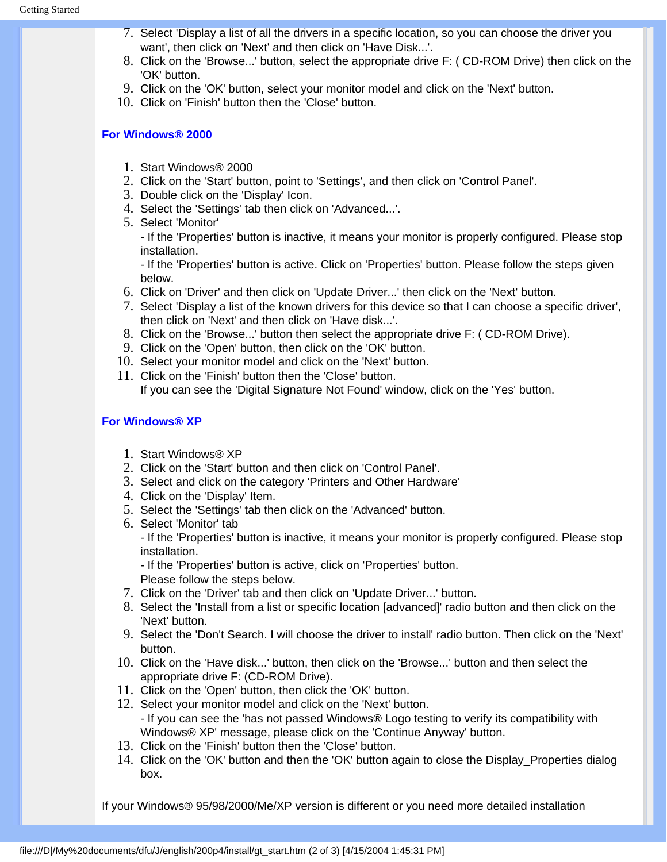- 7. Select 'Display a list of all the drivers in a specific location, so you can choose the driver you want', then click on 'Next' and then click on 'Have Disk...'.
- 8. Click on the 'Browse...' button, select the appropriate drive F: ( CD-ROM Drive) then click on the 'OK' button.
- 9. Click on the 'OK' button, select your monitor model and click on the 'Next' button.
- 10. Click on 'Finish' button then the 'Close' button.

#### **For Windows® 2000**

- 1. Start Windows® 2000
- 2. Click on the 'Start' button, point to 'Settings', and then click on 'Control Panel'.
- 3. Double click on the 'Display' Icon.
- 4. Select the 'Settings' tab then click on 'Advanced...'.
- 5. Select 'Monitor'

- If the 'Properties' button is inactive, it means your monitor is properly configured. Please stop installation.

- If the 'Properties' button is active. Click on 'Properties' button. Please follow the steps given below.

- 6. Click on 'Driver' and then click on 'Update Driver...' then click on the 'Next' button.
- 7. Select 'Display a list of the known drivers for this device so that I can choose a specific driver', then click on 'Next' and then click on 'Have disk...'.
- 8. Click on the 'Browse...' button then select the appropriate drive F: ( CD-ROM Drive).
- 9. Click on the 'Open' button, then click on the 'OK' button.
- 10. Select your monitor model and click on the 'Next' button.
- 11. Click on the 'Finish' button then the 'Close' button. If you can see the 'Digital Signature Not Found' window, click on the 'Yes' button.

#### **For Windows® XP**

- 1. Start Windows® XP
- 2. Click on the 'Start' button and then click on 'Control Panel'.
- 3. Select and click on the category 'Printers and Other Hardware'
- 4. Click on the 'Display' Item.
- 5. Select the 'Settings' tab then click on the 'Advanced' button.
- 6. Select 'Monitor' tab - If the 'Properties' button is inactive, it means your monitor is properly configured. Please stop installation.

- If the 'Properties' button is active, click on 'Properties' button. Please follow the steps below.

- 7. Click on the 'Driver' tab and then click on 'Update Driver...' button.
- 8. Select the 'Install from a list or specific location [advanced]' radio button and then click on the 'Next' button.
- 9. Select the 'Don't Search. I will choose the driver to install' radio button. Then click on the 'Next' button.
- 10. Click on the 'Have disk...' button, then click on the 'Browse...' button and then select the appropriate drive F: (CD-ROM Drive).
- 11. Click on the 'Open' button, then click the 'OK' button.
- 12. Select your monitor model and click on the 'Next' button. - If you can see the 'has not passed Windows® Logo testing to verify its compatibility with Windows® XP' message, please click on the 'Continue Anyway' button.
- 13. Click on the 'Finish' button then the 'Close' button.
- 14. Click on the 'OK' button and then the 'OK' button again to close the Display\_Properties dialog box.

If your Windows® 95/98/2000/Me/XP version is different or you need more detailed installation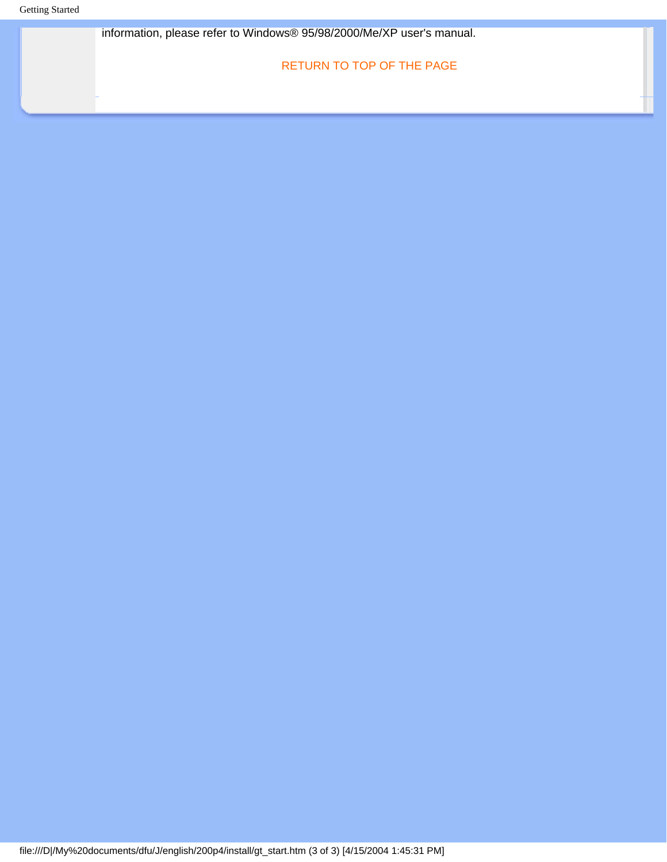Getting Started

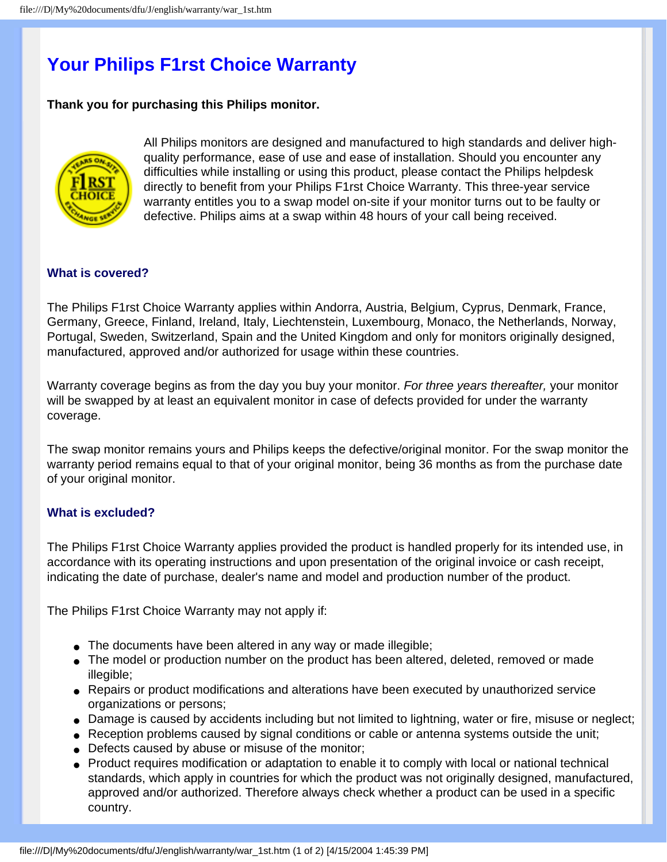## **Your Philips F1rst Choice Warranty**

#### **Thank you for purchasing this Philips monitor.**



All Philips monitors are designed and manufactured to high standards and deliver highquality performance, ease of use and ease of installation. Should you encounter any difficulties while installing or using this product, please contact the Philips helpdesk directly to benefit from your Philips F1rst Choice Warranty. This three-year service warranty entitles you to a swap model on-site if your monitor turns out to be faulty or defective. Philips aims at a swap within 48 hours of your call being received.

#### **What is covered?**

The Philips F1rst Choice Warranty applies within Andorra, Austria, Belgium, Cyprus, Denmark, France, Germany, Greece, Finland, Ireland, Italy, Liechtenstein, Luxembourg, Monaco, the Netherlands, Norway, Portugal, Sweden, Switzerland, Spain and the United Kingdom and only for monitors originally designed, manufactured, approved and/or authorized for usage within these countries.

Warranty coverage begins as from the day you buy your monitor. *For three years thereafter,* your monitor will be swapped by at least an equivalent monitor in case of defects provided for under the warranty coverage.

The swap monitor remains yours and Philips keeps the defective/original monitor. For the swap monitor the warranty period remains equal to that of your original monitor, being 36 months as from the purchase date of your original monitor.

#### **What is excluded?**

The Philips F1rst Choice Warranty applies provided the product is handled properly for its intended use, in accordance with its operating instructions and upon presentation of the original invoice or cash receipt, indicating the date of purchase, dealer's name and model and production number of the product.

The Philips F1rst Choice Warranty may not apply if:

- The documents have been altered in any way or made illegible;
- The model or production number on the product has been altered, deleted, removed or made illegible;
- Repairs or product modifications and alterations have been executed by unauthorized service organizations or persons;
- Damage is caused by accidents including but not limited to lightning, water or fire, misuse or neglect;
- Reception problems caused by signal conditions or cable or antenna systems outside the unit;
- Defects caused by abuse or misuse of the monitor;
- Product requires modification or adaptation to enable it to comply with local or national technical standards, which apply in countries for which the product was not originally designed, manufactured, approved and/or authorized. Therefore always check whether a product can be used in a specific country.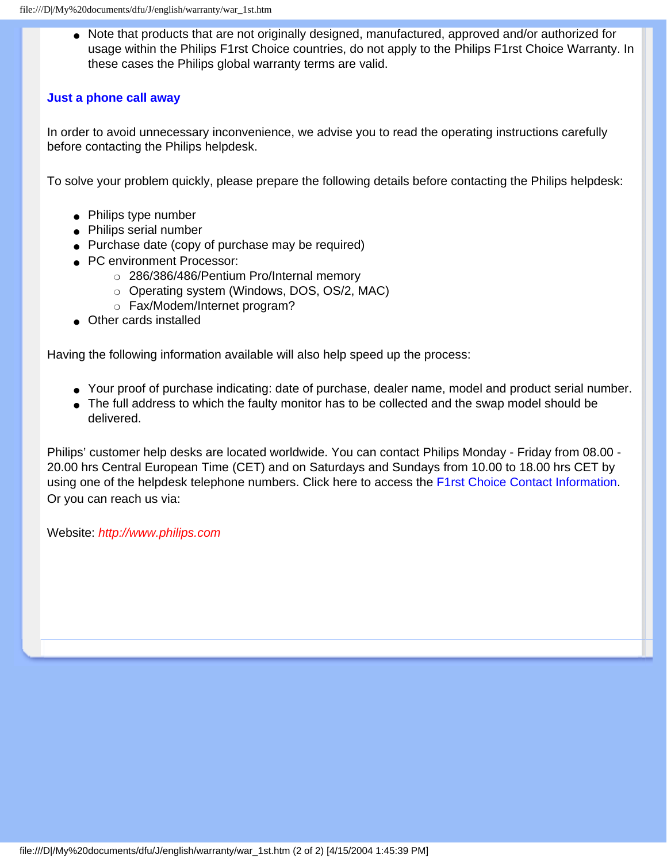● Note that products that are not originally designed, manufactured, approved and/or authorized for usage within the Philips F1rst Choice countries, do not apply to the Philips F1rst Choice Warranty. In these cases the Philips global warranty terms are valid.

#### **Just a phone call away**

In order to avoid unnecessary inconvenience, we advise you to read the operating instructions carefully before contacting the Philips helpdesk.

To solve your problem quickly, please prepare the following details before contacting the Philips helpdesk:

- Philips type number
- Philips serial number
- Purchase date (copy of purchase may be required)
- PC environment Processor:
	- ❍ 286/386/486/Pentium Pro/Internal memory
	- ❍ Operating system (Windows, DOS, OS/2, MAC)
	- ❍ Fax/Modem/Internet program?
- Other cards installed

Having the following information available will also help speed up the process:

- Your proof of purchase indicating: date of purchase, dealer name, model and product serial number.
- The full address to which the faulty monitor has to be collected and the swap model should be delivered.

Philips' customer help desks are located worldwide. You can contact Philips Monday - Friday from 08.00 - 20.00 hrs Central European Time (CET) and on Saturdays and Sundays from 10.00 to 18.00 hrs CET by using one of the helpdesk telephone numbers. Click here to access the [F1rst Choice Contact Information.](#page-74-0) Or you can reach us via:

Website: *[http://www.philips.com](http://www.philips.com/)*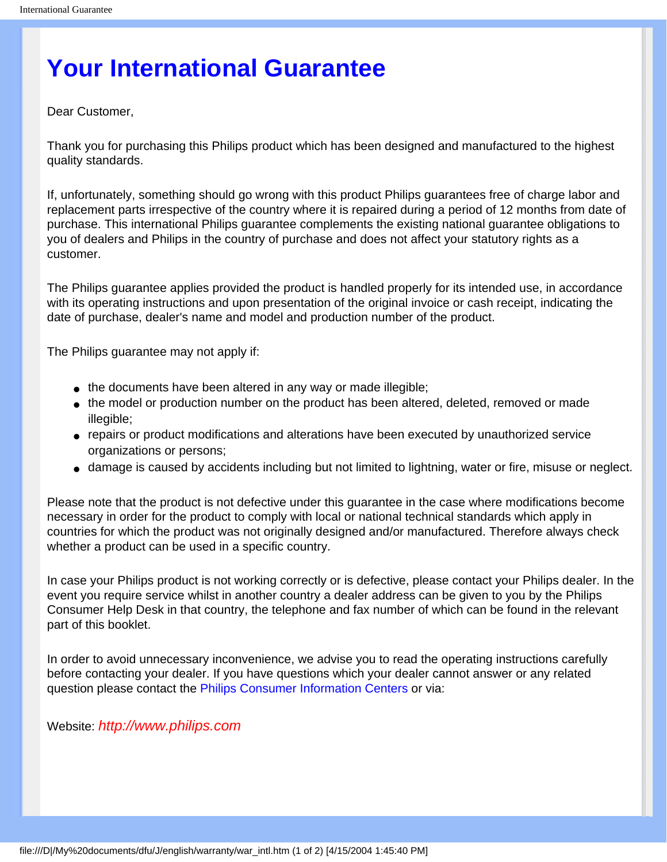## **Your International Guarantee**

Dear Customer,

Thank you for purchasing this Philips product which has been designed and manufactured to the highest quality standards.

If, unfortunately, something should go wrong with this product Philips guarantees free of charge labor and replacement parts irrespective of the country where it is repaired during a period of 12 months from date of purchase. This international Philips guarantee complements the existing national guarantee obligations to you of dealers and Philips in the country of purchase and does not affect your statutory rights as a customer.

The Philips guarantee applies provided the product is handled properly for its intended use, in accordance with its operating instructions and upon presentation of the original invoice or cash receipt, indicating the date of purchase, dealer's name and model and production number of the product.

The Philips guarantee may not apply if:

- the documents have been altered in any way or made illegible;
- the model or production number on the product has been altered, deleted, removed or made illegible;
- repairs or product modifications and alterations have been executed by unauthorized service organizations or persons;
- damage is caused by accidents including but not limited to lightning, water or fire, misuse or neglect.

Please note that the product is not defective under this guarantee in the case where modifications become necessary in order for the product to comply with local or national technical standards which apply in countries for which the product was not originally designed and/or manufactured. Therefore always check whether a product can be used in a specific country.

In case your Philips product is not working correctly or is defective, please contact your Philips dealer. In the event you require service whilst in another country a dealer address can be given to you by the Philips Consumer Help Desk in that country, the telephone and fax number of which can be found in the relevant part of this booklet.

In order to avoid unnecessary inconvenience, we advise you to read the operating instructions carefully before contacting your dealer. If you have questions which your dealer cannot answer or any related question please contact the [Philips Consumer Information Centers](#page-75-0) or via:

Website: *[http://www.philips.com](http://www.philips.com/)*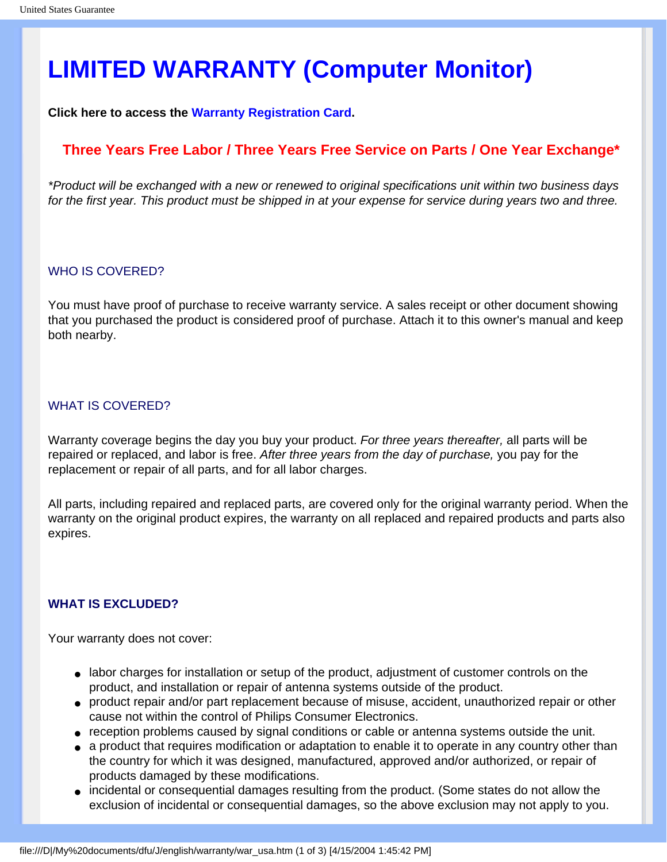# **LIMITED WARRANTY (Computer Monitor)**

**Click here to access the [Warranty Registration Card.](file:///D|/My%20documents/dfu/J/english/download/card.pdf)**

### **Three Years Free Labor / Three Years Free Service on Parts / One Year Exchange\***

*\*Product will be exchanged with a new or renewed to original specifications unit within two business days for the first year. This product must be shipped in at your expense for service during years two and three.*

#### WHO IS COVERED?

You must have proof of purchase to receive warranty service. A sales receipt or other document showing that you purchased the product is considered proof of purchase. Attach it to this owner's manual and keep both nearby.

#### WHAT IS COVERED?

Warranty coverage begins the day you buy your product. *For three years thereafter,* all parts will be repaired or replaced, and labor is free. *After three years from the day of purchase,* you pay for the replacement or repair of all parts, and for all labor charges.

All parts, including repaired and replaced parts, are covered only for the original warranty period. When the warranty on the original product expires, the warranty on all replaced and repaired products and parts also expires.

#### **WHAT IS EXCLUDED?**

Your warranty does not cover:

- labor charges for installation or setup of the product, adjustment of customer controls on the product, and installation or repair of antenna systems outside of the product.
- product repair and/or part replacement because of misuse, accident, unauthorized repair or other cause not within the control of Philips Consumer Electronics.
- reception problems caused by signal conditions or cable or antenna systems outside the unit.
- a product that requires modification or adaptation to enable it to operate in any country other than the country for which it was designed, manufactured, approved and/or authorized, or repair of products damaged by these modifications.
- incidental or consequential damages resulting from the product. (Some states do not allow the exclusion of incidental or consequential damages, so the above exclusion may not apply to you.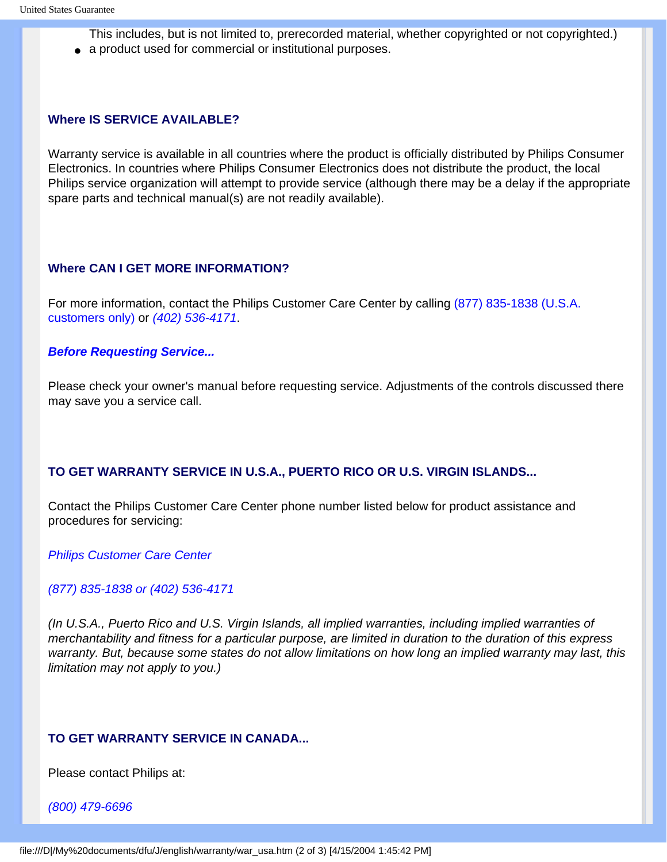- This includes, but is not limited to, prerecorded material, whether copyrighted or not copyrighted.)
- a product used for commercial or institutional purposes.

## **Where IS SERVICE AVAILABLE?**

Warranty service is available in all countries where the product is officially distributed by Philips Consumer Electronics. In countries where Philips Consumer Electronics does not distribute the product, the local Philips service organization will attempt to provide service (although there may be a delay if the appropriate spare parts and technical manual(s) are not readily available).

## **Where CAN I GET MORE INFORMATION?**

For more information, contact the Philips Customer Care Center by calling (877) 835-1838 (U.S.A. customers only) or *(402) 536-4171*.

## *Before Requesting Service...*

Please check your owner's manual before requesting service. Adjustments of the controls discussed there may save you a service call.

# **TO GET WARRANTY SERVICE IN U.S.A., PUERTO RICO OR U.S. VIRGIN ISLANDS...**

Contact the Philips Customer Care Center phone number listed below for product assistance and procedures for servicing:

*Philips Customer Care Center* 

## *(877) 835-1838 or (402) 536-4171*

*(In U.S.A., Puerto Rico and U.S. Virgin Islands, all implied warranties, including implied warranties of merchantability and fitness for a particular purpose, are limited in duration to the duration of this express warranty. But, because some states do not allow limitations on how long an implied warranty may last, this limitation may not apply to you.)*

# **TO GET WARRANTY SERVICE IN CANADA...**

Please contact Philips at:

*(800) 479-6696*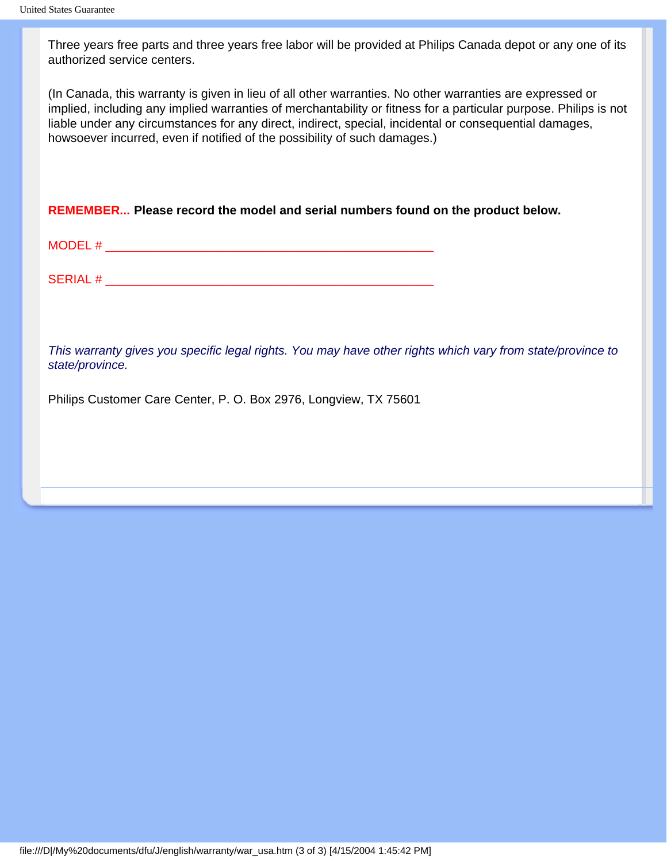Three years free parts and three years free labor will be provided at Philips Canada depot or any one of its authorized service centers.

(In Canada, this warranty is given in lieu of all other warranties. No other warranties are expressed or implied, including any implied warranties of merchantability or fitness for a particular purpose. Philips is not liable under any circumstances for any direct, indirect, special, incidental or consequential damages, howsoever incurred, even if notified of the possibility of such damages.)

**REMEMBER... Please record the model and serial numbers found on the product below.** 

| $MODFI$ #<br>- ' ' ' |  |  |
|----------------------|--|--|
|                      |  |  |
|                      |  |  |
| <b>SERIAL#</b>       |  |  |

*This warranty gives you specific legal rights. You may have other rights which vary from state/province to state/province.*

Philips Customer Care Center, P. O. Box 2976, Longview, TX 75601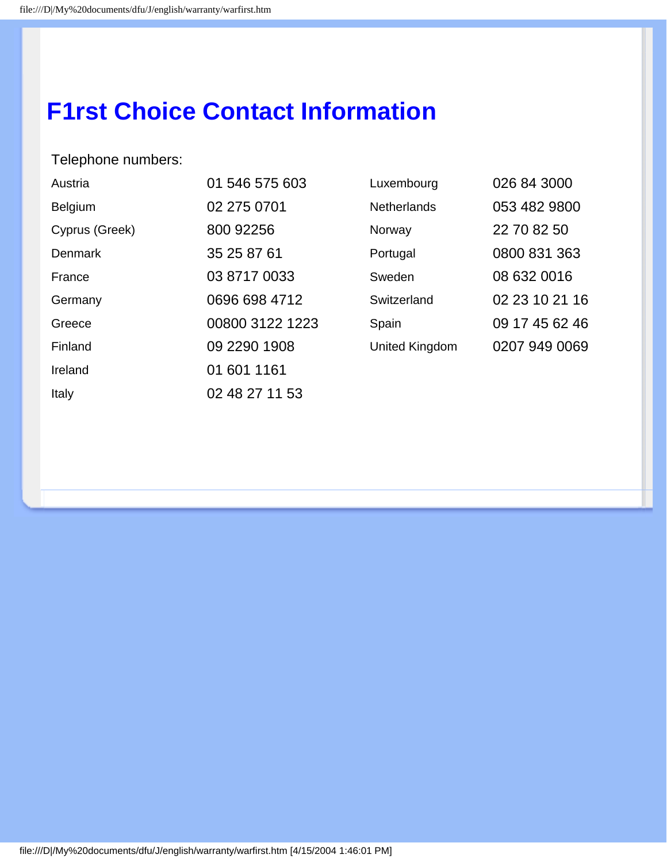# **F1rst Choice Contact Information**

# Telephone numbers:

| Austria        | 01 546 575 603  | Luxembourg         | 026 84 3000    |
|----------------|-----------------|--------------------|----------------|
| Belgium        | 02 275 0701     | <b>Netherlands</b> | 053 482 9800   |
| Cyprus (Greek) | 800 92256       | Norway             | 22 70 82 50    |
| <b>Denmark</b> | 35 25 87 61     | Portugal           | 0800 831 363   |
| France         | 03 8717 0033    | Sweden             | 08 632 0016    |
| Germany        | 0696 698 4712   | Switzerland        | 02 23 10 21 16 |
| Greece         | 00800 3122 1223 | Spain              | 09 17 45 62 46 |
| Finland        | 09 2290 1908    | United Kingdom     | 0207 949 0069  |
| Ireland        | 01 601 1161     |                    |                |
| Italy          | 02 48 27 11 53  |                    |                |

| Luxembourg     | 026 84 3000    |  |  |
|----------------|----------------|--|--|
| Netherlands    | 053 482 9800   |  |  |
| Norway         | 22 70 82 50    |  |  |
| Portugal       | 0800 831 363   |  |  |
| Sweden         | 08 632 0016    |  |  |
| Switzerland    | 02 23 10 21 16 |  |  |
| Spain          | 09 17 45 62 46 |  |  |
| United Kingdom | 0207 949 0069  |  |  |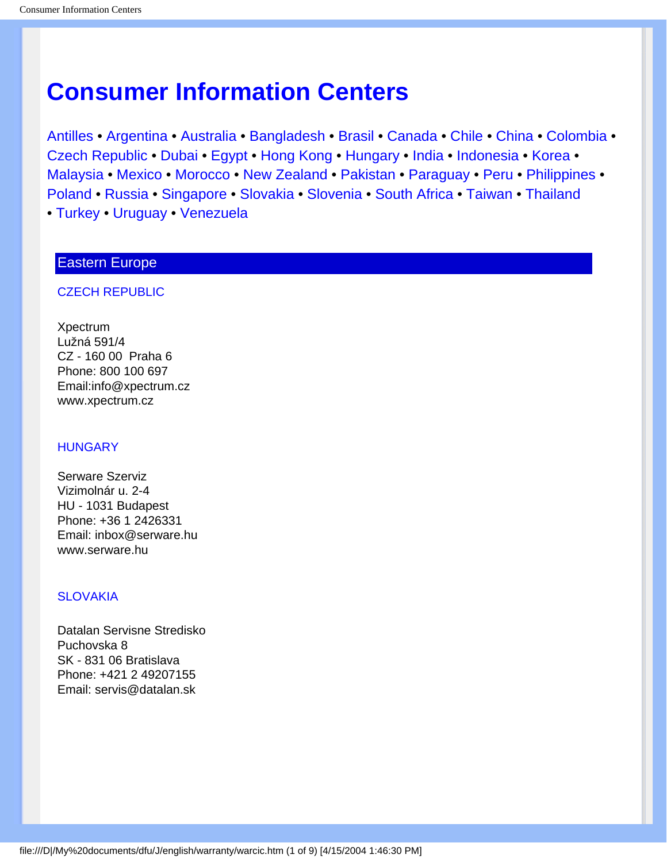# <span id="page-75-2"></span>**Consumer Information Centers**

[Antilles](#page-76-0) • [Argentina](#page-76-1) • [Australia](#page-78-0) • [Bangladesh](#page-79-0) • [Brasil](#page-77-0) • [Canada](#page-78-1) • [Chile](#page-77-1) • [China](#page-79-1) • [Colombia](#page-77-2) • [Czech Republic](#page-75-0) • [Dubai](#page-83-0) • [Egypt](#page-83-1) • [Hong Kong](#page-80-0) • [Hungary](#page-75-1) • [India](#page-80-1) • [Indonesia](#page-80-2) • [Korea](#page-81-0) • [Malaysia](#page-81-1) • [Mexico](#page-77-3) • [Morocco](#page-82-0) • [New Zealand](#page-79-2) • [Pakistan](#page-81-2) • [Paraguay](#page-77-4) • [Peru](#page-78-2) • [Philippines](#page-81-3) • [Poland](#page-75-2) • [Russia](#page-76-2) • [Singapore](#page-82-1) • [Slovakia](#page-75-3) • [Slovenia](#page-76-3) • [South Africa](#page-82-2) • [Taiwan](#page-82-3) • [Thailand](#page-82-4) • [Turkey](#page-76-4) • [Uruguay](#page-78-3) • [Venezuela](#page-78-4)

# Eastern Europe

#### <span id="page-75-0"></span>CZECH REPUBLIC

Xpectrum Lužná 591/4 CZ - 160 00 Praha 6 Phone: 800 100 697 Email:info@xpectrum.cz www.xpectrum.cz

#### <span id="page-75-1"></span>**HUNGARY**

Serware Szerviz Vizimolnár u. 2-4 HU - 1031 Budapest Phone: +36 1 2426331 Email: inbox@serware.hu www.serware.hu

#### <span id="page-75-3"></span>**SLOVAKIA**

Datalan Servisne Stredisko Puchovska 8 SK - 831 06 Bratislava Phone: +421 2 49207155 Email: servis@datalan.sk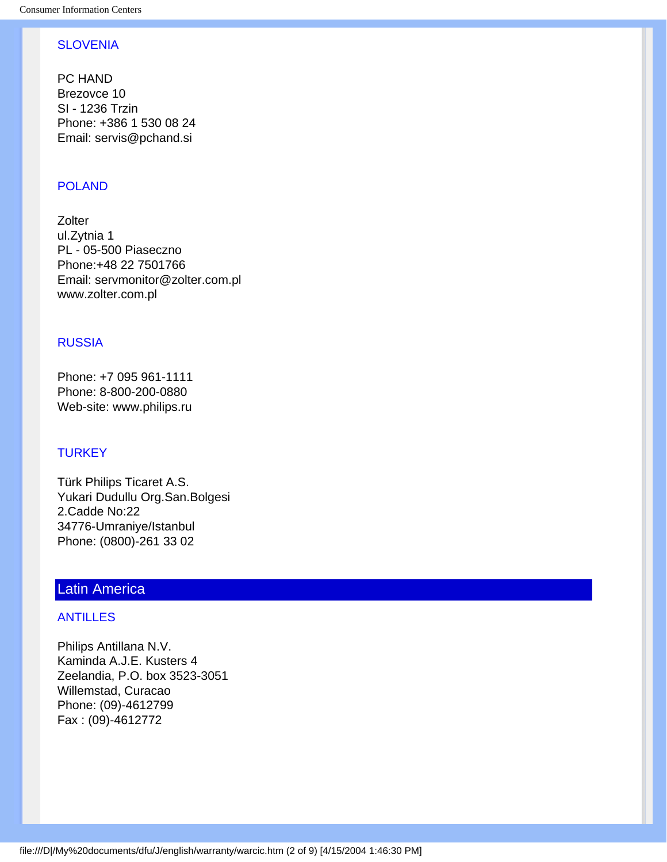# <span id="page-76-3"></span>**SLOVENIA**

PC HAND Brezovce 10 SI - 1236 Trzin Phone: +386 1 530 08 24 Email: servis@pchand.si

# POLAND

**Zolter** ul.Zytnia 1 PL - 05-500 Piaseczno Phone:+48 22 7501766 Email: servmonitor@zolter.com.pl www.zolter.com.pl

## <span id="page-76-2"></span>RUSSIA

Phone: +7 095 961-1111 Phone: 8-800-200-0880 Web-site: www.philips.ru

## <span id="page-76-4"></span>**TURKEY**

Türk Philips Ticaret A.S. Yukari Dudullu Org.San.Bolgesi 2.Cadde No:22 34776-Umraniye/Istanbul Phone: (0800)-261 33 02

# <span id="page-76-0"></span>Latin America

## ANTILLES

<span id="page-76-1"></span>Philips Antillana N.V. Kaminda A.J.E. Kusters 4 Zeelandia, P.O. box 3523-3051 Willemstad, Curacao Phone: (09)-4612799 Fax : (09)-4612772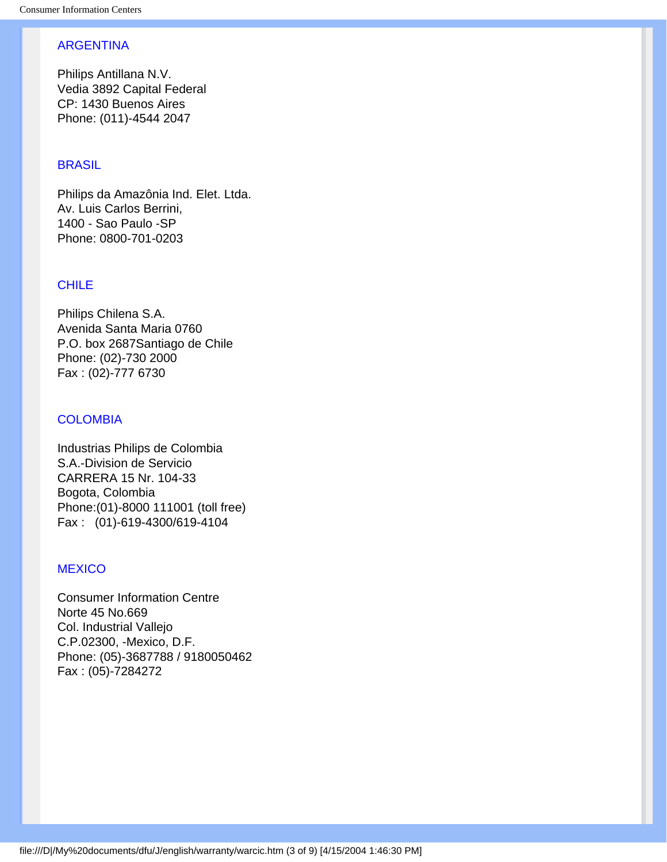## ARGENTINA

Philips Antillana N.V. Vedia 3892 Capital Federal CP: 1430 Buenos Aires Phone: (011)-4544 2047

## <span id="page-77-0"></span>**BRASIL**

Philips da Amazônia Ind. Elet. Ltda. Av. Luis Carlos Berrini, 1400 - Sao Paulo -SP Phone: 0800-701-0203

## <span id="page-77-1"></span>CHILE

Philips Chilena S.A. Avenida Santa Maria 0760 P.O. box 2687Santiago de Chile Phone: (02)-730 2000 Fax : (02)-777 6730

## <span id="page-77-2"></span>**COLOMBIA**

Industrias Philips de Colombia S.A.-Division de Servicio CARRERA 15 Nr. 104-33 Bogota, Colombia Phone:(01)-8000 111001 (toll free) Fax : (01)-619-4300/619-4104

#### <span id="page-77-3"></span>**MEXICO**

<span id="page-77-4"></span>Consumer Information Centre Norte 45 No.669 Col. Industrial Vallejo C.P.02300, -Mexico, D.F. Phone: (05)-3687788 / 9180050462 Fax : (05)-7284272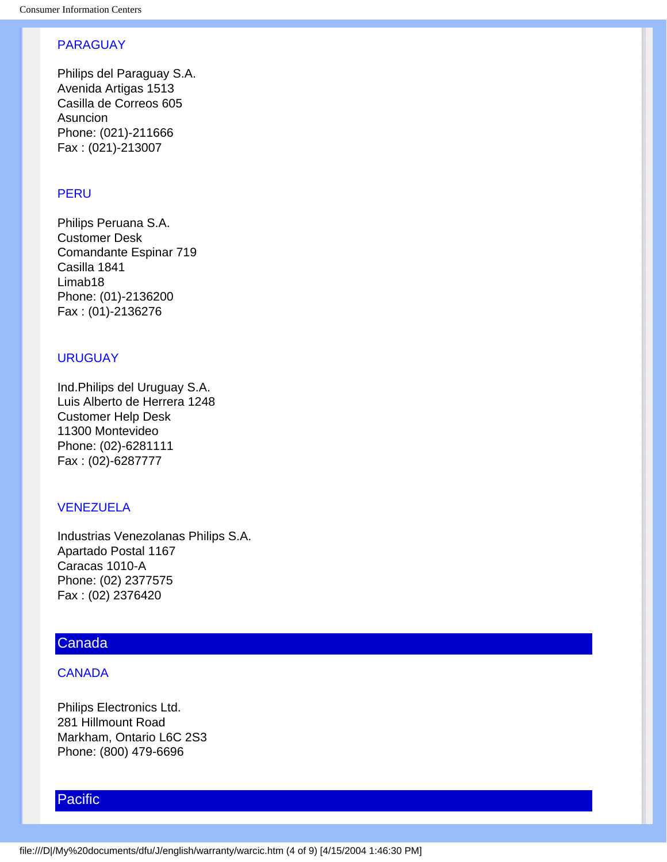## PARAGUAY

Philips del Paraguay S.A. Avenida Artigas 1513 Casilla de Correos 605 Asuncion Phone: (021)-211666 Fax : (021)-213007

## <span id="page-78-2"></span>**PERU**

Philips Peruana S.A. Customer Desk Comandante Espinar 719 Casilla 1841 Limab18 Phone: (01)-2136200 Fax : (01)-2136276

#### <span id="page-78-3"></span>URUGUAY

Ind.Philips del Uruguay S.A. Luis Alberto de Herrera 1248 Customer Help Desk 11300 Montevideo Phone: (02)-6281111 Fax : (02)-6287777

## <span id="page-78-4"></span>VENEZUELA

Industrias Venezolanas Philips S.A. Apartado Postal 1167 Caracas 1010-A Phone: (02) 2377575 Fax : (02) 2376420

# **Canada**

## <span id="page-78-1"></span>**CANADA**

Philips Electronics Ltd. 281 Hillmount Road Markham, Ontario L6C 2S3 Phone: (800) 479-6696

# Pacific

<span id="page-78-0"></span>file:///D|/My%20documents/dfu/J/english/warranty/warcic.htm (4 of 9) [4/15/2004 1:46:30 PM]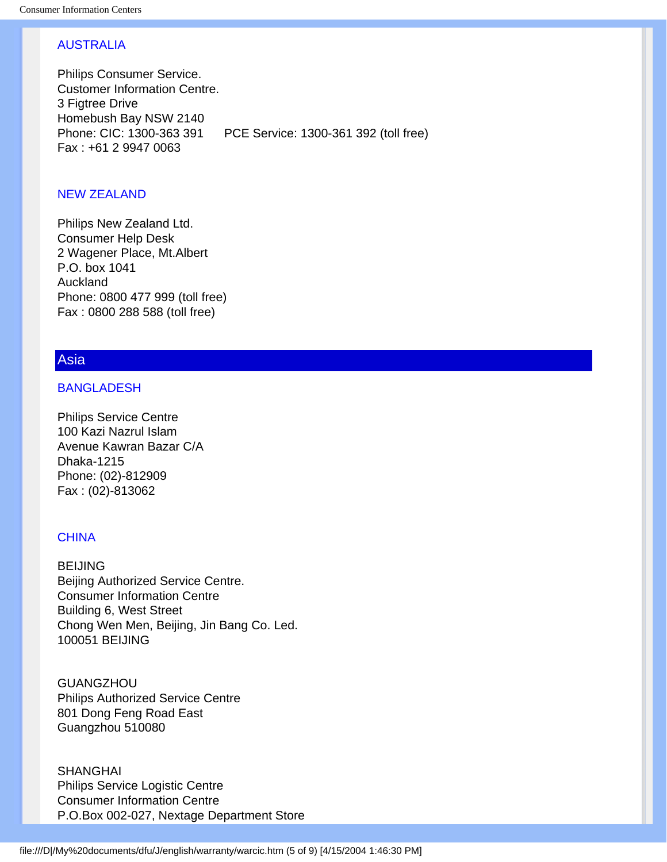# AUSTRALIA

Philips Consumer Service. Customer Information Centre. 3 Figtree Drive Homebush Bay NSW 2140 Phone: CIC: 1300-363 391 PCE Service: 1300-361 392 (toll free) Fax : +61 2 9947 0063

# <span id="page-79-2"></span>NEW ZEALAND

Philips New Zealand Ltd. Consumer Help Desk 2 Wagener Place, Mt.Albert P.O. box 1041 Auckland Phone: 0800 477 999 (toll free) Fax : 0800 288 588 (toll free)

# <span id="page-79-0"></span>Asia

#### BANGLADESH

Philips Service Centre 100 Kazi Nazrul Islam Avenue Kawran Bazar C/A Dhaka-1215 Phone: (02)-812909 Fax : (02)-813062

## <span id="page-79-1"></span>**CHINA**

BEIJING Beijing Authorized Service Centre. Consumer Information Centre Building 6, West Street Chong Wen Men, Beijing, Jin Bang Co. Led. 100051 BEIJING

**GUANGZHOU** Philips Authorized Service Centre 801 Dong Feng Road East Guangzhou 510080

SHANGHAI Philips Service Logistic Centre Consumer Information Centre P.O.Box 002-027, Nextage Department Store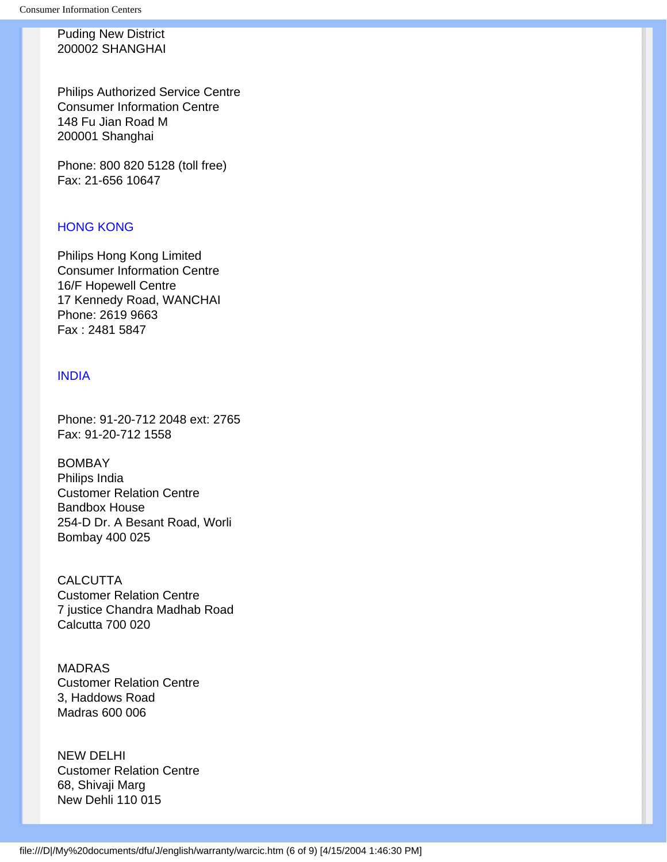Puding New District 200002 SHANGHAI

Philips Authorized Service Centre Consumer Information Centre 148 Fu Jian Road M 200001 Shanghai

<span id="page-80-0"></span>Phone: 800 820 5128 (toll free) Fax: 21-656 10647

## HONG KONG

Philips Hong Kong Limited Consumer Information Centre 16/F Hopewell Centre 17 Kennedy Road, WANCHAI Phone: 2619 9663 Fax : 2481 5847

## <span id="page-80-1"></span>INDIA

Phone: 91-20-712 2048 ext: 2765 Fax: 91-20-712 1558

BOMBAY Philips India Customer Relation Centre Bandbox House 254-D Dr. A Besant Road, Worli Bombay 400 025

**CALCUTTA** Customer Relation Centre 7 justice Chandra Madhab Road Calcutta 700 020

MADRAS Customer Relation Centre 3, Haddows Road Madras 600 006

<span id="page-80-2"></span>NEW DELHI Customer Relation Centre 68, Shivaji Marg New Dehli 110 015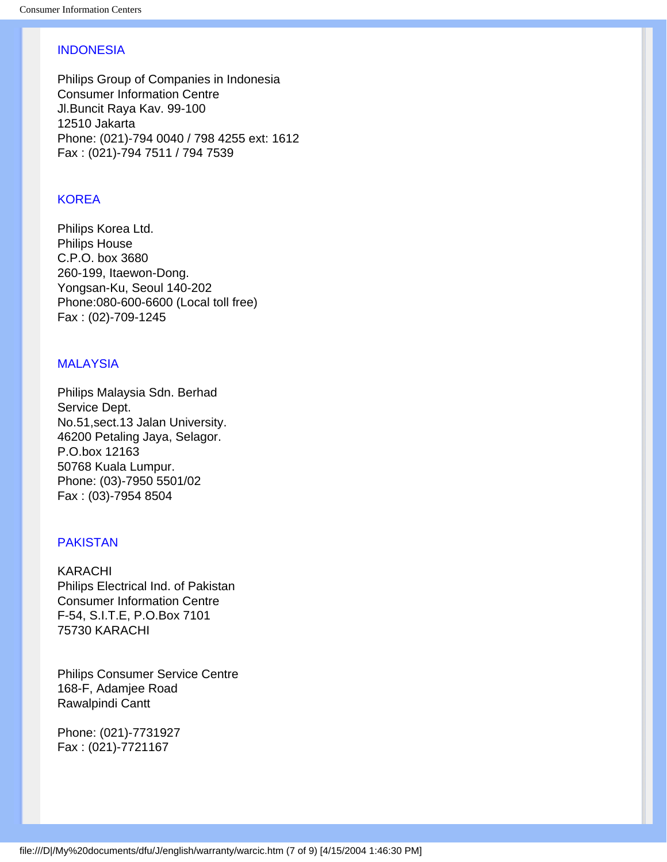# **INDONESIA**

Philips Group of Companies in Indonesia Consumer Information Centre Jl.Buncit Raya Kav. 99-100 12510 Jakarta Phone: (021)-794 0040 / 798 4255 ext: 1612 Fax : (021)-794 7511 / 794 7539

# <span id="page-81-0"></span>**KOREA**

Philips Korea Ltd. Philips House C.P.O. box 3680 260-199, Itaewon-Dong. Yongsan-Ku, Seoul 140-202 Phone:080-600-6600 (Local toll free) Fax : (02)-709-1245

## <span id="page-81-1"></span>MALAYSIA

Philips Malaysia Sdn. Berhad Service Dept. No.51,sect.13 Jalan University. 46200 Petaling Jaya, Selagor. P.O.box 12163 50768 Kuala Lumpur. Phone: (03)-7950 5501/02 Fax : (03)-7954 8504

## <span id="page-81-2"></span>PAKISTAN

KARACHI Philips Electrical Ind. of Pakistan Consumer Information Centre F-54, S.I.T.E, P.O.Box 7101 75730 KARACHI

Philips Consumer Service Centre 168-F, Adamjee Road Rawalpindi Cantt

<span id="page-81-3"></span>Phone: (021)-7731927 Fax : (021)-7721167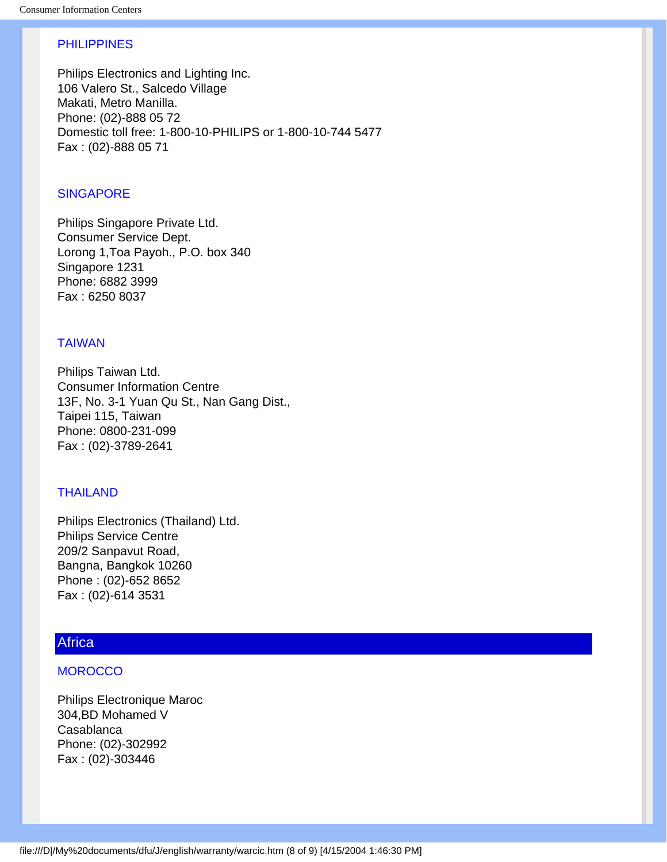## PHILIPPINES

Philips Electronics and Lighting Inc. 106 Valero St., Salcedo Village Makati, Metro Manilla. Phone: (02)-888 05 72 Domestic toll free: 1-800-10-PHILIPS or 1-800-10-744 5477 Fax : (02)-888 05 71

## <span id="page-82-1"></span>**SINGAPORE**

Philips Singapore Private Ltd. Consumer Service Dept. Lorong 1,Toa Payoh., P.O. box 340 Singapore 1231 Phone: 6882 3999 Fax : 6250 8037

## <span id="page-82-3"></span>TAIWAN

Philips Taiwan Ltd. Consumer Information Centre 13F, No. 3-1 Yuan Qu St., Nan Gang Dist., Taipei 115, Taiwan Phone: 0800-231-099 Fax : (02)-3789-2641

### <span id="page-82-4"></span>THAILAND

Philips Electronics (Thailand) Ltd. Philips Service Centre 209/2 Sanpavut Road, Bangna, Bangkok 10260 Phone : (02)-652 8652 Fax : (02)-614 3531

# <span id="page-82-0"></span>**Africa**

## **MOROCCO**

<span id="page-82-2"></span>Philips Electronique Maroc 304,BD Mohamed V Casablanca Phone: (02)-302992 Fax : (02)-303446